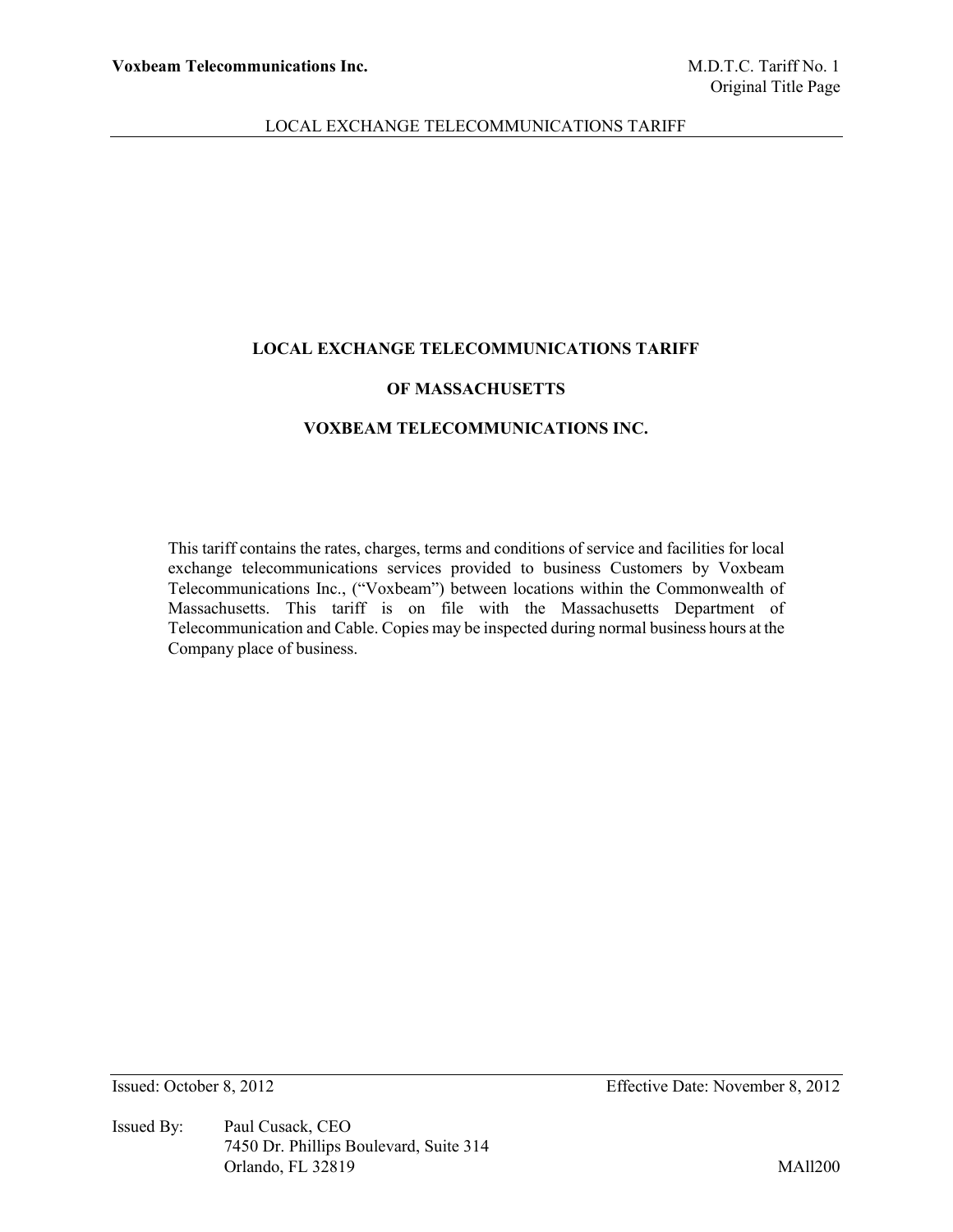#### **LOCAL EXCHANGE TELECOMMUNICATIONS TARIFF**

### **OF MASSACHUSETTS**

### **VOXBEAM TELECOMMUNICATIONS INC.**

This tariff contains the rates, charges, terms and conditions of service and facilities for local exchange telecommunications services provided to business Customers by Voxbeam Telecommunications Inc., ("Voxbeam") between locations within the Commonwealth of Massachusetts. This tariff is on file with the Massachusetts Department of Telecommunication and Cable. Copies may be inspected during normal business hours at the Company place of business.

Issued By: Paul Cusack, CEO 7450 Dr. Phillips Boulevard, Suite 314 Orlando, FL 32819 MAll200

Issued: October 8, 2012 Effective Date: November 8, 2012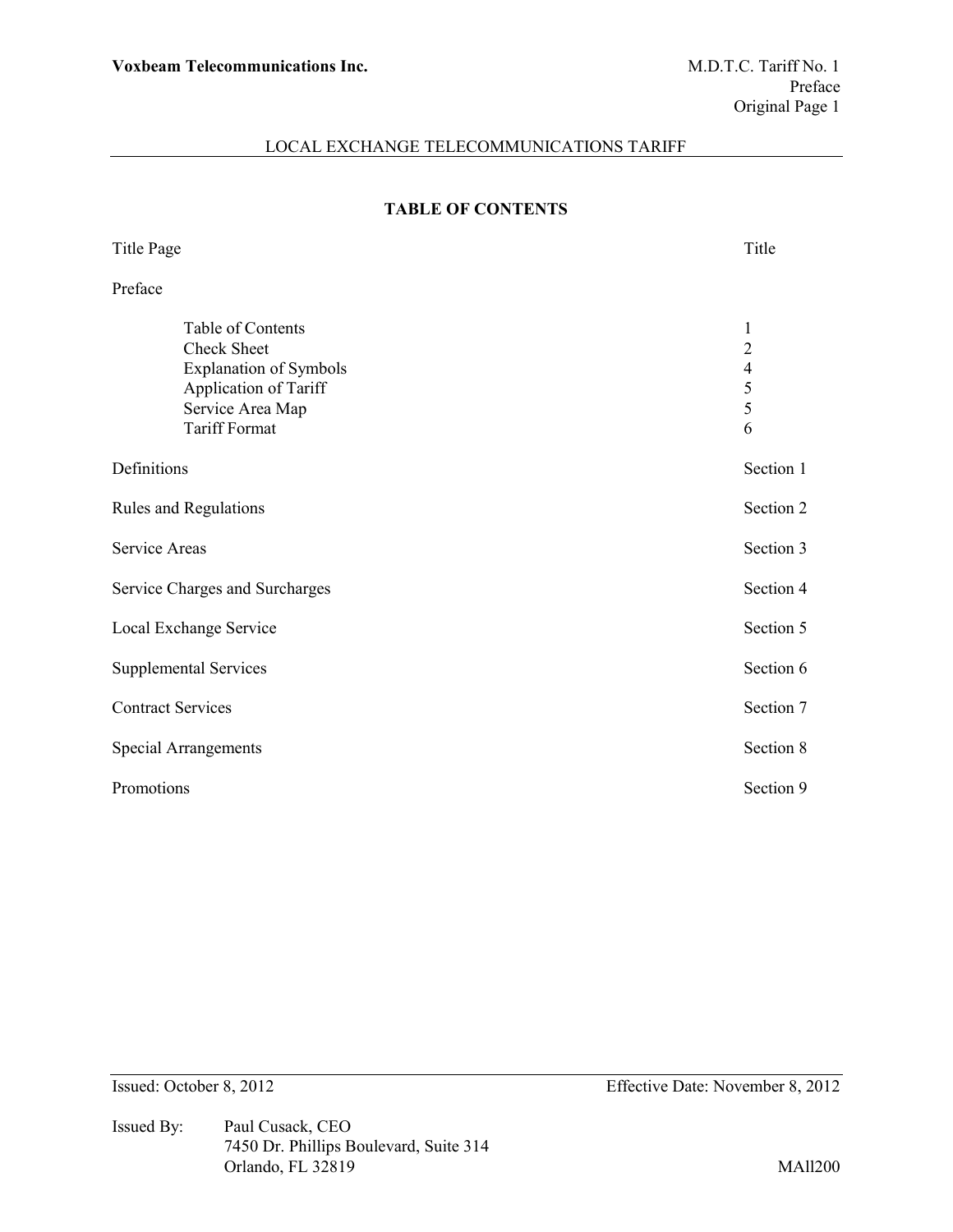# **TABLE OF CONTENTS**

| <b>Title Page</b>                                                                                                                             | Title                                                               |  |  |  |
|-----------------------------------------------------------------------------------------------------------------------------------------------|---------------------------------------------------------------------|--|--|--|
| Preface                                                                                                                                       |                                                                     |  |  |  |
| Table of Contents<br><b>Check Sheet</b><br><b>Explanation of Symbols</b><br>Application of Tariff<br>Service Area Map<br><b>Tariff Format</b> | 1<br>$\overline{2}$<br>$\overline{\mathcal{L}}$<br>$rac{5}{5}$<br>6 |  |  |  |
| Definitions                                                                                                                                   |                                                                     |  |  |  |
| Rules and Regulations                                                                                                                         |                                                                     |  |  |  |
| <b>Service Areas</b>                                                                                                                          |                                                                     |  |  |  |
| Service Charges and Surcharges                                                                                                                |                                                                     |  |  |  |
| Local Exchange Service                                                                                                                        |                                                                     |  |  |  |
| <b>Supplemental Services</b>                                                                                                                  |                                                                     |  |  |  |
| <b>Contract Services</b>                                                                                                                      |                                                                     |  |  |  |
| <b>Special Arrangements</b>                                                                                                                   |                                                                     |  |  |  |
| Promotions                                                                                                                                    |                                                                     |  |  |  |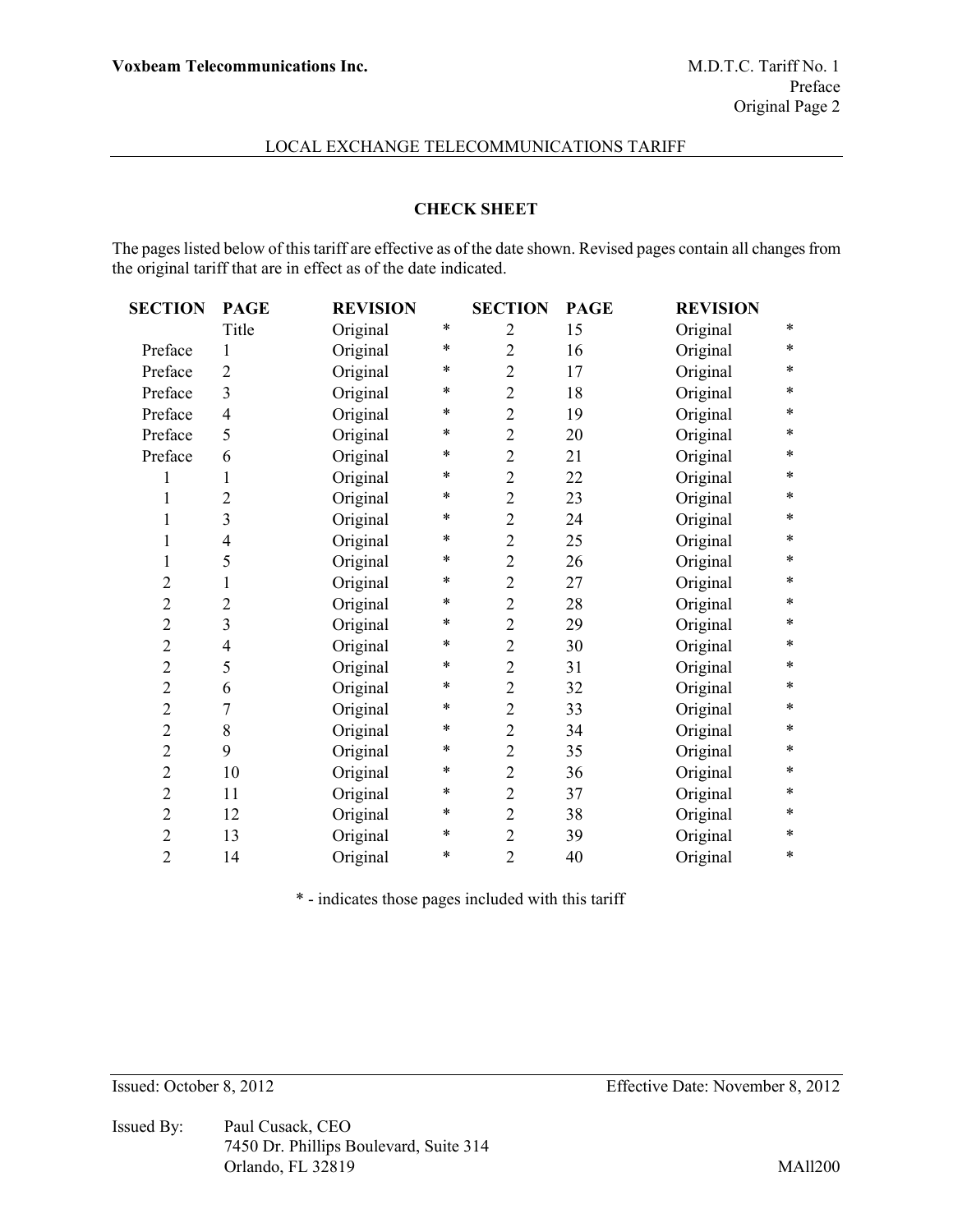# **CHECK SHEET**

The pages listed below of this tariff are effective as of the date shown. Revised pages contain all changes from the original tariff that are in effect as of the date indicated.

| <b>SECTION</b> | <b>PAGE</b>             | <b>REVISION</b> |        | <b>SECTION</b> | <b>PAGE</b> | <b>REVISION</b> |        |
|----------------|-------------------------|-----------------|--------|----------------|-------------|-----------------|--------|
|                | Title                   | Original        | $\ast$ | $\overline{2}$ | 15          | Original        | $\ast$ |
| Preface        | $\mathbf{1}$            | Original        | $\ast$ | $\overline{2}$ | 16          | Original        | $\ast$ |
| Preface        | $\overline{2}$          | Original        | *      | $\overline{2}$ | 17          | Original        | $\ast$ |
| Preface        | 3                       | Original        | *      | $\overline{2}$ | 18          | Original        | $\ast$ |
| Preface        | $\overline{4}$          | Original        | *      | $\overline{2}$ | 19          | Original        | $\ast$ |
| Preface        | 5                       | Original        | *      | $\overline{c}$ | 20          | Original        | $\ast$ |
| Preface        | 6                       | Original        | *      | $\overline{2}$ | 21          | Original        | $\ast$ |
| 1              | 1                       | Original        | *      | $\overline{2}$ | 22          | Original        | $\ast$ |
| $\mathbf{1}$   | $\overline{2}$          | Original        | *      | $\overline{2}$ | 23          | Original        | $\ast$ |
| $\mathbf{1}$   | 3                       | Original        | *      | $\overline{2}$ | 24          | Original        | $\ast$ |
| $\mathbf{1}$   | 4                       | Original        | *      | $\overline{2}$ | 25          | Original        | $\ast$ |
| $\mathbf{1}$   | 5                       | Original        | *      | $\overline{2}$ | 26          | Original        | $\ast$ |
| $\overline{2}$ | 1                       | Original        | *      | $\overline{2}$ | 27          | Original        | $\ast$ |
| $\overline{2}$ | $\overline{2}$          | Original        | *      | $\overline{2}$ | 28          | Original        | $\ast$ |
| $\overline{c}$ | $\overline{\mathbf{3}}$ | Original        | *      | $\overline{2}$ | 29          | Original        | $\ast$ |
| $\overline{c}$ | 4                       | Original        | *      | $\overline{c}$ | 30          | Original        | $\ast$ |
| $\overline{c}$ | 5                       | Original        | *      | $\overline{c}$ | 31          | Original        | $\ast$ |
| $\overline{c}$ | 6                       | Original        | *      | $\overline{2}$ | 32          | Original        | $\ast$ |
| $\overline{c}$ | 7                       | Original        | *      | $\overline{2}$ | 33          | Original        | $\ast$ |
| $\overline{c}$ | 8                       | Original        | *      | $\overline{c}$ | 34          | Original        | $\ast$ |
| $\overline{c}$ | 9                       | Original        | *      | $\overline{2}$ | 35          | Original        | $\ast$ |
| $\overline{c}$ | 10                      | Original        | *      | $\overline{c}$ | 36          | Original        | $\ast$ |
| $\overline{2}$ | 11                      | Original        | *      | $\overline{2}$ | 37          | Original        | $\ast$ |
| $\overline{c}$ | 12                      | Original        | $\ast$ | $\overline{2}$ | 38          | Original        | $\ast$ |
| $\overline{2}$ | 13                      | Original        | *      | $\overline{2}$ | 39          | Original        | $\ast$ |
| $\overline{2}$ | 14                      | Original        | *      | $\overline{2}$ | 40          | Original        | $\ast$ |
|                |                         |                 |        |                |             |                 |        |

\* - indicates those pages included with this tariff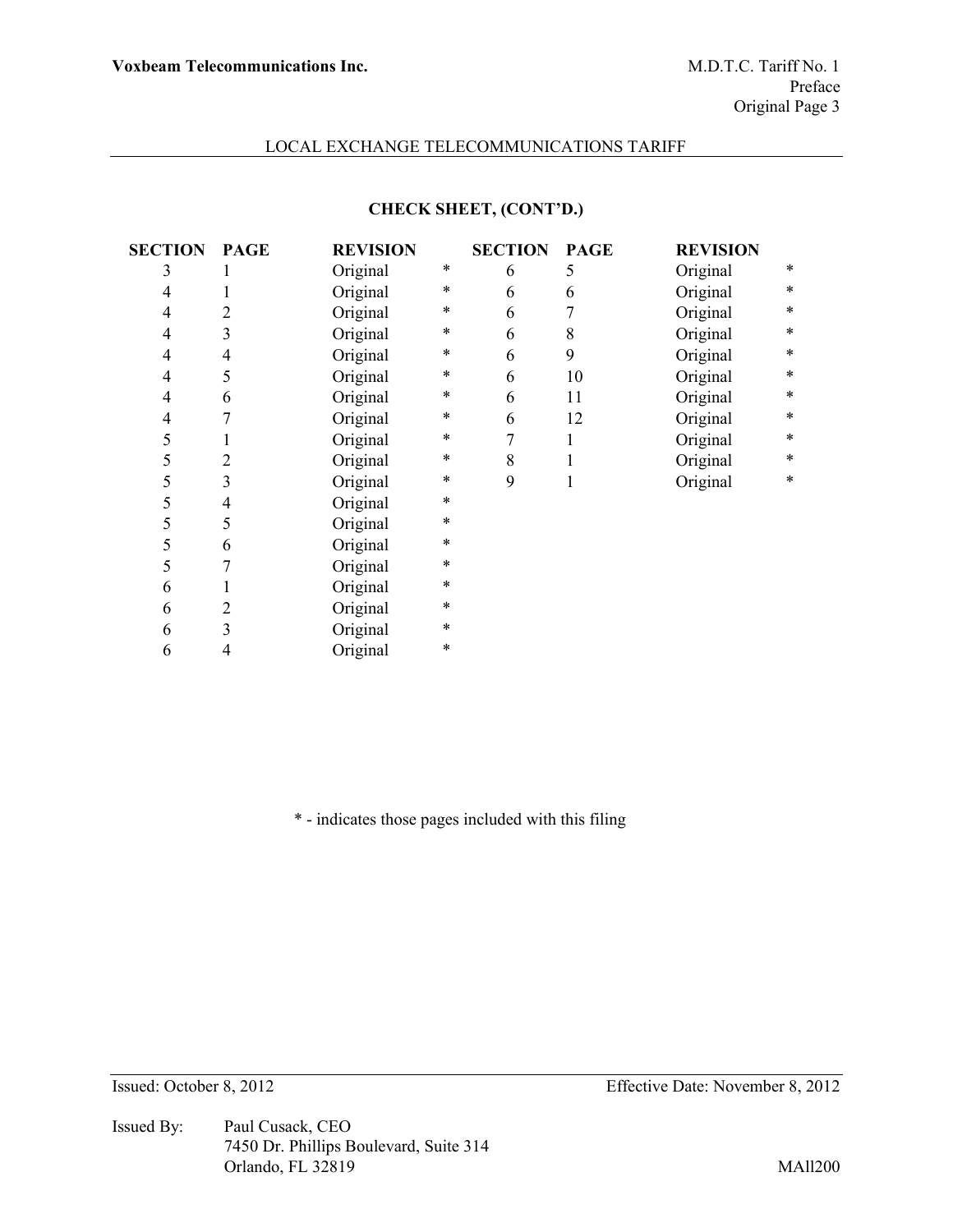# **CHECK SHEET, (CONT'D.)**

| <b>SECTION</b> | <b>PAGE</b>    | <b>REVISION</b> |        | <b>SECTION</b> | <b>PAGE</b> | <b>REVISION</b> |        |
|----------------|----------------|-----------------|--------|----------------|-------------|-----------------|--------|
| 3              |                | Original        | $\ast$ | 6              | 5           | Original        | $\ast$ |
| $\overline{4}$ |                | Original        | $\ast$ | 6              | 6           | Original        | $\ast$ |
| 4              | $\overline{2}$ | Original        | $\ast$ | 6              | 7           | Original        | $\ast$ |
| 4              | 3              | Original        | *      | 6              | 8           | Original        | $\ast$ |
| 4              | $\overline{4}$ | Original        | *      | 6              | 9           | Original        | $\ast$ |
| 4              | 5              | Original        | *      | 6              | 10          | Original        | $\ast$ |
| 4              | 6              | Original        | *      | 6              | 11          | Original        | $\ast$ |
| 4              | 7              | Original        | *      | 6              | 12          | Original        | $\ast$ |
| 5              | 1              | Original        | *      | 7              | 1           | Original        | $\ast$ |
| 5              | $\overline{2}$ | Original        | *      | 8              |             | Original        | $\ast$ |
| 5              | 3              | Original        | *      | 9              |             | Original        | $\ast$ |
| 5              | 4              | Original        | *      |                |             |                 |        |
| 5              | 5              | Original        | *      |                |             |                 |        |
| 5              | 6              | Original        | *      |                |             |                 |        |
| 5              | 7              | Original        | *      |                |             |                 |        |
| 6              | 1              | Original        | *      |                |             |                 |        |
| 6              | $\overline{2}$ | Original        | *      |                |             |                 |        |
| 6              | 3              | Original        | *      |                |             |                 |        |
| 6              | 4              | Original        | *      |                |             |                 |        |

\* - indicates those pages included with this filing

Issued By: Paul Cusack, CEO 7450 Dr. Phillips Boulevard, Suite 314 Orlando, FL 32819 MAll200

Issued: October 8, 2012 Effective Date: November 8, 2012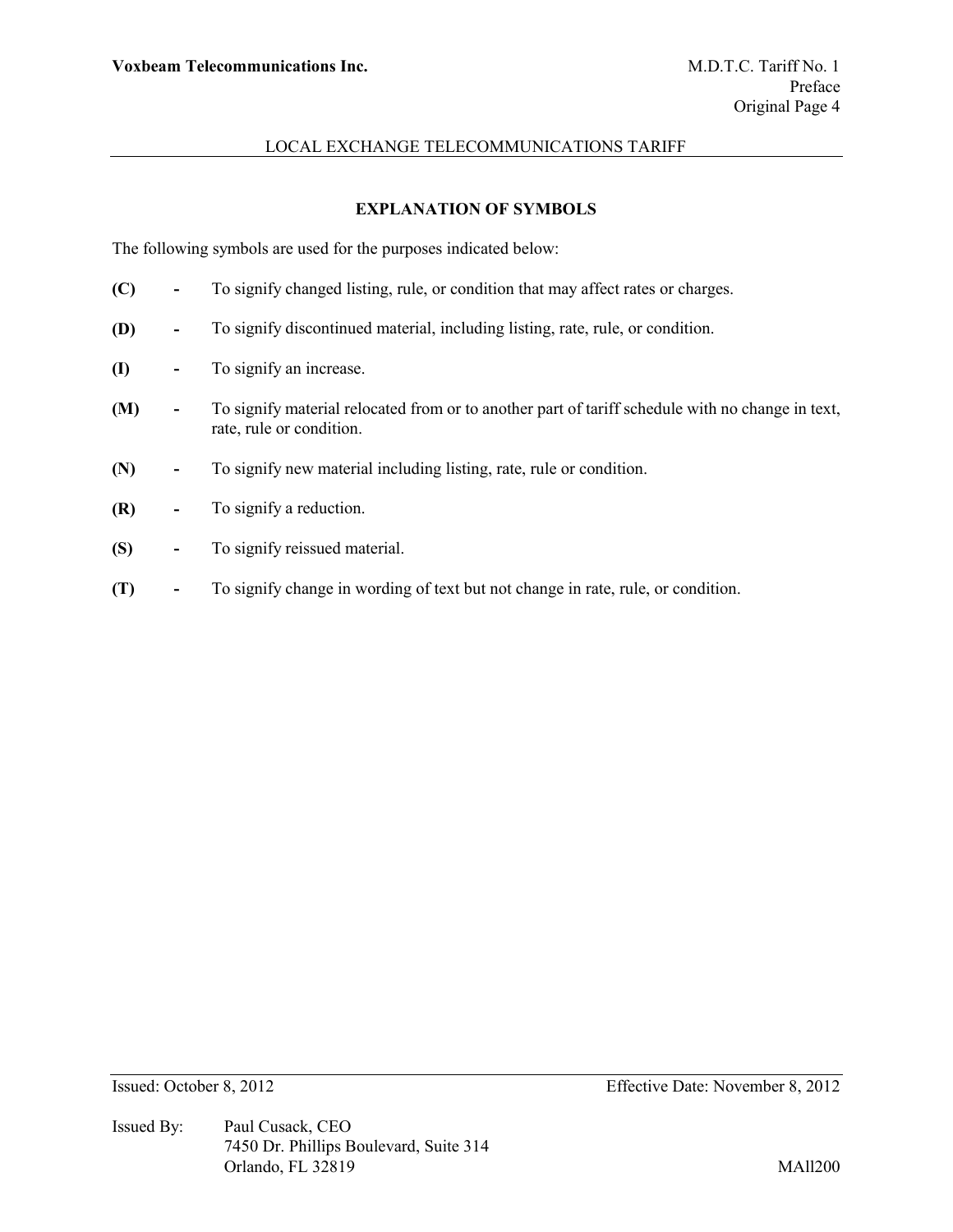# **EXPLANATION OF SYMBOLS**

The following symbols are used for the purposes indicated below:

- **(C) -** To signify changed listing, rule, or condition that may affect rates or charges.
- **(D) -** To signify discontinued material, including listing, rate, rule, or condition.
- **(I) -** To signify an increase.
- **(M) -** To signify material relocated from or to another part of tariff schedule with no change in text, rate, rule or condition.
- **(N) -** To signify new material including listing, rate, rule or condition.
- **(R) -** To signify a reduction.
- **(S) -** To signify reissued material.
- **(T) -** To signify change in wording of text but not change in rate, rule, or condition.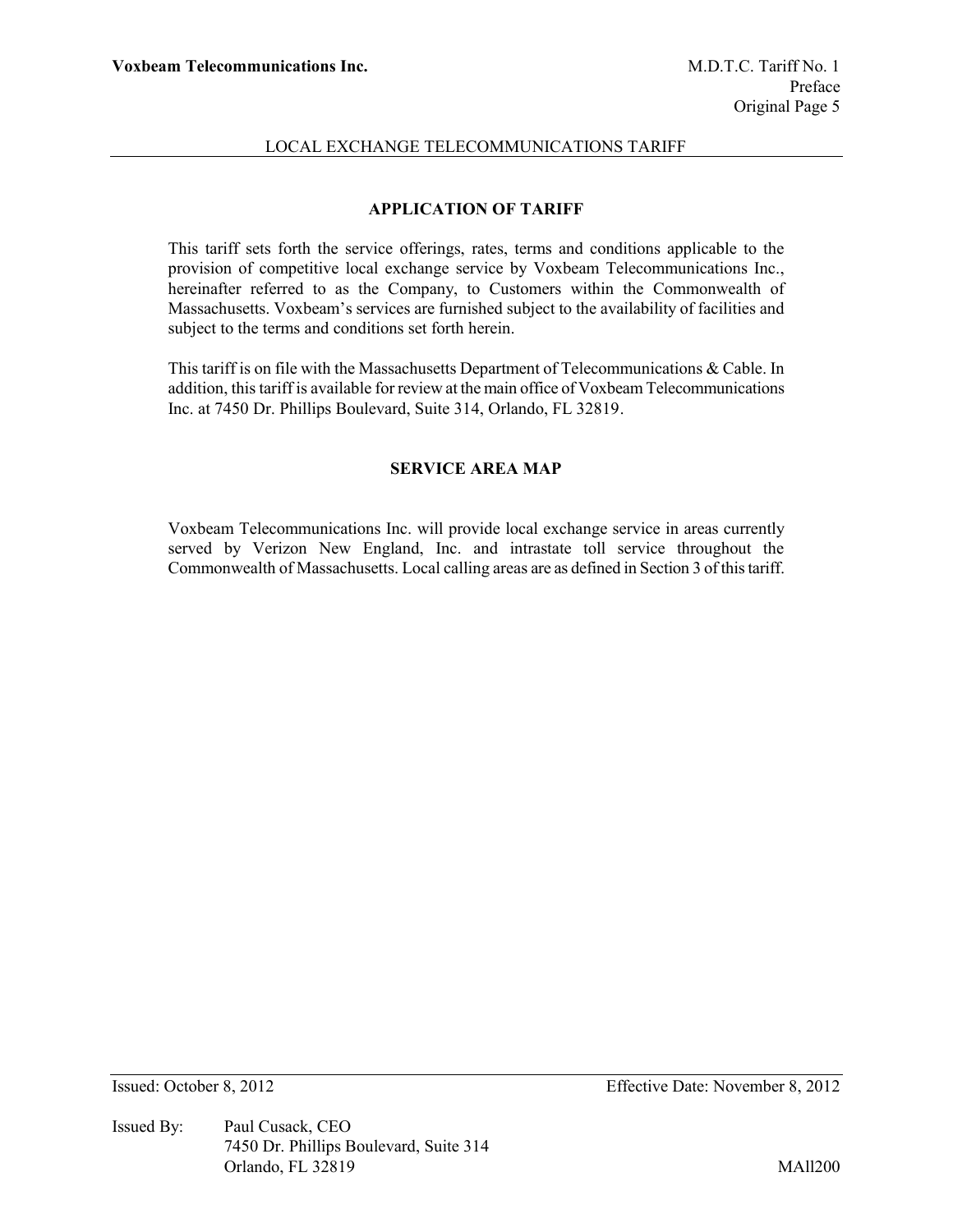# **APPLICATION OF TARIFF**

This tariff sets forth the service offerings, rates, terms and conditions applicable to the provision of competitive local exchange service by Voxbeam Telecommunications Inc., hereinafter referred to as the Company, to Customers within the Commonwealth of Massachusetts. Voxbeam's services are furnished subject to the availability of facilities and subject to the terms and conditions set forth herein.

This tariff is on file with the Massachusetts Department of Telecommunications & Cable. In addition, this tariff is available for review at the main office of Voxbeam Telecommunications Inc. at 7450 Dr. Phillips Boulevard, Suite 314, Orlando, FL 32819.

### **SERVICE AREA MAP**

Voxbeam Telecommunications Inc. will provide local exchange service in areas currently served by Verizon New England, Inc. and intrastate toll service throughout the Commonwealth of Massachusetts. Local calling areas are as defined in Section 3 of this tariff.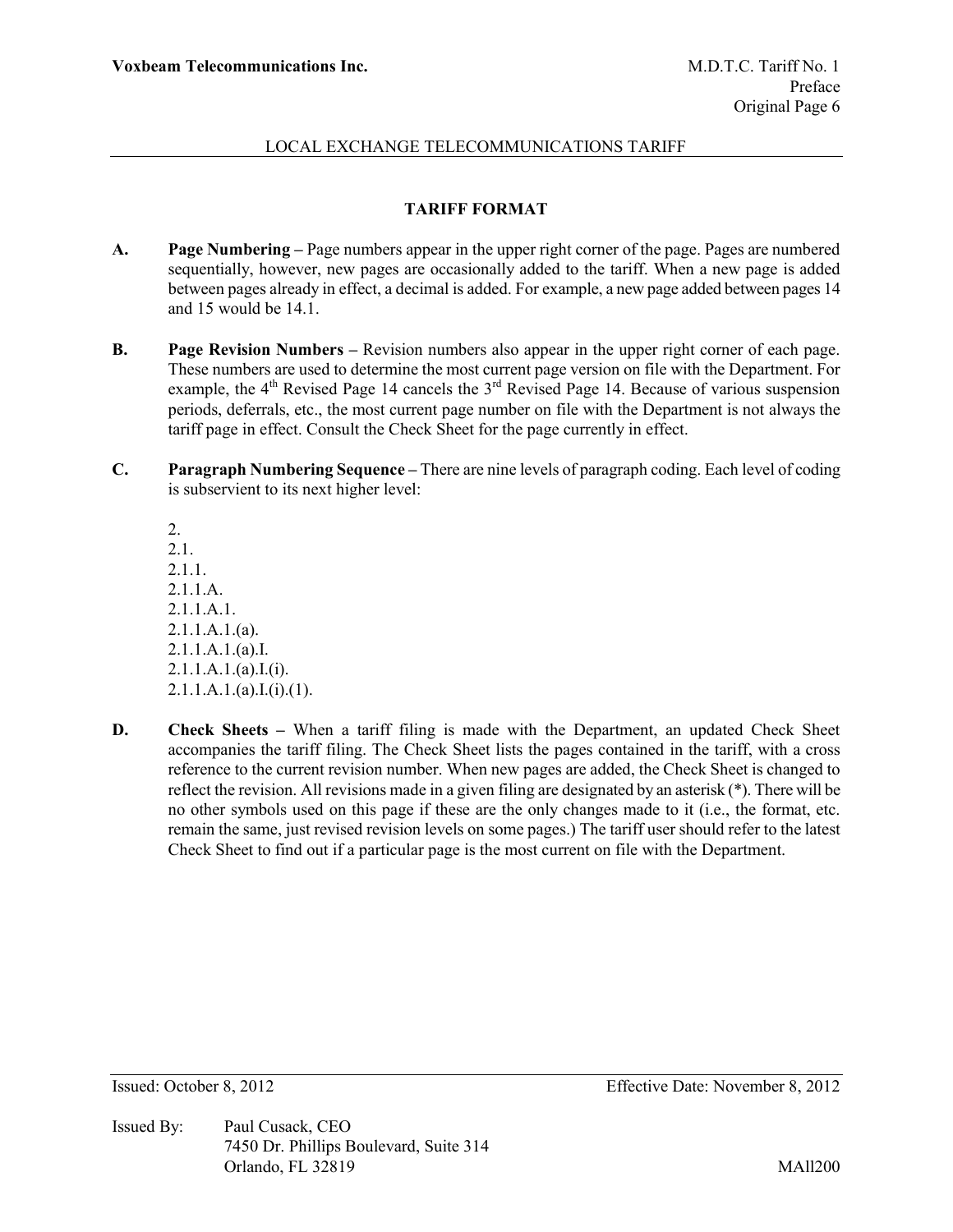## **TARIFF FORMAT**

- **A. Page Numbering –** Page numbers appear in the upper right corner of the page. Pages are numbered sequentially, however, new pages are occasionally added to the tariff. When a new page is added between pages already in effect, a decimal is added. For example, a new page added between pages 14 and 15 would be 14.1.
- **B. Page Revision Numbers –** Revision numbers also appear in the upper right corner of each page. These numbers are used to determine the most current page version on file with the Department. For example, the  $4<sup>th</sup>$  Revised Page 14 cancels the  $3<sup>rd</sup>$  Revised Page 14. Because of various suspension periods, deferrals, etc., the most current page number on file with the Department is not always the tariff page in effect. Consult the Check Sheet for the page currently in effect.
- **C. Paragraph Numbering Sequence –** There are nine levels of paragraph coding. Each level of coding is subservient to its next higher level:

2. 2.1. 2.1.1. 2.1.1.A. 2.1.1.A.1. 2.1.1.A.1.(a). 2.1.1.A.1.(a).I.  $2.1.1.A.1.(a).I.(i).$  $2.1.1.A.1.(a).I.(i).(1).$ 

**D. Check Sheets –** When a tariff filing is made with the Department, an updated Check Sheet accompanies the tariff filing. The Check Sheet lists the pages contained in the tariff, with a cross reference to the current revision number. When new pages are added, the Check Sheet is changed to reflect the revision. All revisions made in a given filing are designated by an asterisk (\*). There will be no other symbols used on this page if these are the only changes made to it (i.e., the format, etc. remain the same, just revised revision levels on some pages.) The tariff user should refer to the latest Check Sheet to find out if a particular page is the most current on file with the Department.

Issued By: Paul Cusack, CEO 7450 Dr. Phillips Boulevard, Suite 314 Orlando, FL 32819 MAll200

Issued: October 8, 2012 Effective Date: November 8, 2012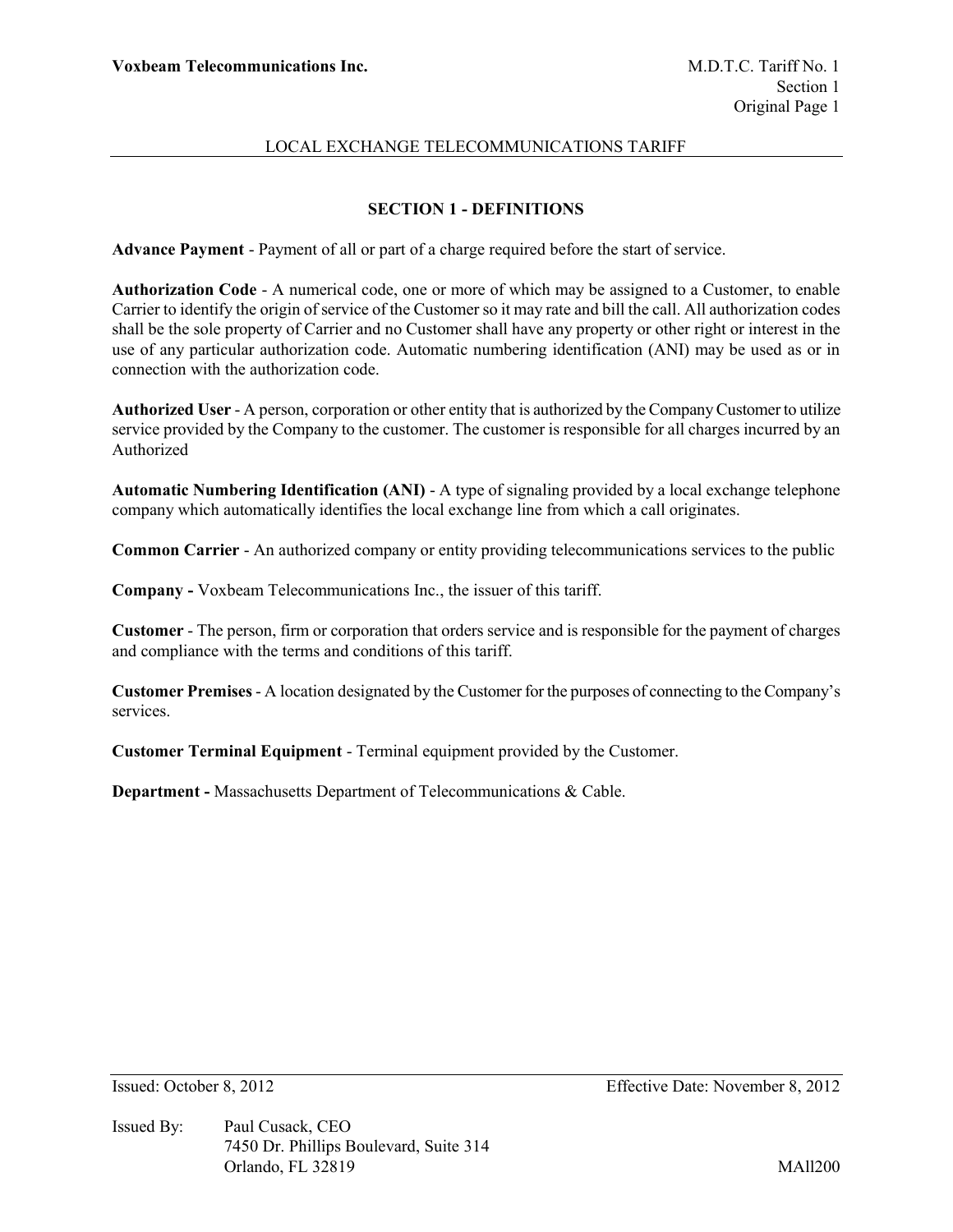## **SECTION 1 - DEFINITIONS**

**Advance Payment** - Payment of all or part of a charge required before the start of service.

**Authorization Code** - A numerical code, one or more of which may be assigned to a Customer, to enable Carrier to identify the origin of service of the Customer so it may rate and bill the call. All authorization codes shall be the sole property of Carrier and no Customer shall have any property or other right or interest in the use of any particular authorization code. Automatic numbering identification (ANI) may be used as or in connection with the authorization code.

**Authorized User** - A person, corporation or other entity that is authorized by the Company Customer to utilize service provided by the Company to the customer. The customer is responsible for all charges incurred by an Authorized

**Automatic Numbering Identification (ANI)** - A type of signaling provided by a local exchange telephone company which automatically identifies the local exchange line from which a call originates.

**Common Carrier** - An authorized company or entity providing telecommunications services to the public

**Company -** Voxbeam Telecommunications Inc., the issuer of this tariff.

**Customer** - The person, firm or corporation that orders service and is responsible for the payment of charges and compliance with the terms and conditions of this tariff.

**Customer Premises** - A location designated by the Customer for the purposes of connecting to the Company's services.

**Customer Terminal Equipment** - Terminal equipment provided by the Customer.

**Department -** Massachusetts Department of Telecommunications & Cable.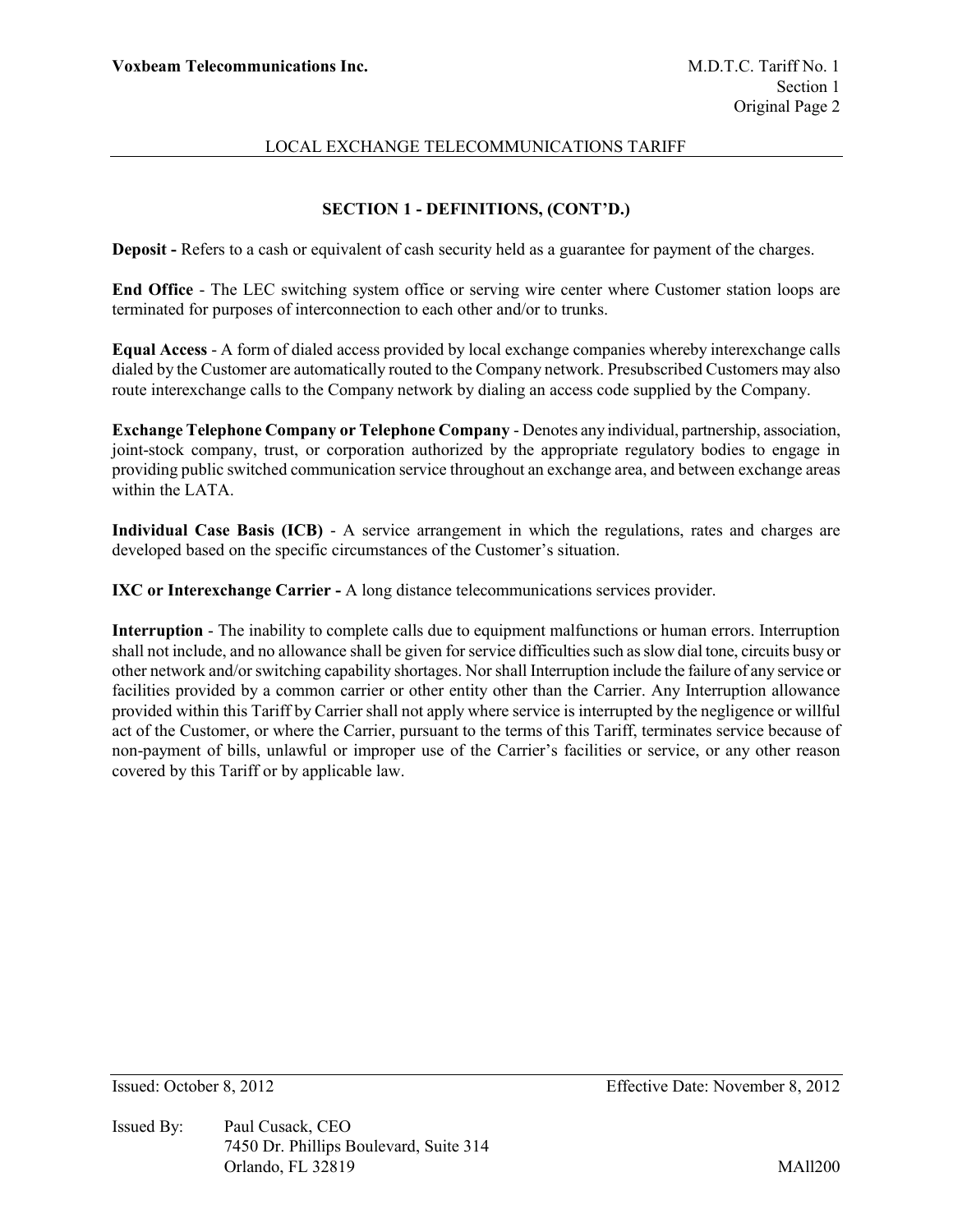## **SECTION 1 - DEFINITIONS, (CONT'D.)**

**Deposit -** Refers to a cash or equivalent of cash security held as a guarantee for payment of the charges.

**End Office** - The LEC switching system office or serving wire center where Customer station loops are terminated for purposes of interconnection to each other and/or to trunks.

**Equal Access** - A form of dialed access provided by local exchange companies whereby interexchange calls dialed by the Customer are automatically routed to the Company network. Presubscribed Customers may also route interexchange calls to the Company network by dialing an access code supplied by the Company.

**Exchange Telephone Company or Telephone Company** - Denotes any individual, partnership, association, joint-stock company, trust, or corporation authorized by the appropriate regulatory bodies to engage in providing public switched communication service throughout an exchange area, and between exchange areas within the LATA.

**Individual Case Basis (ICB)** - A service arrangement in which the regulations, rates and charges are developed based on the specific circumstances of the Customer's situation.

**IXC or Interexchange Carrier -** A long distance telecommunications services provider.

**Interruption** - The inability to complete calls due to equipment malfunctions or human errors. Interruption shall not include, and no allowance shall be given for service difficulties such as slow dial tone, circuits busy or other network and/or switching capability shortages. Nor shall Interruption include the failure of any service or facilities provided by a common carrier or other entity other than the Carrier. Any Interruption allowance provided within this Tariff by Carrier shall not apply where service is interrupted by the negligence or willful act of the Customer, or where the Carrier, pursuant to the terms of this Tariff, terminates service because of non-payment of bills, unlawful or improper use of the Carrier's facilities or service, or any other reason covered by this Tariff or by applicable law.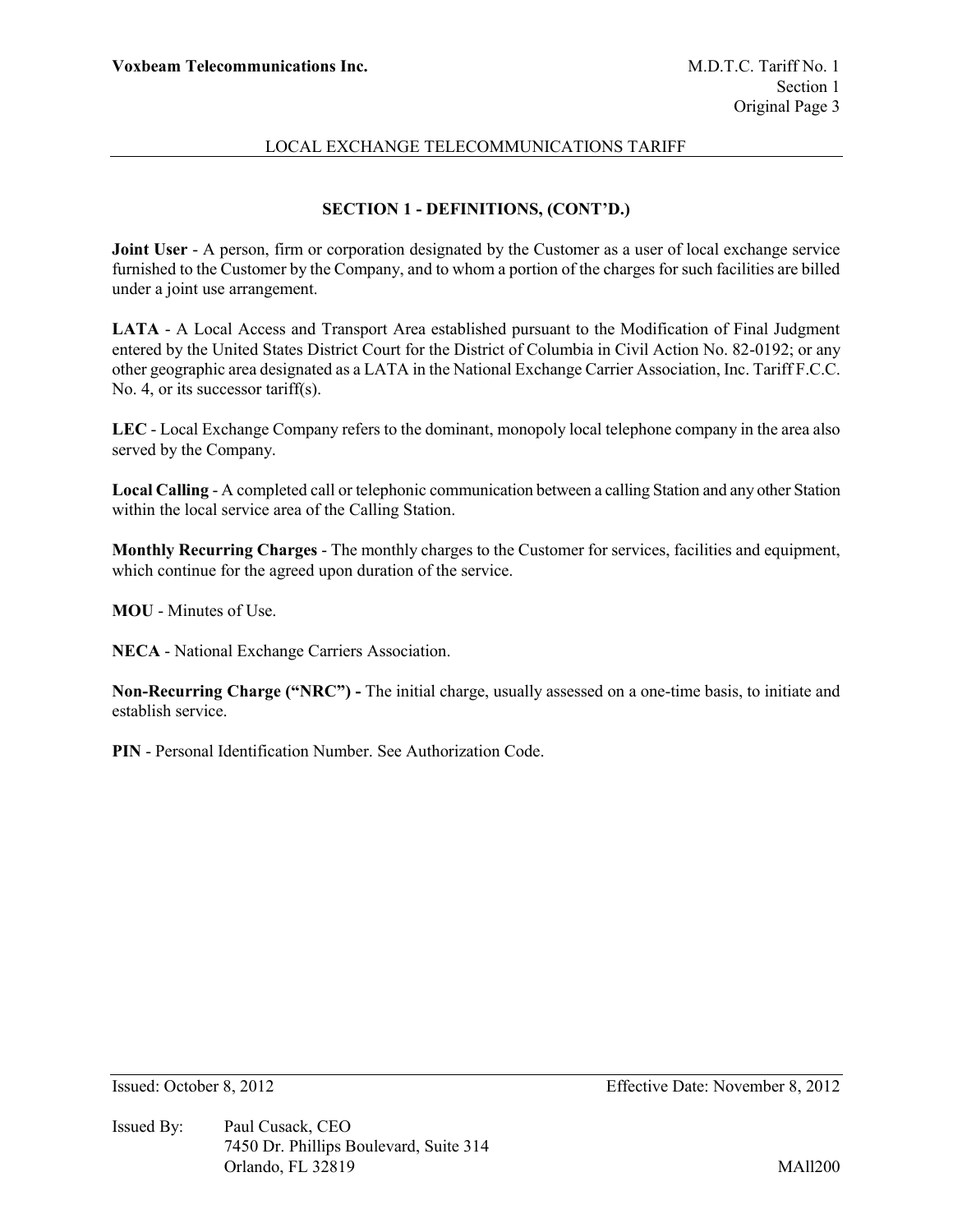# **SECTION 1 - DEFINITIONS, (CONT'D.)**

**Joint User** - A person, firm or corporation designated by the Customer as a user of local exchange service furnished to the Customer by the Company, and to whom a portion of the charges for such facilities are billed under a joint use arrangement.

**LATA** - A Local Access and Transport Area established pursuant to the Modification of Final Judgment entered by the United States District Court for the District of Columbia in Civil Action No. 82-0192; or any other geographic area designated as a LATA in the National Exchange Carrier Association, Inc. Tariff F.C.C. No. 4, or its successor tariff(s).

**LEC** - Local Exchange Company refers to the dominant, monopoly local telephone company in the area also served by the Company.

**Local Calling** - A completed call or telephonic communication between a calling Station and any other Station within the local service area of the Calling Station.

**Monthly Recurring Charges** - The monthly charges to the Customer for services, facilities and equipment, which continue for the agreed upon duration of the service.

**MOU** - Minutes of Use.

**NECA** - National Exchange Carriers Association.

**Non-Recurring Charge ("NRC") -** The initial charge, usually assessed on a one-time basis, to initiate and establish service.

**PIN** - Personal Identification Number. See Authorization Code.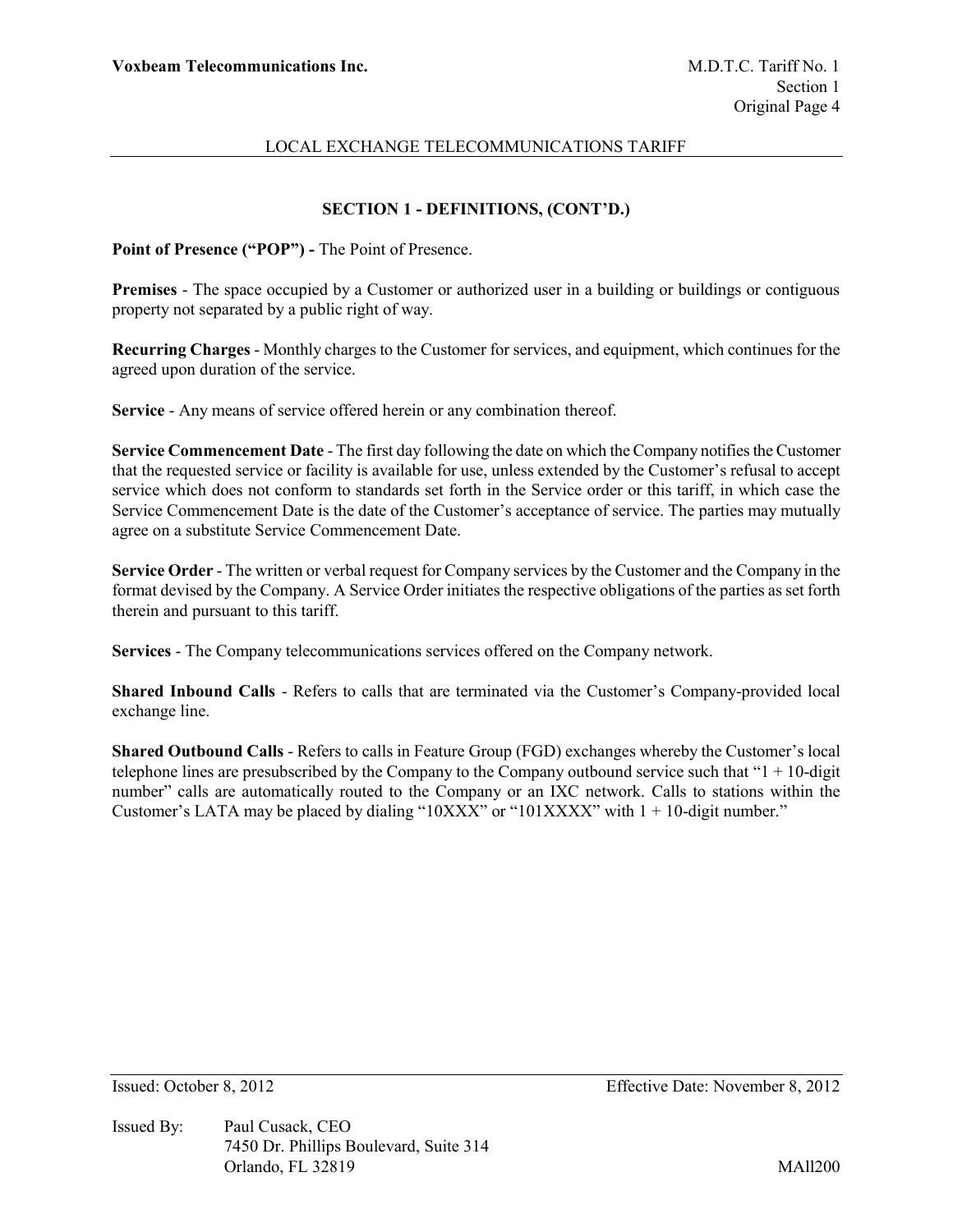# **SECTION 1 - DEFINITIONS, (CONT'D.)**

**Point of Presence ("POP") -** The Point of Presence.

**Premises** - The space occupied by a Customer or authorized user in a building or buildings or contiguous property not separated by a public right of way.

**Recurring Charges** - Monthly charges to the Customer for services, and equipment, which continues for the agreed upon duration of the service.

**Service** - Any means of service offered herein or any combination thereof.

**Service Commencement Date** - The first day following the date on which the Company notifies the Customer that the requested service or facility is available for use, unless extended by the Customer's refusal to accept service which does not conform to standards set forth in the Service order or this tariff, in which case the Service Commencement Date is the date of the Customer's acceptance of service. The parties may mutually agree on a substitute Service Commencement Date.

**Service Order** - The written or verbal request for Company services by the Customer and the Company in the format devised by the Company. A Service Order initiates the respective obligations of the parties as set forth therein and pursuant to this tariff.

**Services** - The Company telecommunications services offered on the Company network.

**Shared Inbound Calls** - Refers to calls that are terminated via the Customer's Company-provided local exchange line.

**Shared Outbound Calls** - Refers to calls in Feature Group (FGD) exchanges whereby the Customer's local telephone lines are presubscribed by the Company to the Company outbound service such that " $1 + 10$ -digit" number" calls are automatically routed to the Company or an IXC network. Calls to stations within the Customer's LATA may be placed by dialing "10XXX" or "101XXXX" with  $1 + 10$ -digit number."

Issued By: Paul Cusack, CEO 7450 Dr. Phillips Boulevard, Suite 314 Orlando, FL 32819 MAll200

Issued: October 8, 2012 Effective Date: November 8, 2012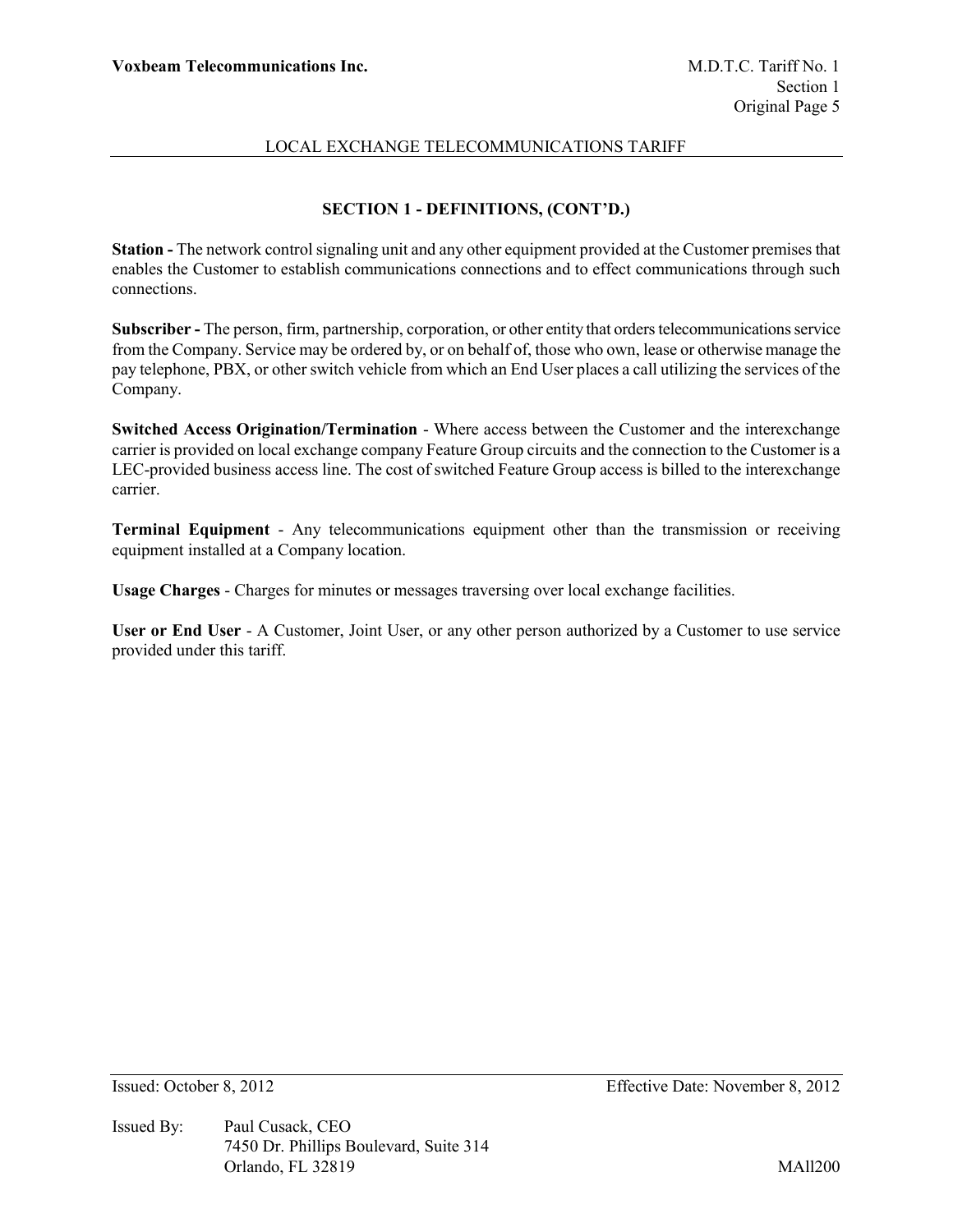# **SECTION 1 - DEFINITIONS, (CONT'D.)**

**Station -** The network control signaling unit and any other equipment provided at the Customer premises that enables the Customer to establish communications connections and to effect communications through such connections.

**Subscriber -** The person, firm, partnership, corporation, or other entity that orders telecommunications service from the Company. Service may be ordered by, or on behalf of, those who own, lease or otherwise manage the pay telephone, PBX, or other switch vehicle from which an End User places a call utilizing the services of the Company.

**Switched Access Origination/Termination** - Where access between the Customer and the interexchange carrier is provided on local exchange company Feature Group circuits and the connection to the Customer is a LEC-provided business access line. The cost of switched Feature Group access is billed to the interexchange carrier.

**Terminal Equipment** - Any telecommunications equipment other than the transmission or receiving equipment installed at a Company location.

**Usage Charges** - Charges for minutes or messages traversing over local exchange facilities.

**User or End User** - A Customer, Joint User, or any other person authorized by a Customer to use service provided under this tariff.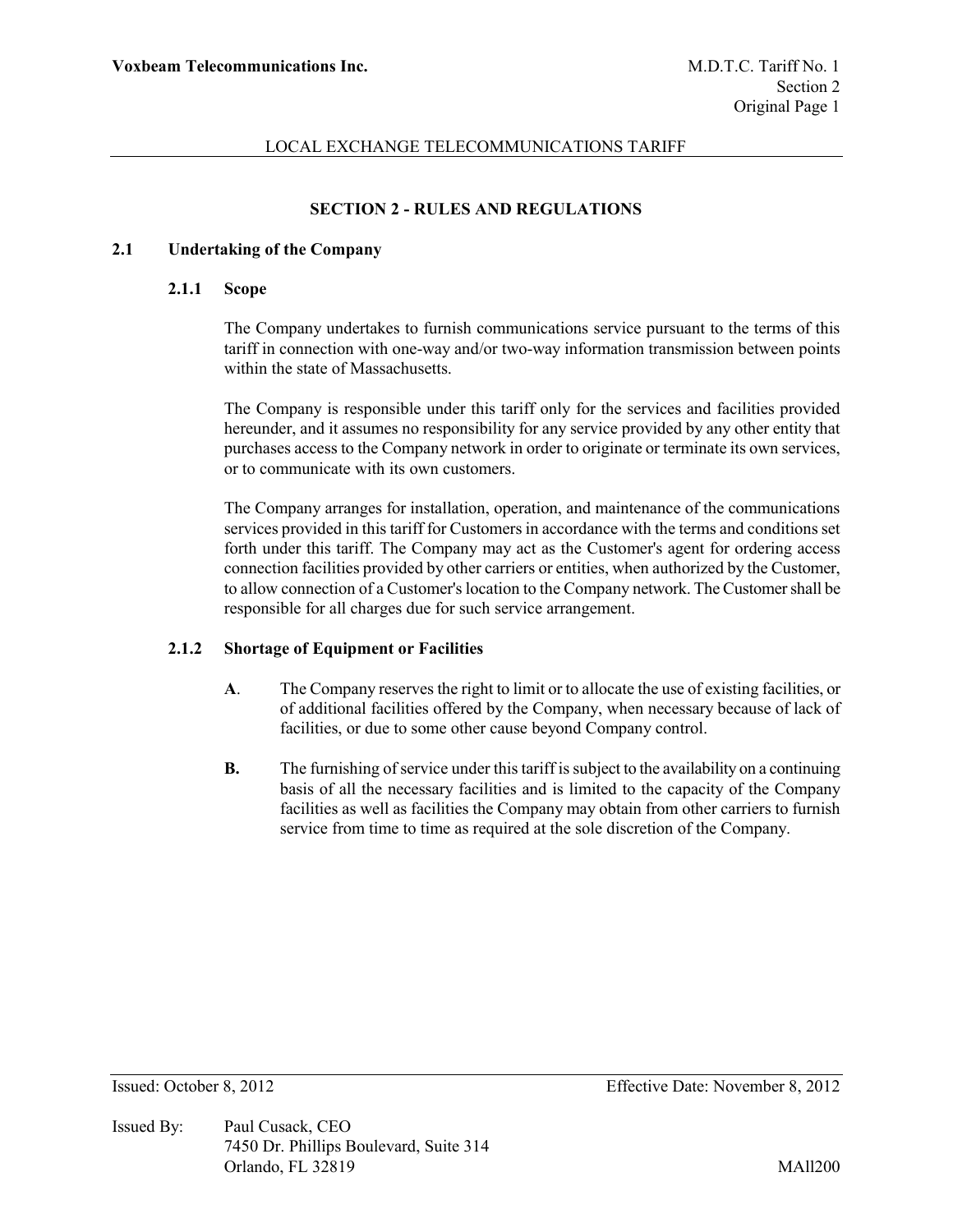# **SECTION 2 - RULES AND REGULATIONS**

### **2.1 Undertaking of the Company**

### **2.1.1 Scope**

The Company undertakes to furnish communications service pursuant to the terms of this tariff in connection with one-way and/or two-way information transmission between points within the state of Massachusetts.

The Company is responsible under this tariff only for the services and facilities provided hereunder, and it assumes no responsibility for any service provided by any other entity that purchases access to the Company network in order to originate or terminate its own services, or to communicate with its own customers.

The Company arranges for installation, operation, and maintenance of the communications services provided in this tariff for Customers in accordance with the terms and conditions set forth under this tariff. The Company may act as the Customer's agent for ordering access connection facilities provided by other carriers or entities, when authorized by the Customer, to allow connection of a Customer's location to the Company network. The Customer shall be responsible for all charges due for such service arrangement.

### **2.1.2 Shortage of Equipment or Facilities**

- **A**. The Company reserves the right to limit or to allocate the use of existing facilities, or of additional facilities offered by the Company, when necessary because of lack of facilities, or due to some other cause beyond Company control.
- **B.** The furnishing of service under this tariff is subject to the availability on a continuing basis of all the necessary facilities and is limited to the capacity of the Company facilities as well as facilities the Company may obtain from other carriers to furnish service from time to time as required at the sole discretion of the Company.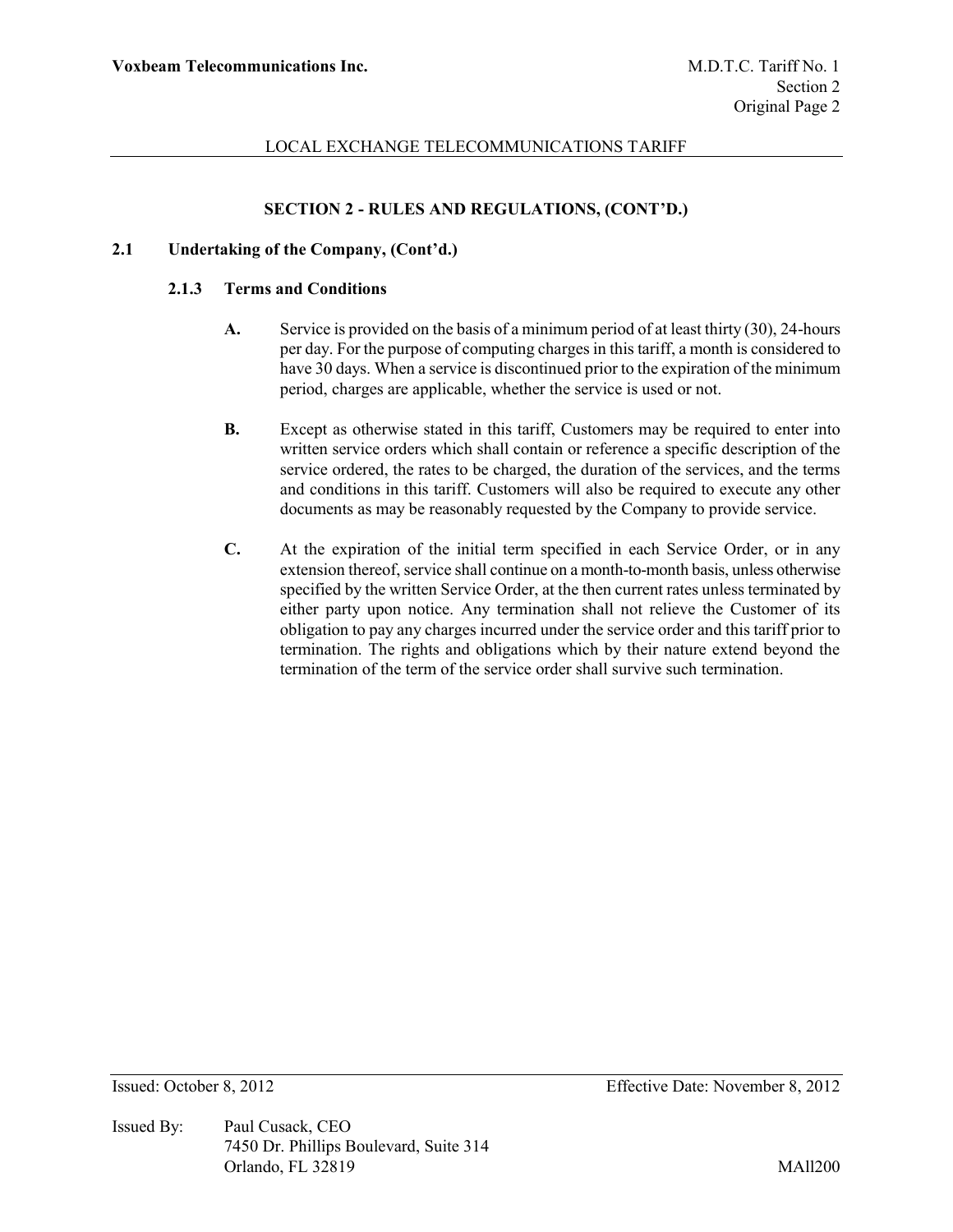# **SECTION 2 - RULES AND REGULATIONS, (CONT'D.)**

### **2.1 Undertaking of the Company, (Cont'd.)**

#### **2.1.3 Terms and Conditions**

- **A.** Service is provided on the basis of a minimum period of at least thirty (30), 24-hours per day. For the purpose of computing charges in this tariff, a month is considered to have 30 days. When a service is discontinued prior to the expiration of the minimum period, charges are applicable, whether the service is used or not.
- **B.** Except as otherwise stated in this tariff, Customers may be required to enter into written service orders which shall contain or reference a specific description of the service ordered, the rates to be charged, the duration of the services, and the terms and conditions in this tariff. Customers will also be required to execute any other documents as may be reasonably requested by the Company to provide service.
- **C.** At the expiration of the initial term specified in each Service Order, or in any extension thereof, service shall continue on a month-to-month basis, unless otherwise specified by the written Service Order, at the then current rates unless terminated by either party upon notice. Any termination shall not relieve the Customer of its obligation to pay any charges incurred under the service order and this tariff prior to termination. The rights and obligations which by their nature extend beyond the termination of the term of the service order shall survive such termination.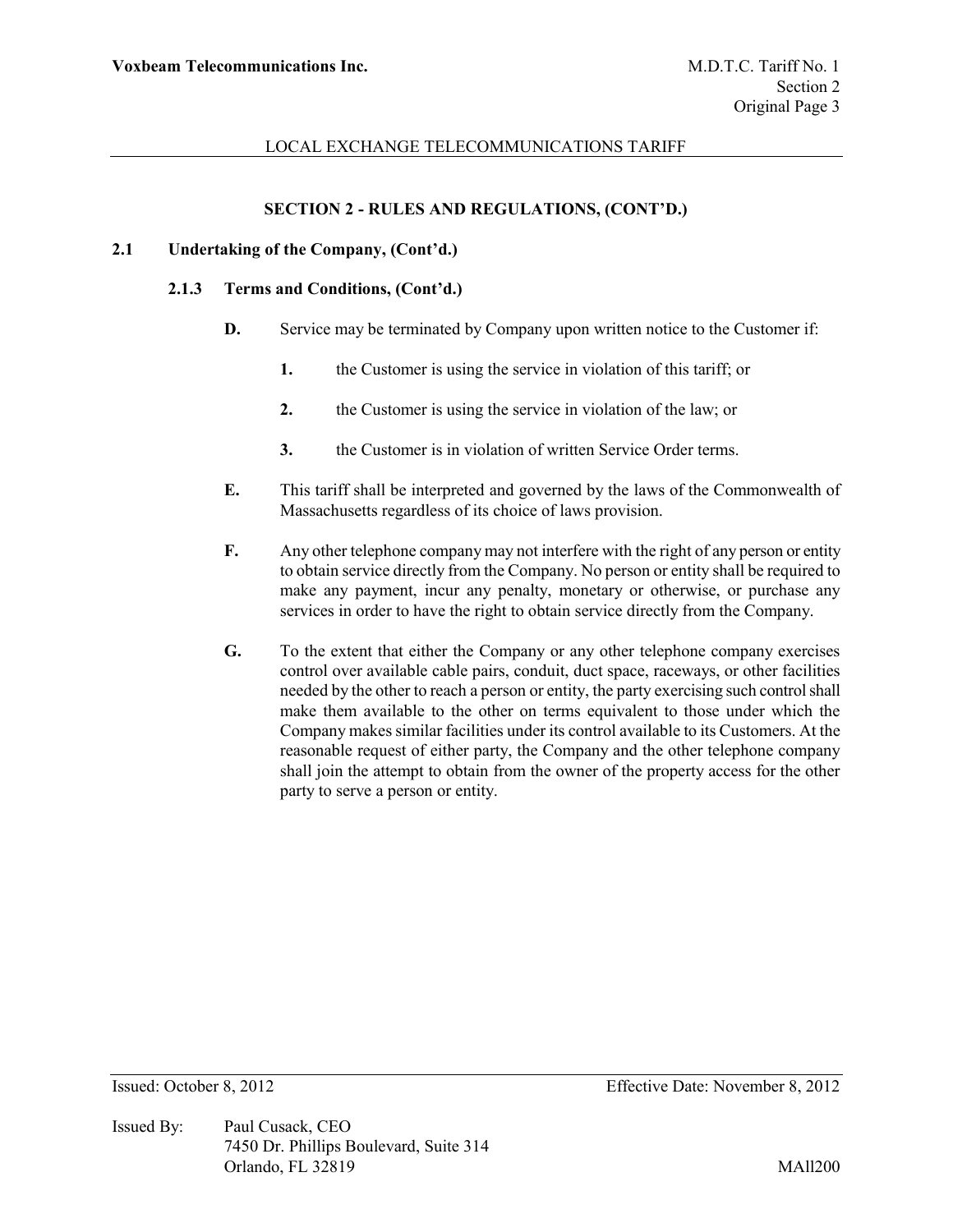### **SECTION 2 - RULES AND REGULATIONS, (CONT'D.)**

### **2.1 Undertaking of the Company, (Cont'd.)**

#### **2.1.3 Terms and Conditions, (Cont'd.)**

- **D.** Service may be terminated by Company upon written notice to the Customer if:
	- **1.** the Customer is using the service in violation of this tariff; or
	- **2.** the Customer is using the service in violation of the law; or
	- **3.** the Customer is in violation of written Service Order terms.
- **E.** This tariff shall be interpreted and governed by the laws of the Commonwealth of Massachusetts regardless of its choice of laws provision.
- **F.** Any other telephone company may not interfere with the right of any person or entity to obtain service directly from the Company. No person or entity shall be required to make any payment, incur any penalty, monetary or otherwise, or purchase any services in order to have the right to obtain service directly from the Company.
- **G.** To the extent that either the Company or any other telephone company exercises control over available cable pairs, conduit, duct space, raceways, or other facilities needed by the other to reach a person or entity, the party exercising such control shall make them available to the other on terms equivalent to those under which the Company makes similar facilities under its control available to its Customers. At the reasonable request of either party, the Company and the other telephone company shall join the attempt to obtain from the owner of the property access for the other party to serve a person or entity.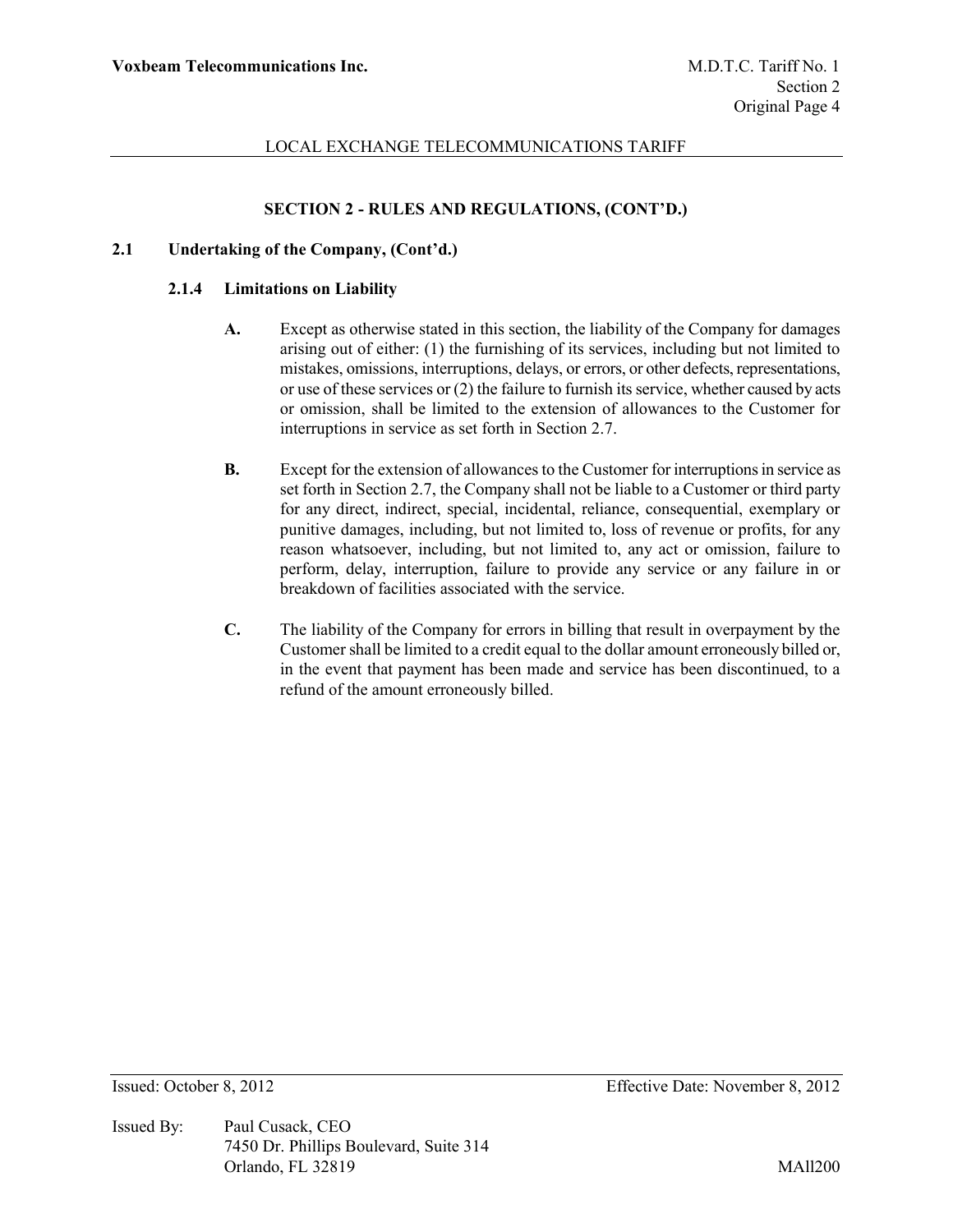# **SECTION 2 - RULES AND REGULATIONS, (CONT'D.)**

### **2.1 Undertaking of the Company, (Cont'd.)**

#### **2.1.4 Limitations on Liability**

- **A.** Except as otherwise stated in this section, the liability of the Company for damages arising out of either: (1) the furnishing of its services, including but not limited to mistakes, omissions, interruptions, delays, or errors, or other defects, representations, or use of these services or (2) the failure to furnish its service, whether caused by acts or omission, shall be limited to the extension of allowances to the Customer for interruptions in service as set forth in Section 2.7.
- **B.** Except for the extension of allowances to the Customer for interruptions in service as set forth in Section 2.7, the Company shall not be liable to a Customer or third party for any direct, indirect, special, incidental, reliance, consequential, exemplary or punitive damages, including, but not limited to, loss of revenue or profits, for any reason whatsoever, including, but not limited to, any act or omission, failure to perform, delay, interruption, failure to provide any service or any failure in or breakdown of facilities associated with the service.
- **C.** The liability of the Company for errors in billing that result in overpayment by the Customer shall be limited to a credit equal to the dollar amount erroneously billed or, in the event that payment has been made and service has been discontinued, to a refund of the amount erroneously billed.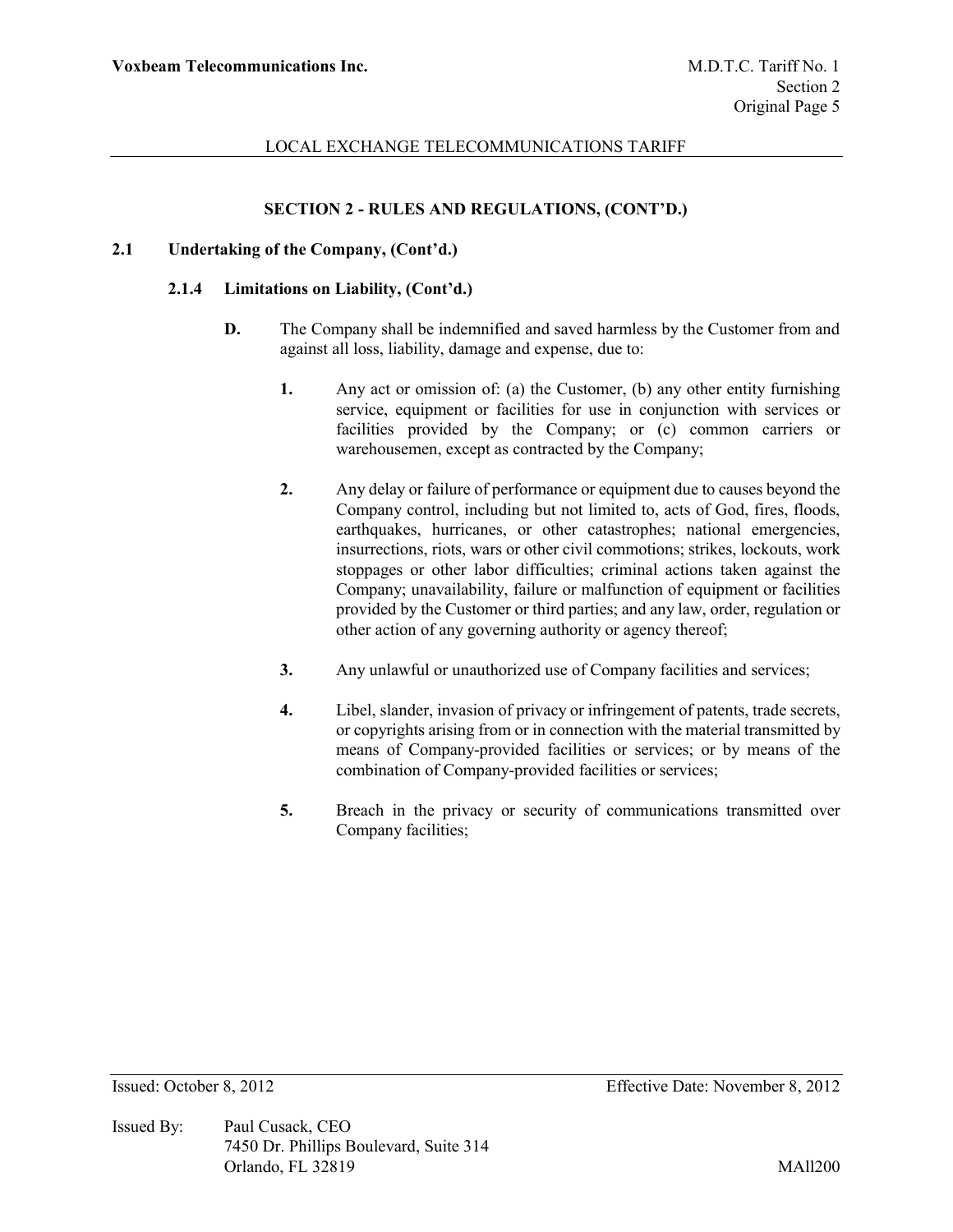# **SECTION 2 - RULES AND REGULATIONS, (CONT'D.)**

### **2.1 Undertaking of the Company, (Cont'd.)**

#### **2.1.4 Limitations on Liability, (Cont'd.)**

- **D.** The Company shall be indemnified and saved harmless by the Customer from and against all loss, liability, damage and expense, due to:
	- **1.** Any act or omission of: (a) the Customer, (b) any other entity furnishing service, equipment or facilities for use in conjunction with services or facilities provided by the Company; or (c) common carriers or warehousemen, except as contracted by the Company;
	- **2.** Any delay or failure of performance or equipment due to causes beyond the Company control, including but not limited to, acts of God, fires, floods, earthquakes, hurricanes, or other catastrophes; national emergencies, insurrections, riots, wars or other civil commotions; strikes, lockouts, work stoppages or other labor difficulties; criminal actions taken against the Company; unavailability, failure or malfunction of equipment or facilities provided by the Customer or third parties; and any law, order, regulation or other action of any governing authority or agency thereof;
	- **3.** Any unlawful or unauthorized use of Company facilities and services;
	- **4.** Libel, slander, invasion of privacy or infringement of patents, trade secrets, or copyrights arising from or in connection with the material transmitted by means of Company-provided facilities or services; or by means of the combination of Company-provided facilities or services;
	- **5.** Breach in the privacy or security of communications transmitted over Company facilities;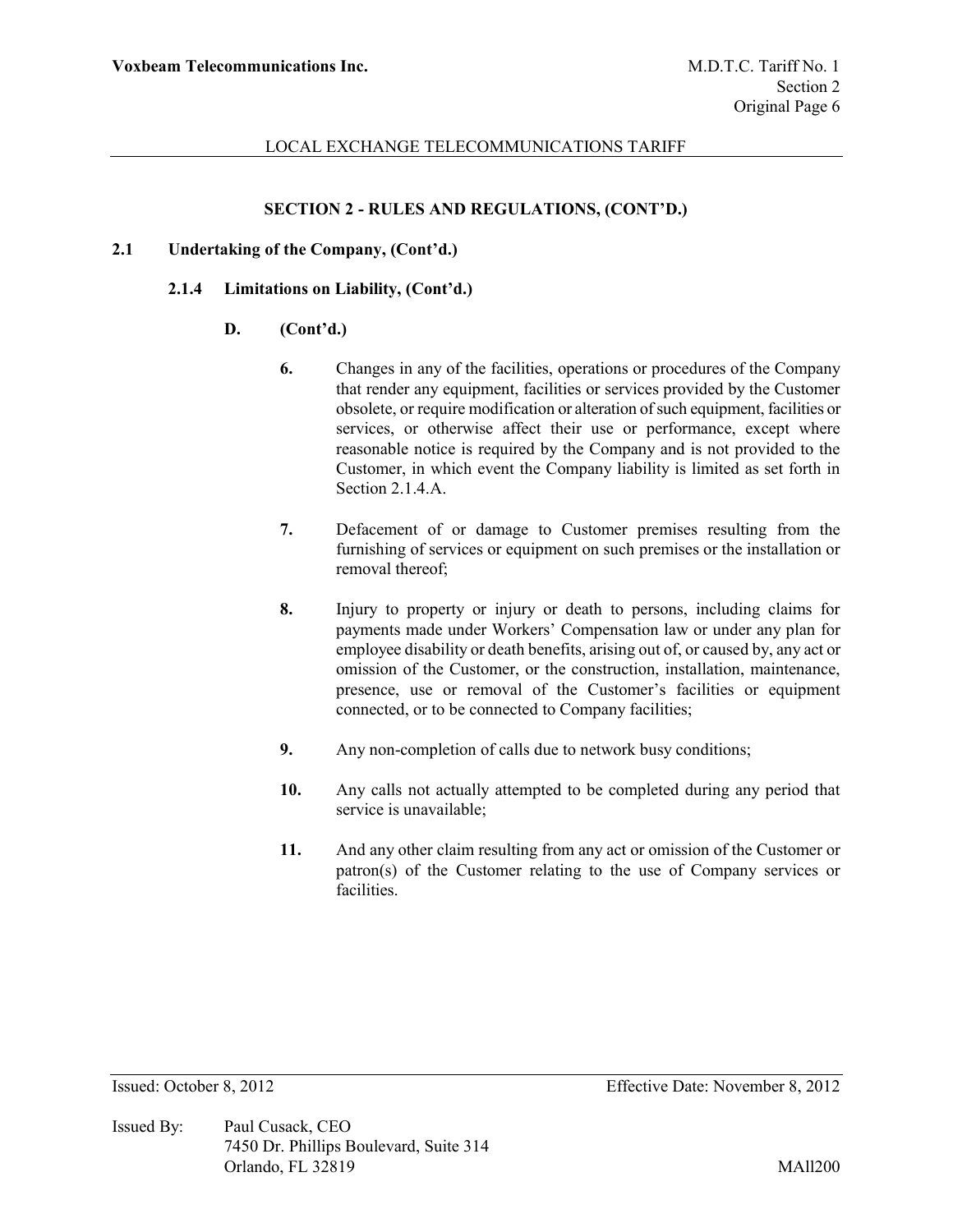### **SECTION 2 - RULES AND REGULATIONS, (CONT'D.)**

### **2.1 Undertaking of the Company, (Cont'd.)**

#### **2.1.4 Limitations on Liability, (Cont'd.)**

- **D. (Cont'd.)**
	- **6.** Changes in any of the facilities, operations or procedures of the Company that render any equipment, facilities or services provided by the Customer obsolete, or require modification or alteration of such equipment, facilities or services, or otherwise affect their use or performance, except where reasonable notice is required by the Company and is not provided to the Customer, in which event the Company liability is limited as set forth in Section 2.1.4.A.
	- **7.** Defacement of or damage to Customer premises resulting from the furnishing of services or equipment on such premises or the installation or removal thereof;
	- **8.** Injury to property or injury or death to persons, including claims for payments made under Workers' Compensation law or under any plan for employee disability or death benefits, arising out of, or caused by, any act or omission of the Customer, or the construction, installation, maintenance, presence, use or removal of the Customer's facilities or equipment connected, or to be connected to Company facilities;
	- **9.** Any non-completion of calls due to network busy conditions;
	- **10.** Any calls not actually attempted to be completed during any period that service is unavailable;
	- **11.** And any other claim resulting from any act or omission of the Customer or patron(s) of the Customer relating to the use of Company services or facilities.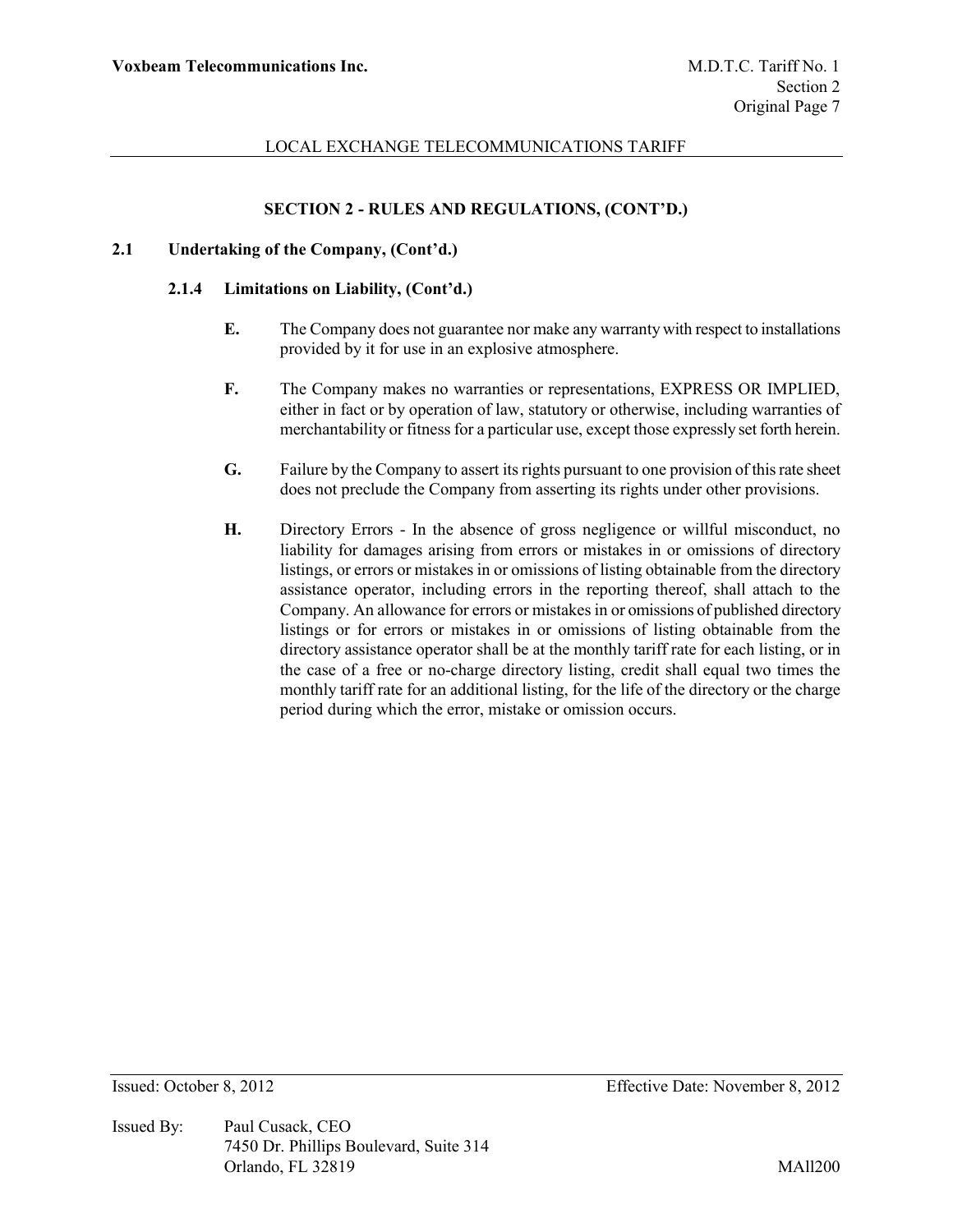# **SECTION 2 - RULES AND REGULATIONS, (CONT'D.)**

### **2.1 Undertaking of the Company, (Cont'd.)**

#### **2.1.4 Limitations on Liability, (Cont'd.)**

- **E.** The Company does not guarantee nor make any warranty with respect to installations provided by it for use in an explosive atmosphere.
- **F.** The Company makes no warranties or representations, EXPRESS OR IMPLIED, either in fact or by operation of law, statutory or otherwise, including warranties of merchantability or fitness for a particular use, except those expressly set forth herein.
- **G.** Failure by the Company to assert its rights pursuant to one provision of this rate sheet does not preclude the Company from asserting its rights under other provisions.
- **H.** Directory Errors In the absence of gross negligence or willful misconduct, no liability for damages arising from errors or mistakes in or omissions of directory listings, or errors or mistakes in or omissions of listing obtainable from the directory assistance operator, including errors in the reporting thereof, shall attach to the Company. An allowance for errors or mistakes in or omissions of published directory listings or for errors or mistakes in or omissions of listing obtainable from the directory assistance operator shall be at the monthly tariff rate for each listing, or in the case of a free or no-charge directory listing, credit shall equal two times the monthly tariff rate for an additional listing, for the life of the directory or the charge period during which the error, mistake or omission occurs.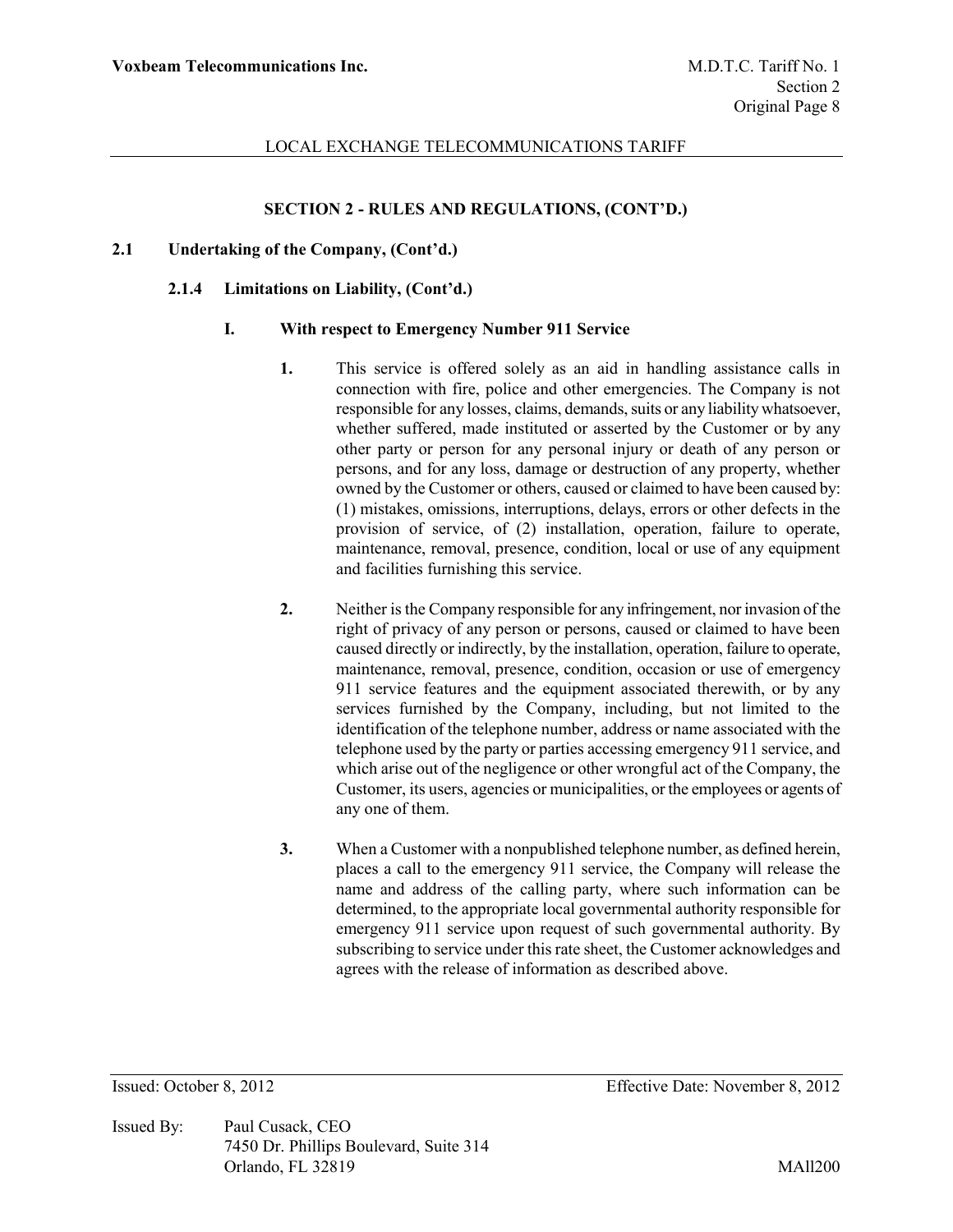#### **SECTION 2 - RULES AND REGULATIONS, (CONT'D.)**

#### **2.1 Undertaking of the Company, (Cont'd.)**

#### **2.1.4 Limitations on Liability, (Cont'd.)**

#### **I. With respect to Emergency Number 911 Service**

- **1.** This service is offered solely as an aid in handling assistance calls in connection with fire, police and other emergencies. The Company is not responsible for any losses, claims, demands, suits or any liability whatsoever, whether suffered, made instituted or asserted by the Customer or by any other party or person for any personal injury or death of any person or persons, and for any loss, damage or destruction of any property, whether owned by the Customer or others, caused or claimed to have been caused by: (1) mistakes, omissions, interruptions, delays, errors or other defects in the provision of service, of (2) installation, operation, failure to operate, maintenance, removal, presence, condition, local or use of any equipment and facilities furnishing this service.
- **2.** Neither is the Company responsible for any infringement, nor invasion of the right of privacy of any person or persons, caused or claimed to have been caused directly or indirectly, by the installation, operation, failure to operate, maintenance, removal, presence, condition, occasion or use of emergency 911 service features and the equipment associated therewith, or by any services furnished by the Company, including, but not limited to the identification of the telephone number, address or name associated with the telephone used by the party or parties accessing emergency 911 service, and which arise out of the negligence or other wrongful act of the Company, the Customer, its users, agencies or municipalities, or the employees or agents of any one of them.
- **3.** When a Customer with a nonpublished telephone number, as defined herein, places a call to the emergency 911 service, the Company will release the name and address of the calling party, where such information can be determined, to the appropriate local governmental authority responsible for emergency 911 service upon request of such governmental authority. By subscribing to service under this rate sheet, the Customer acknowledges and agrees with the release of information as described above.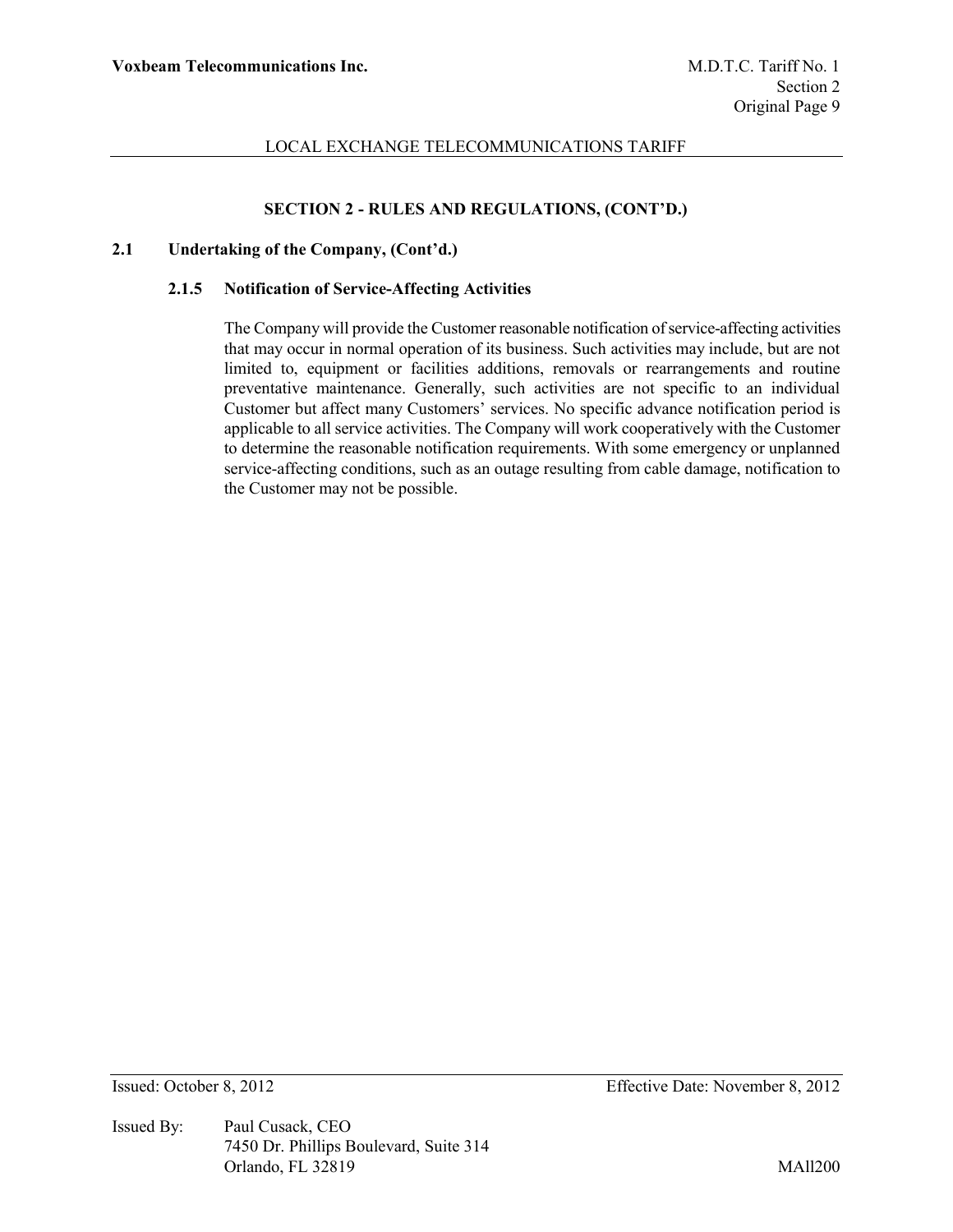# **SECTION 2 - RULES AND REGULATIONS, (CONT'D.)**

### **2.1 Undertaking of the Company, (Cont'd.)**

#### **2.1.5 Notification of Service-Affecting Activities**

The Company will provide the Customer reasonable notification of service-affecting activities that may occur in normal operation of its business. Such activities may include, but are not limited to, equipment or facilities additions, removals or rearrangements and routine preventative maintenance. Generally, such activities are not specific to an individual Customer but affect many Customers' services. No specific advance notification period is applicable to all service activities. The Company will work cooperatively with the Customer to determine the reasonable notification requirements. With some emergency or unplanned service-affecting conditions, such as an outage resulting from cable damage, notification to the Customer may not be possible.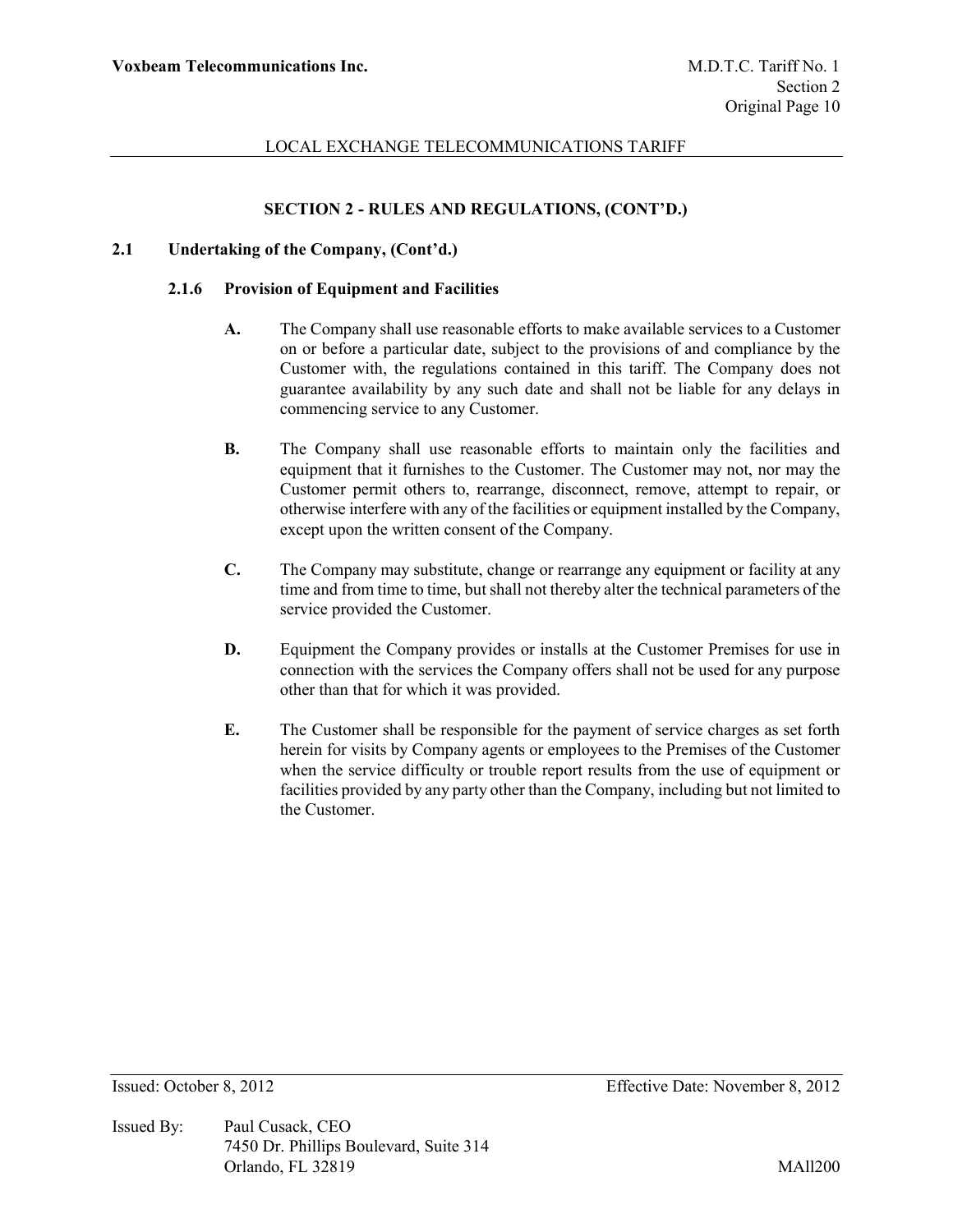# **SECTION 2 - RULES AND REGULATIONS, (CONT'D.)**

### **2.1 Undertaking of the Company, (Cont'd.)**

#### **2.1.6 Provision of Equipment and Facilities**

- **A.** The Company shall use reasonable efforts to make available services to a Customer on or before a particular date, subject to the provisions of and compliance by the Customer with, the regulations contained in this tariff. The Company does not guarantee availability by any such date and shall not be liable for any delays in commencing service to any Customer.
- **B.** The Company shall use reasonable efforts to maintain only the facilities and equipment that it furnishes to the Customer. The Customer may not, nor may the Customer permit others to, rearrange, disconnect, remove, attempt to repair, or otherwise interfere with any of the facilities or equipment installed by the Company, except upon the written consent of the Company.
- **C.** The Company may substitute, change or rearrange any equipment or facility at any time and from time to time, but shall not thereby alter the technical parameters of the service provided the Customer.
- **D.** Equipment the Company provides or installs at the Customer Premises for use in connection with the services the Company offers shall not be used for any purpose other than that for which it was provided.
- **E.** The Customer shall be responsible for the payment of service charges as set forth herein for visits by Company agents or employees to the Premises of the Customer when the service difficulty or trouble report results from the use of equipment or facilities provided by any party other than the Company, including but not limited to the Customer.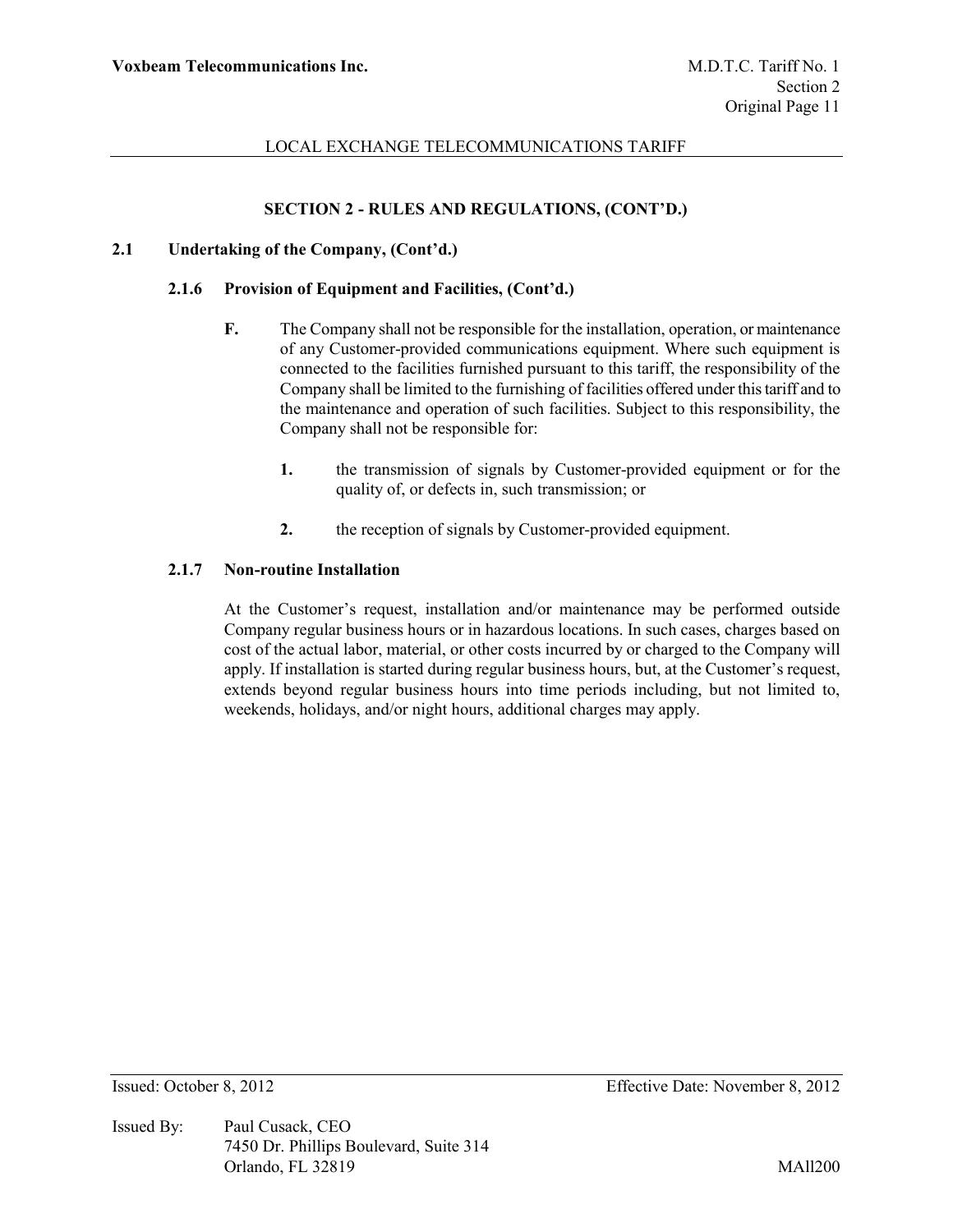# **SECTION 2 - RULES AND REGULATIONS, (CONT'D.)**

### **2.1 Undertaking of the Company, (Cont'd.)**

#### **2.1.6 Provision of Equipment and Facilities, (Cont'd.)**

- **F.** The Company shall not be responsible for the installation, operation, or maintenance of any Customer-provided communications equipment. Where such equipment is connected to the facilities furnished pursuant to this tariff, the responsibility of the Company shall be limited to the furnishing of facilities offered under this tariff and to the maintenance and operation of such facilities. Subject to this responsibility, the Company shall not be responsible for:
	- **1.** the transmission of signals by Customer-provided equipment or for the quality of, or defects in, such transmission; or
	- **2.** the reception of signals by Customer-provided equipment.

#### **2.1.7 Non-routine Installation**

At the Customer's request, installation and/or maintenance may be performed outside Company regular business hours or in hazardous locations. In such cases, charges based on cost of the actual labor, material, or other costs incurred by or charged to the Company will apply. If installation is started during regular business hours, but, at the Customer's request, extends beyond regular business hours into time periods including, but not limited to, weekends, holidays, and/or night hours, additional charges may apply.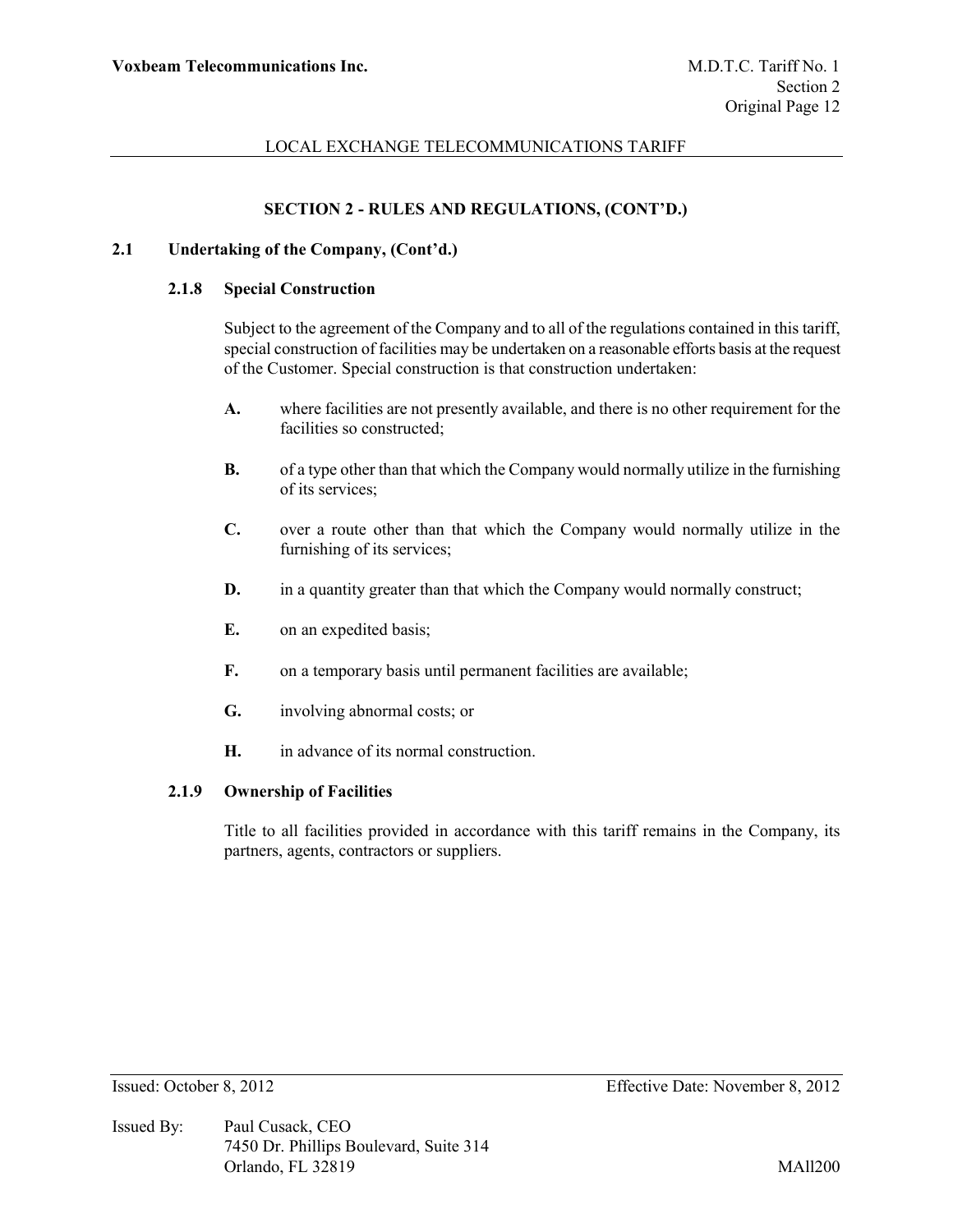## **SECTION 2 - RULES AND REGULATIONS, (CONT'D.)**

#### **2.1 Undertaking of the Company, (Cont'd.)**

#### **2.1.8 Special Construction**

Subject to the agreement of the Company and to all of the regulations contained in this tariff, special construction of facilities may be undertaken on a reasonable efforts basis at the request of the Customer. Special construction is that construction undertaken:

- **A.** where facilities are not presently available, and there is no other requirement for the facilities so constructed;
- **B.** of a type other than that which the Company would normally utilize in the furnishing of its services;
- **C.** over a route other than that which the Company would normally utilize in the furnishing of its services;
- **D.** in a quantity greater than that which the Company would normally construct;
- **E.** on an expedited basis;
- **F.** on a temporary basis until permanent facilities are available;
- **G.** involving abnormal costs; or
- **H.** in advance of its normal construction.

# **2.1.9 Ownership of Facilities**

Title to all facilities provided in accordance with this tariff remains in the Company, its partners, agents, contractors or suppliers.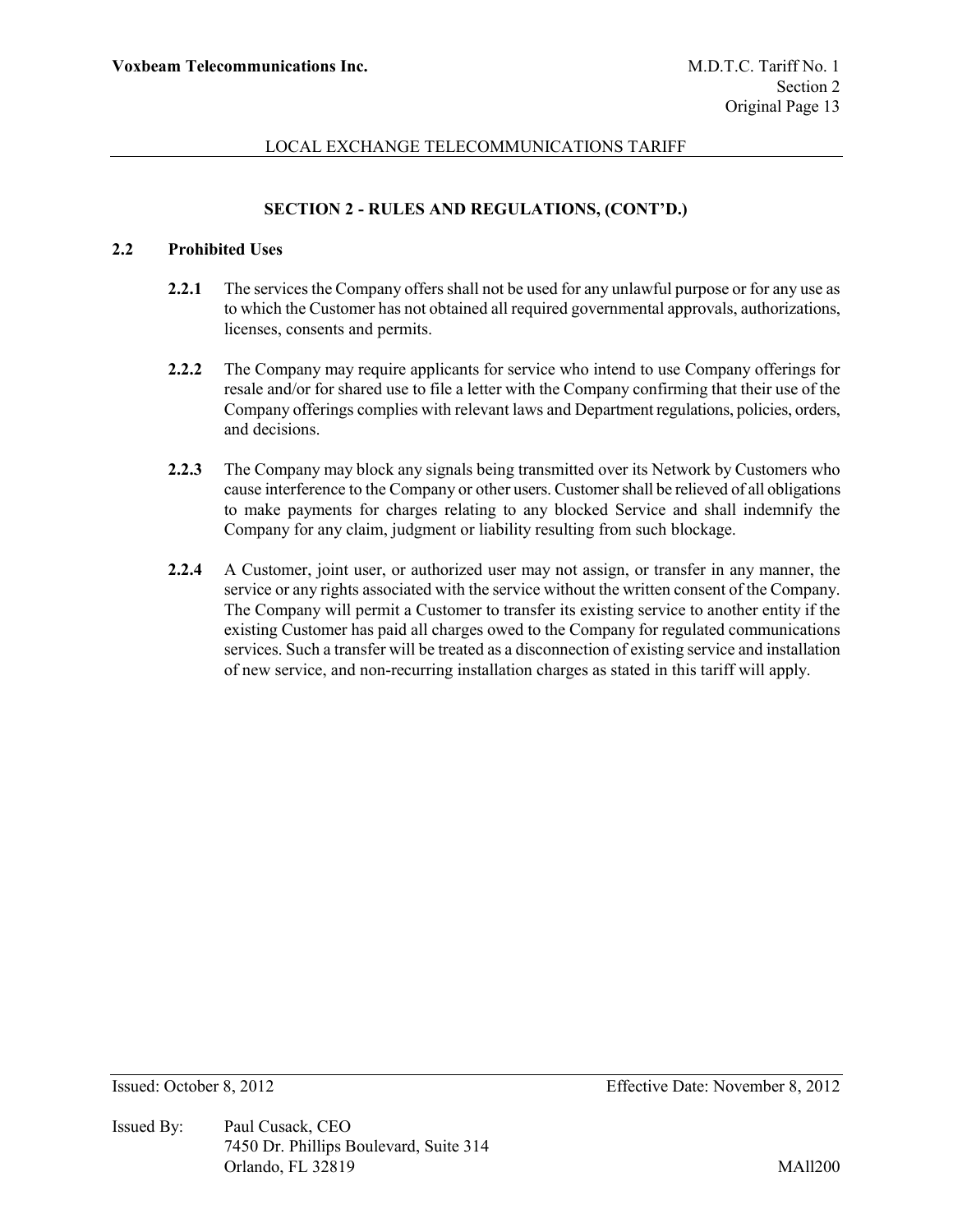# **SECTION 2 - RULES AND REGULATIONS, (CONT'D.)**

# **2.2 Prohibited Uses**

- **2.2.1** The services the Company offers shall not be used for any unlawful purpose or for any use as to which the Customer has not obtained all required governmental approvals, authorizations, licenses, consents and permits.
- **2.2.2** The Company may require applicants for service who intend to use Company offerings for resale and/or for shared use to file a letter with the Company confirming that their use of the Company offerings complies with relevant laws and Department regulations, policies, orders, and decisions.
- **2.2.3** The Company may block any signals being transmitted over its Network by Customers who cause interference to the Company or other users. Customer shall be relieved of all obligations to make payments for charges relating to any blocked Service and shall indemnify the Company for any claim, judgment or liability resulting from such blockage.
- **2.2.4** A Customer, joint user, or authorized user may not assign, or transfer in any manner, the service or any rights associated with the service without the written consent of the Company. The Company will permit a Customer to transfer its existing service to another entity if the existing Customer has paid all charges owed to the Company for regulated communications services. Such a transfer will be treated as a disconnection of existing service and installation of new service, and non-recurring installation charges as stated in this tariff will apply.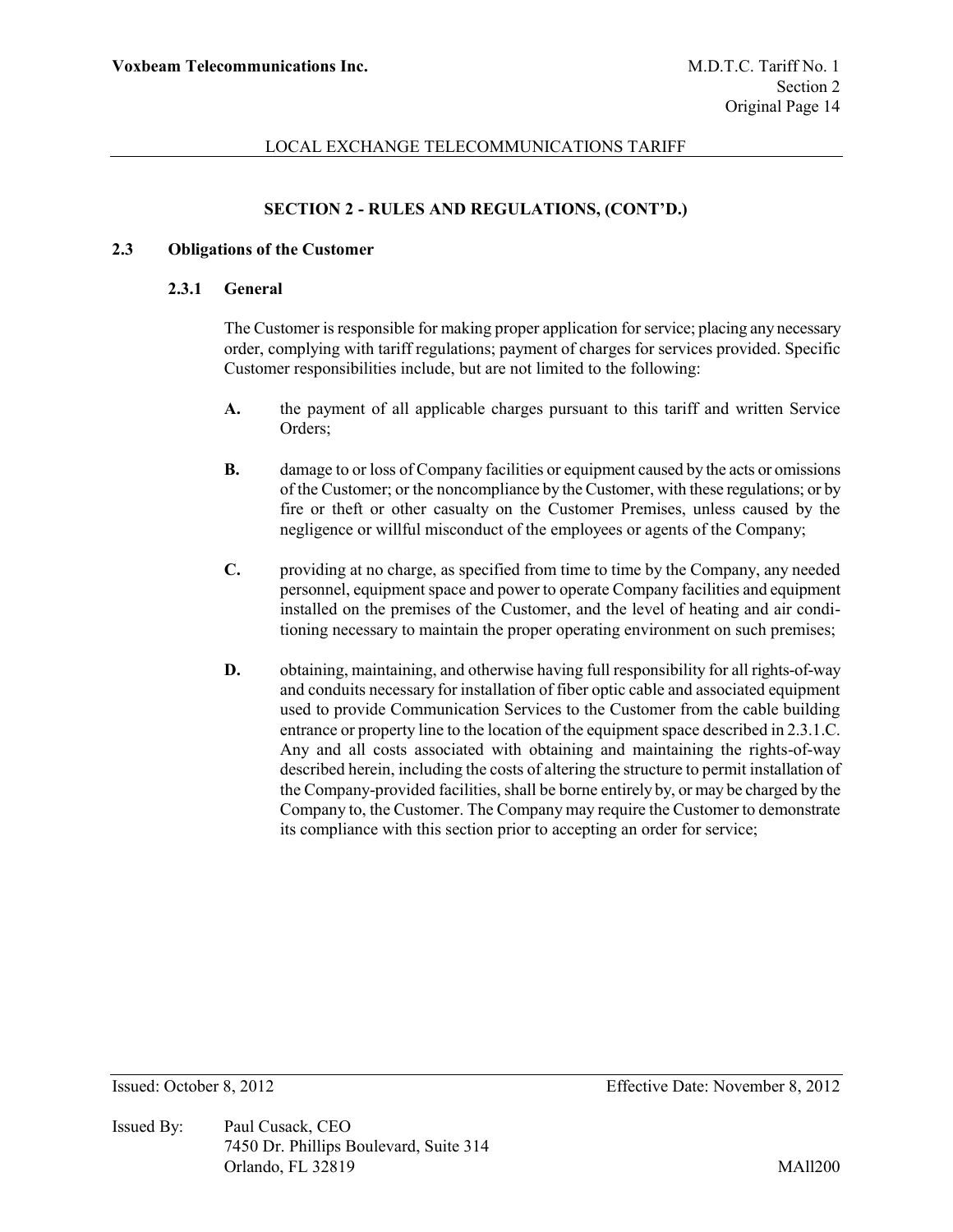# **SECTION 2 - RULES AND REGULATIONS, (CONT'D.)**

### **2.3 Obligations of the Customer**

#### **2.3.1 General**

The Customer is responsible for making proper application for service; placing any necessary order, complying with tariff regulations; payment of charges for services provided. Specific Customer responsibilities include, but are not limited to the following:

- **A.** the payment of all applicable charges pursuant to this tariff and written Service Orders;
- **B.** damage to or loss of Company facilities or equipment caused by the acts or omissions of the Customer; or the noncompliance by the Customer, with these regulations; or by fire or theft or other casualty on the Customer Premises, unless caused by the negligence or willful misconduct of the employees or agents of the Company;
- **C.** providing at no charge, as specified from time to time by the Company, any needed personnel, equipment space and power to operate Company facilities and equipment installed on the premises of the Customer, and the level of heating and air conditioning necessary to maintain the proper operating environment on such premises;
- **D.** obtaining, maintaining, and otherwise having full responsibility for all rights-of-way and conduits necessary for installation of fiber optic cable and associated equipment used to provide Communication Services to the Customer from the cable building entrance or property line to the location of the equipment space described in 2.3.1.C. Any and all costs associated with obtaining and maintaining the rights-of-way described herein, including the costs of altering the structure to permit installation of the Company-provided facilities, shall be borne entirely by, or may be charged by the Company to, the Customer. The Company may require the Customer to demonstrate its compliance with this section prior to accepting an order for service;

Issued By: Paul Cusack, CEO 7450 Dr. Phillips Boulevard, Suite 314 Orlando, FL 32819 MAll200

Issued: October 8, 2012 Effective Date: November 8, 2012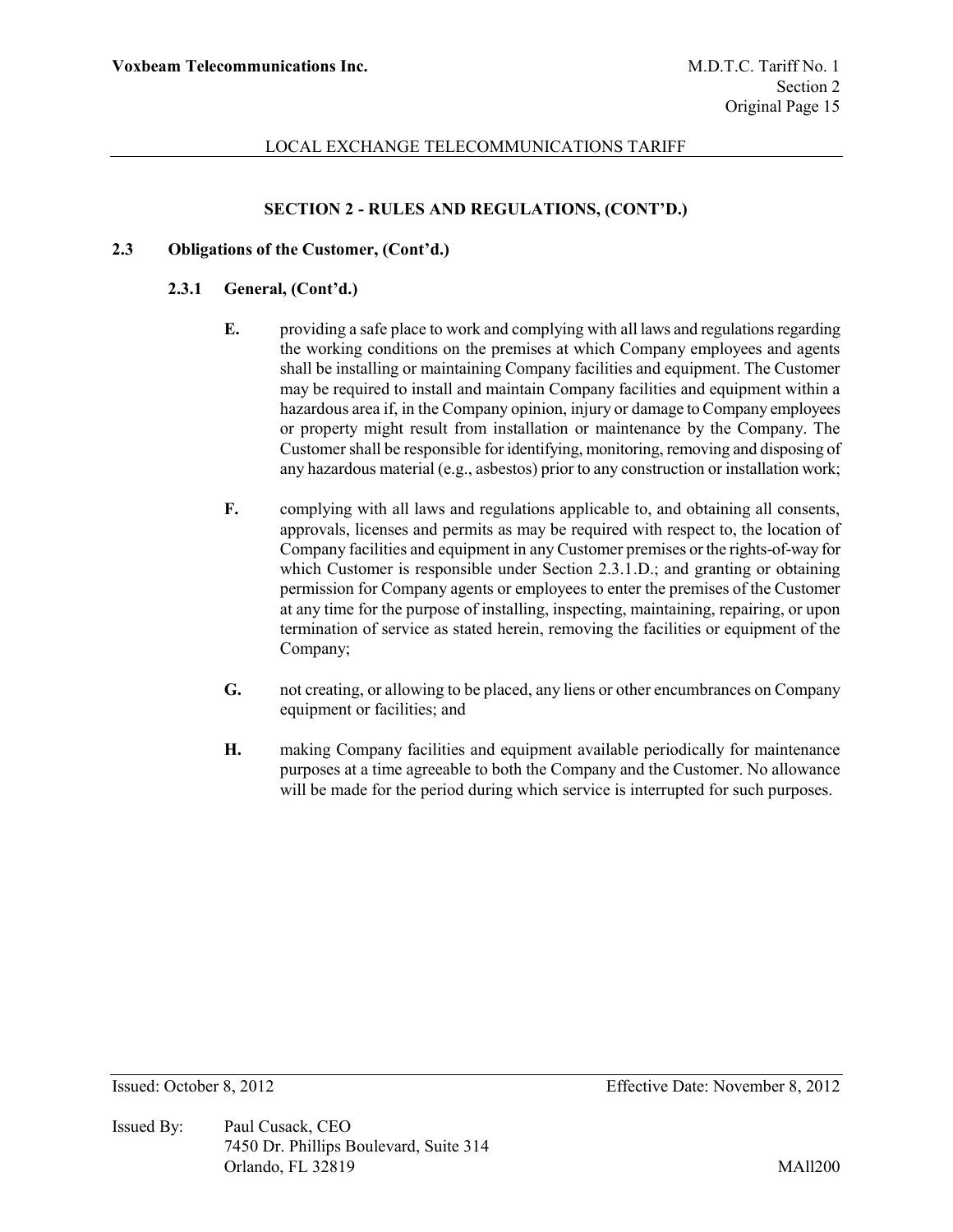# **SECTION 2 - RULES AND REGULATIONS, (CONT'D.)**

### **2.3 Obligations of the Customer, (Cont'd.)**

### **2.3.1 General, (Cont'd.)**

- **E.** providing a safe place to work and complying with all laws and regulations regarding the working conditions on the premises at which Company employees and agents shall be installing or maintaining Company facilities and equipment. The Customer may be required to install and maintain Company facilities and equipment within a hazardous area if, in the Company opinion, injury or damage to Company employees or property might result from installation or maintenance by the Company. The Customer shall be responsible for identifying, monitoring, removing and disposing of any hazardous material (e.g., asbestos) prior to any construction or installation work;
- **F.** complying with all laws and regulations applicable to, and obtaining all consents, approvals, licenses and permits as may be required with respect to, the location of Company facilities and equipment in any Customer premises or the rights-of-way for which Customer is responsible under Section 2.3.1.D.; and granting or obtaining permission for Company agents or employees to enter the premises of the Customer at any time for the purpose of installing, inspecting, maintaining, repairing, or upon termination of service as stated herein, removing the facilities or equipment of the Company;
- **G.** not creating, or allowing to be placed, any liens or other encumbrances on Company equipment or facilities; and
- **H.** making Company facilities and equipment available periodically for maintenance purposes at a time agreeable to both the Company and the Customer. No allowance will be made for the period during which service is interrupted for such purposes.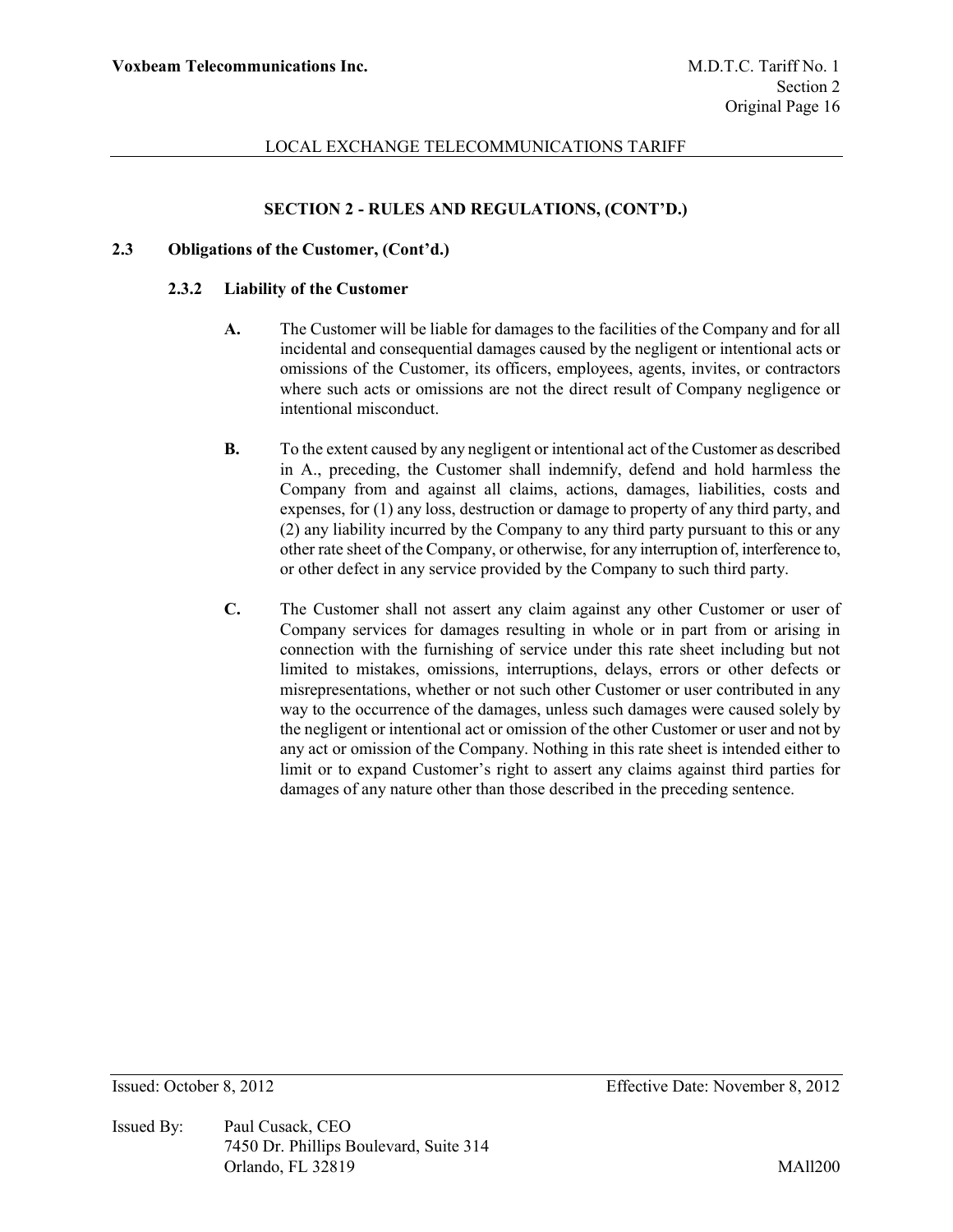## **SECTION 2 - RULES AND REGULATIONS, (CONT'D.)**

### **2.3 Obligations of the Customer, (Cont'd.)**

#### **2.3.2 Liability of the Customer**

- **A.** The Customer will be liable for damages to the facilities of the Company and for all incidental and consequential damages caused by the negligent or intentional acts or omissions of the Customer, its officers, employees, agents, invites, or contractors where such acts or omissions are not the direct result of Company negligence or intentional misconduct.
- **B.** To the extent caused by any negligent or intentional act of the Customer as described in A., preceding, the Customer shall indemnify, defend and hold harmless the Company from and against all claims, actions, damages, liabilities, costs and expenses, for (1) any loss, destruction or damage to property of any third party, and (2) any liability incurred by the Company to any third party pursuant to this or any other rate sheet of the Company, or otherwise, for any interruption of, interference to, or other defect in any service provided by the Company to such third party.
- **C.** The Customer shall not assert any claim against any other Customer or user of Company services for damages resulting in whole or in part from or arising in connection with the furnishing of service under this rate sheet including but not limited to mistakes, omissions, interruptions, delays, errors or other defects or misrepresentations, whether or not such other Customer or user contributed in any way to the occurrence of the damages, unless such damages were caused solely by the negligent or intentional act or omission of the other Customer or user and not by any act or omission of the Company. Nothing in this rate sheet is intended either to limit or to expand Customer's right to assert any claims against third parties for damages of any nature other than those described in the preceding sentence.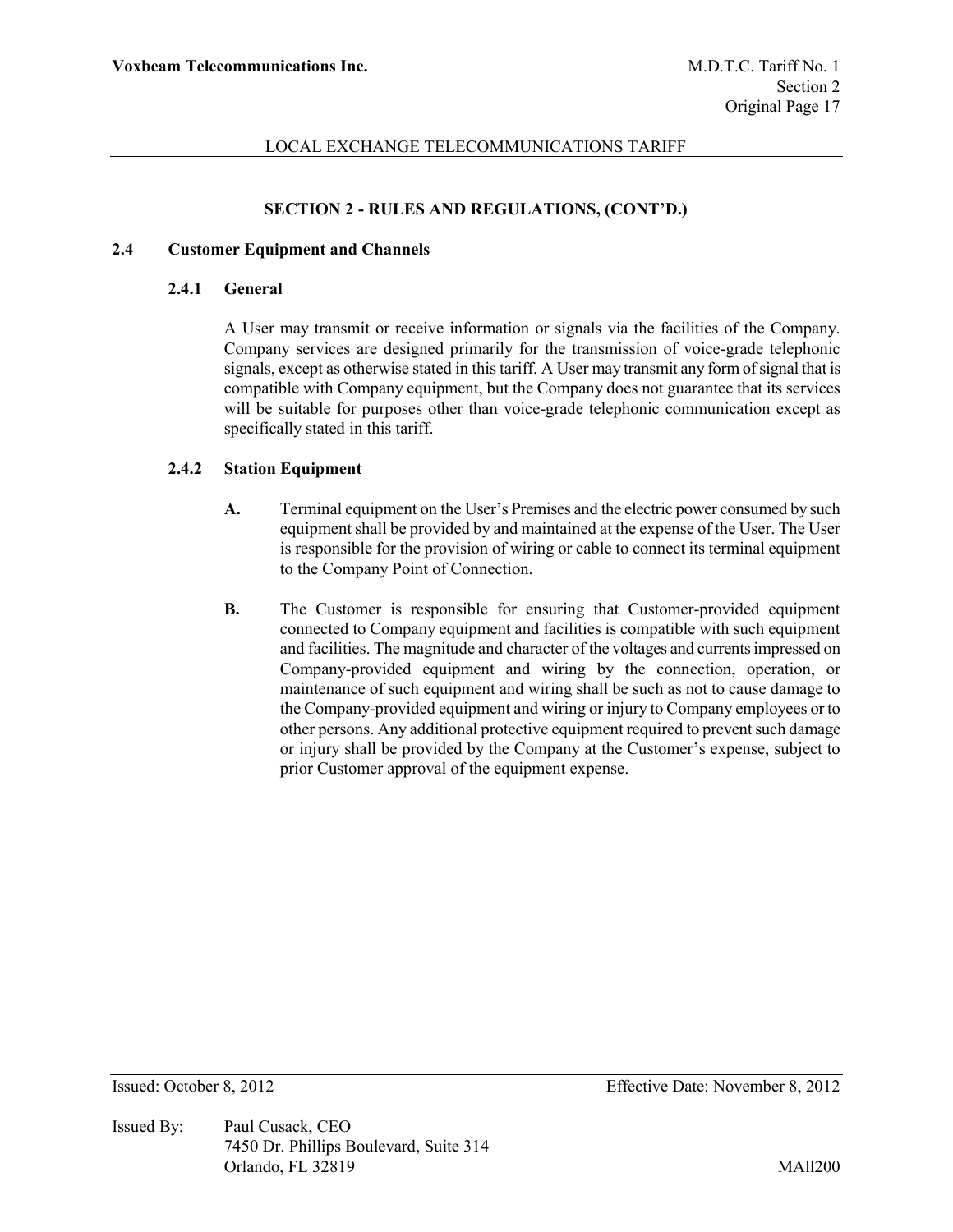## **SECTION 2 - RULES AND REGULATIONS, (CONT'D.)**

### **2.4 Customer Equipment and Channels**

#### **2.4.1 General**

A User may transmit or receive information or signals via the facilities of the Company. Company services are designed primarily for the transmission of voice-grade telephonic signals, except as otherwise stated in this tariff. A User may transmit any form of signal that is compatible with Company equipment, but the Company does not guarantee that its services will be suitable for purposes other than voice-grade telephonic communication except as specifically stated in this tariff.

### **2.4.2 Station Equipment**

- **A.** Terminal equipment on the User's Premises and the electric power consumed by such equipment shall be provided by and maintained at the expense of the User. The User is responsible for the provision of wiring or cable to connect its terminal equipment to the Company Point of Connection.
- **B.** The Customer is responsible for ensuring that Customer-provided equipment connected to Company equipment and facilities is compatible with such equipment and facilities. The magnitude and character of the voltages and currents impressed on Company-provided equipment and wiring by the connection, operation, or maintenance of such equipment and wiring shall be such as not to cause damage to the Company-provided equipment and wiring or injury to Company employees or to other persons. Any additional protective equipment required to prevent such damage or injury shall be provided by the Company at the Customer's expense, subject to prior Customer approval of the equipment expense.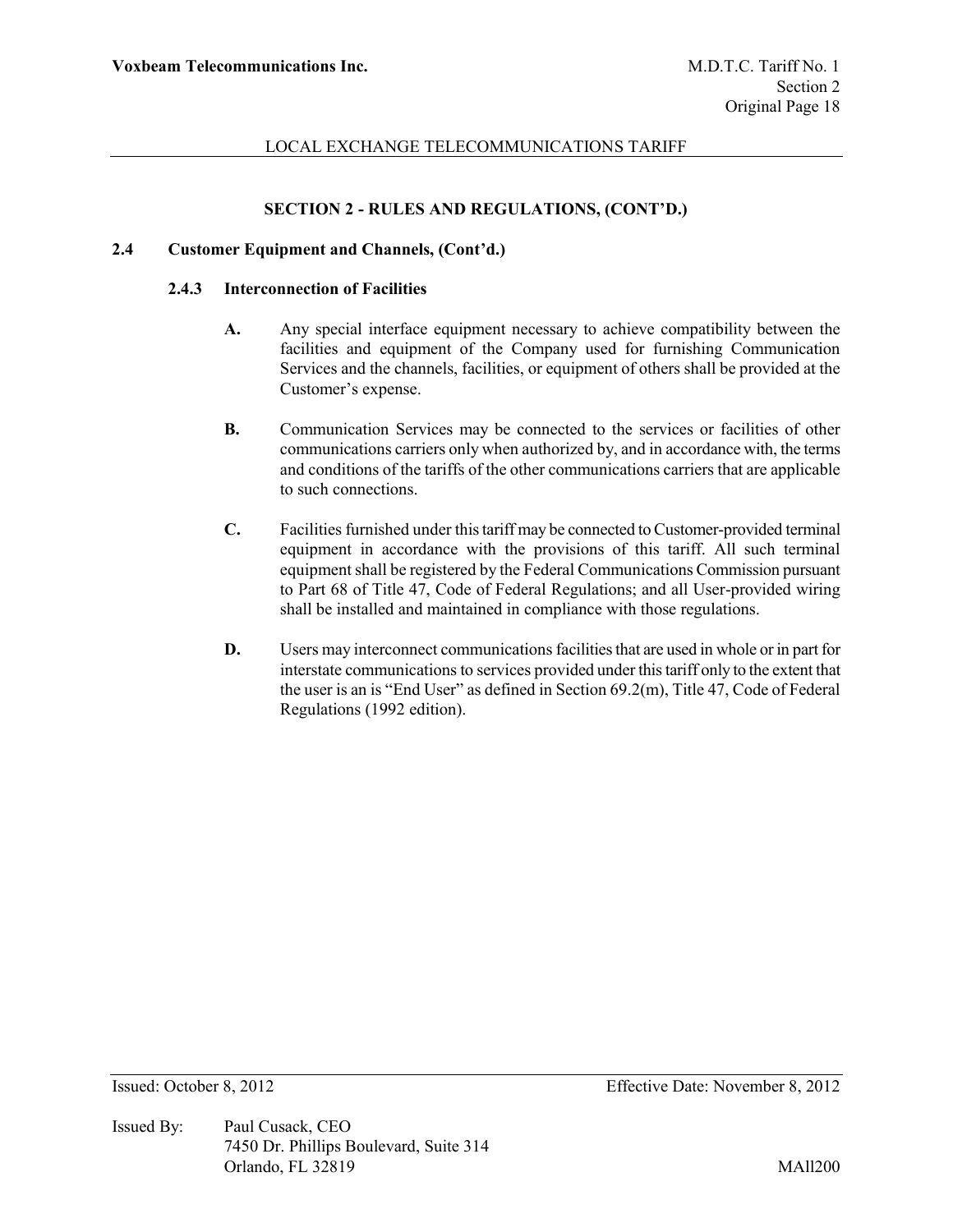# **SECTION 2 - RULES AND REGULATIONS, (CONT'D.)**

### **2.4 Customer Equipment and Channels, (Cont'd.)**

#### **2.4.3 Interconnection of Facilities**

- **A.** Any special interface equipment necessary to achieve compatibility between the facilities and equipment of the Company used for furnishing Communication Services and the channels, facilities, or equipment of others shall be provided at the Customer's expense.
- **B.** Communication Services may be connected to the services or facilities of other communications carriers only when authorized by, and in accordance with, the terms and conditions of the tariffs of the other communications carriers that are applicable to such connections.
- **C.** Facilities furnished under this tariff may be connected to Customer-provided terminal equipment in accordance with the provisions of this tariff. All such terminal equipment shall be registered by the Federal Communications Commission pursuant to Part 68 of Title 47, Code of Federal Regulations; and all User-provided wiring shall be installed and maintained in compliance with those regulations.
- **D.** Users may interconnect communications facilities that are used in whole or in part for interstate communications to services provided under this tariff only to the extent that the user is an is "End User" as defined in Section 69.2(m), Title 47, Code of Federal Regulations (1992 edition).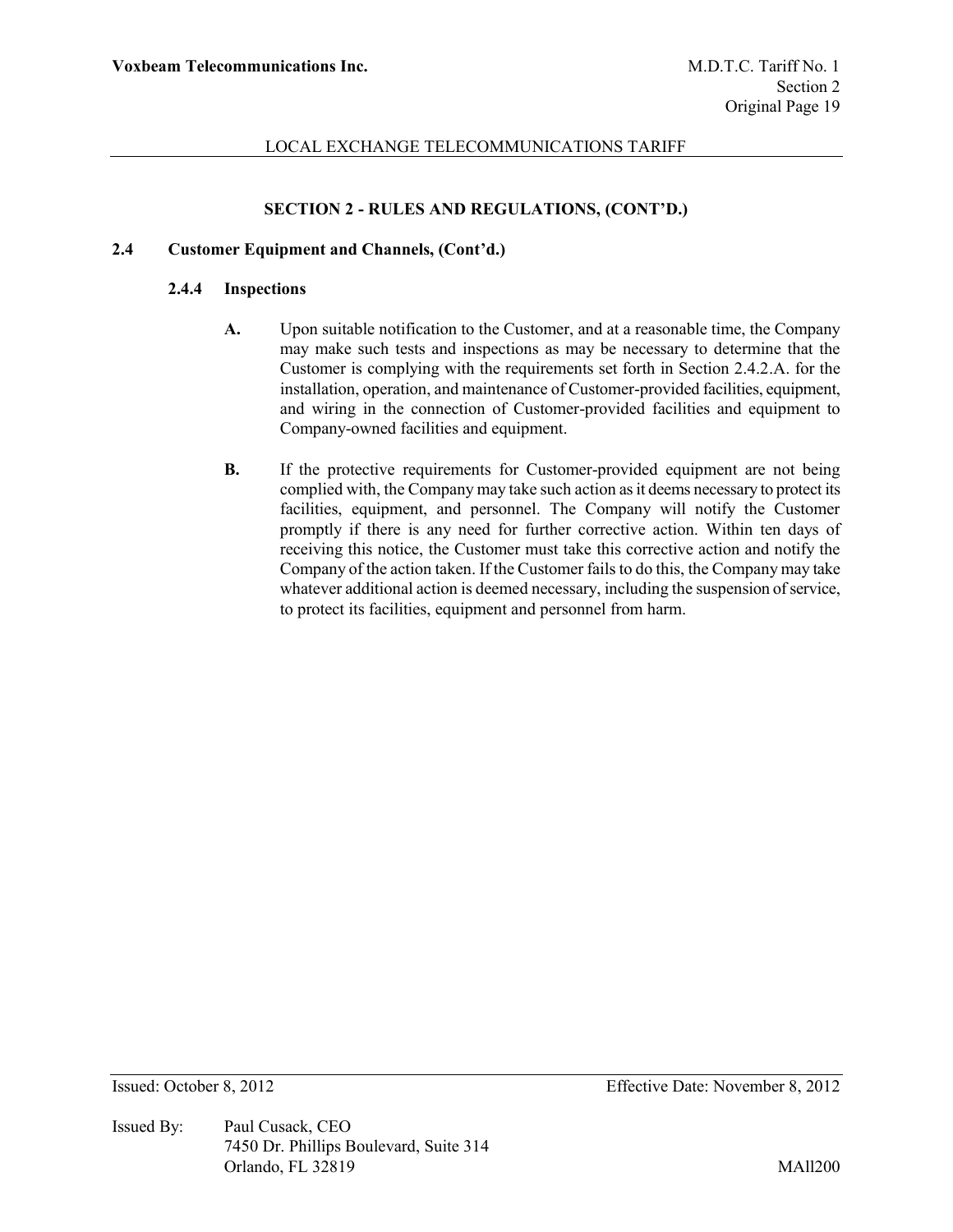# **SECTION 2 - RULES AND REGULATIONS, (CONT'D.)**

### **2.4 Customer Equipment and Channels, (Cont'd.)**

#### **2.4.4 Inspections**

- **A.** Upon suitable notification to the Customer, and at a reasonable time, the Company may make such tests and inspections as may be necessary to determine that the Customer is complying with the requirements set forth in Section 2.4.2.A. for the installation, operation, and maintenance of Customer-provided facilities, equipment, and wiring in the connection of Customer-provided facilities and equipment to Company-owned facilities and equipment.
- **B.** If the protective requirements for Customer-provided equipment are not being complied with, the Company may take such action as it deems necessary to protect its facilities, equipment, and personnel. The Company will notify the Customer promptly if there is any need for further corrective action. Within ten days of receiving this notice, the Customer must take this corrective action and notify the Company of the action taken. If the Customer fails to do this, the Company may take whatever additional action is deemed necessary, including the suspension of service, to protect its facilities, equipment and personnel from harm.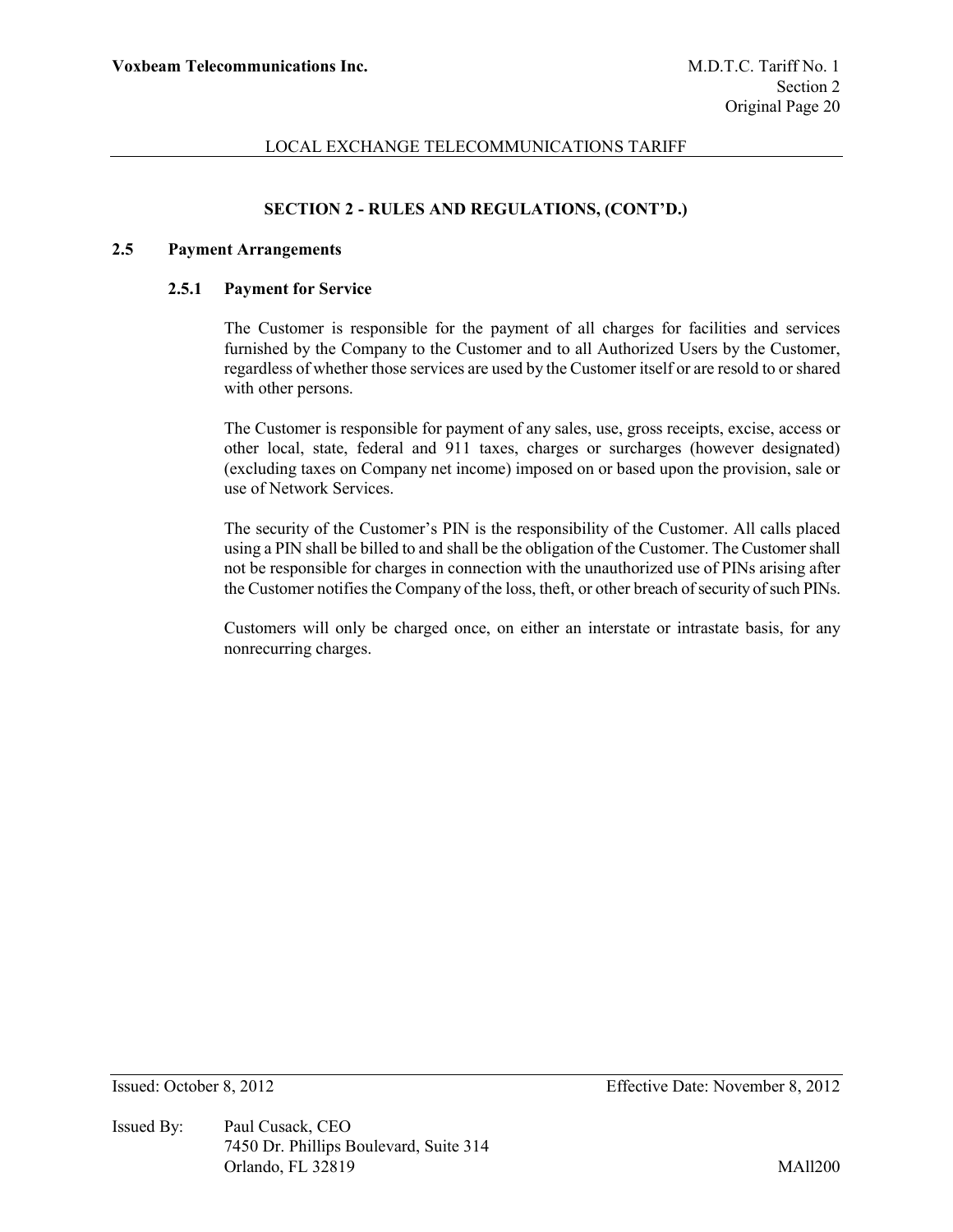## **SECTION 2 - RULES AND REGULATIONS, (CONT'D.)**

#### **2.5 Payment Arrangements**

#### **2.5.1 Payment for Service**

The Customer is responsible for the payment of all charges for facilities and services furnished by the Company to the Customer and to all Authorized Users by the Customer, regardless of whether those services are used by the Customer itself or are resold to or shared with other persons.

The Customer is responsible for payment of any sales, use, gross receipts, excise, access or other local, state, federal and 911 taxes, charges or surcharges (however designated) (excluding taxes on Company net income) imposed on or based upon the provision, sale or use of Network Services.

The security of the Customer's PIN is the responsibility of the Customer. All calls placed using a PIN shall be billed to and shall be the obligation of the Customer. The Customer shall not be responsible for charges in connection with the unauthorized use of PINs arising after the Customer notifies the Company of the loss, theft, or other breach of security of such PINs.

Customers will only be charged once, on either an interstate or intrastate basis, for any nonrecurring charges.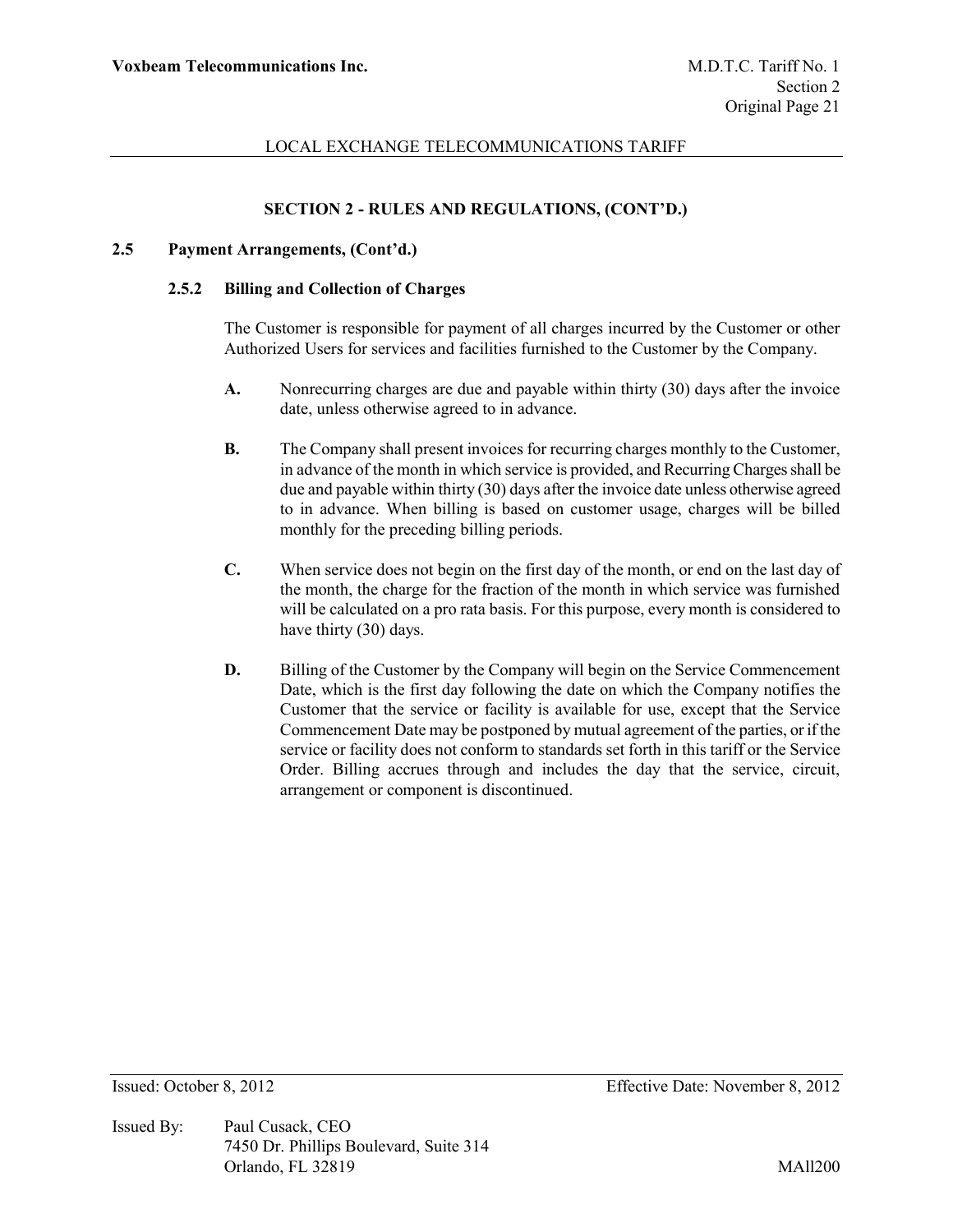# **SECTION 2 - RULES AND REGULATIONS, (CONT'D.)**

#### **2.5 Payment Arrangements, (Cont'd.)**

### **2.5.2 Billing and Collection of Charges**

The Customer is responsible for payment of all charges incurred by the Customer or other Authorized Users for services and facilities furnished to the Customer by the Company.

- **A.** Nonrecurring charges are due and payable within thirty (30) days after the invoice date, unless otherwise agreed to in advance.
- **B.** The Company shall present invoices for recurring charges monthly to the Customer, in advance of the month in which service is provided, and Recurring Charges shall be due and payable within thirty (30) days after the invoice date unless otherwise agreed to in advance. When billing is based on customer usage, charges will be billed monthly for the preceding billing periods.
- **C.** When service does not begin on the first day of the month, or end on the last day of the month, the charge for the fraction of the month in which service was furnished will be calculated on a pro rata basis. For this purpose, every month is considered to have thirty (30) days.
- **D.** Billing of the Customer by the Company will begin on the Service Commencement Date, which is the first day following the date on which the Company notifies the Customer that the service or facility is available for use, except that the Service Commencement Date may be postponed by mutual agreement of the parties, or if the service or facility does not conform to standards set forth in this tariff or the Service Order. Billing accrues through and includes the day that the service, circuit, arrangement or component is discontinued.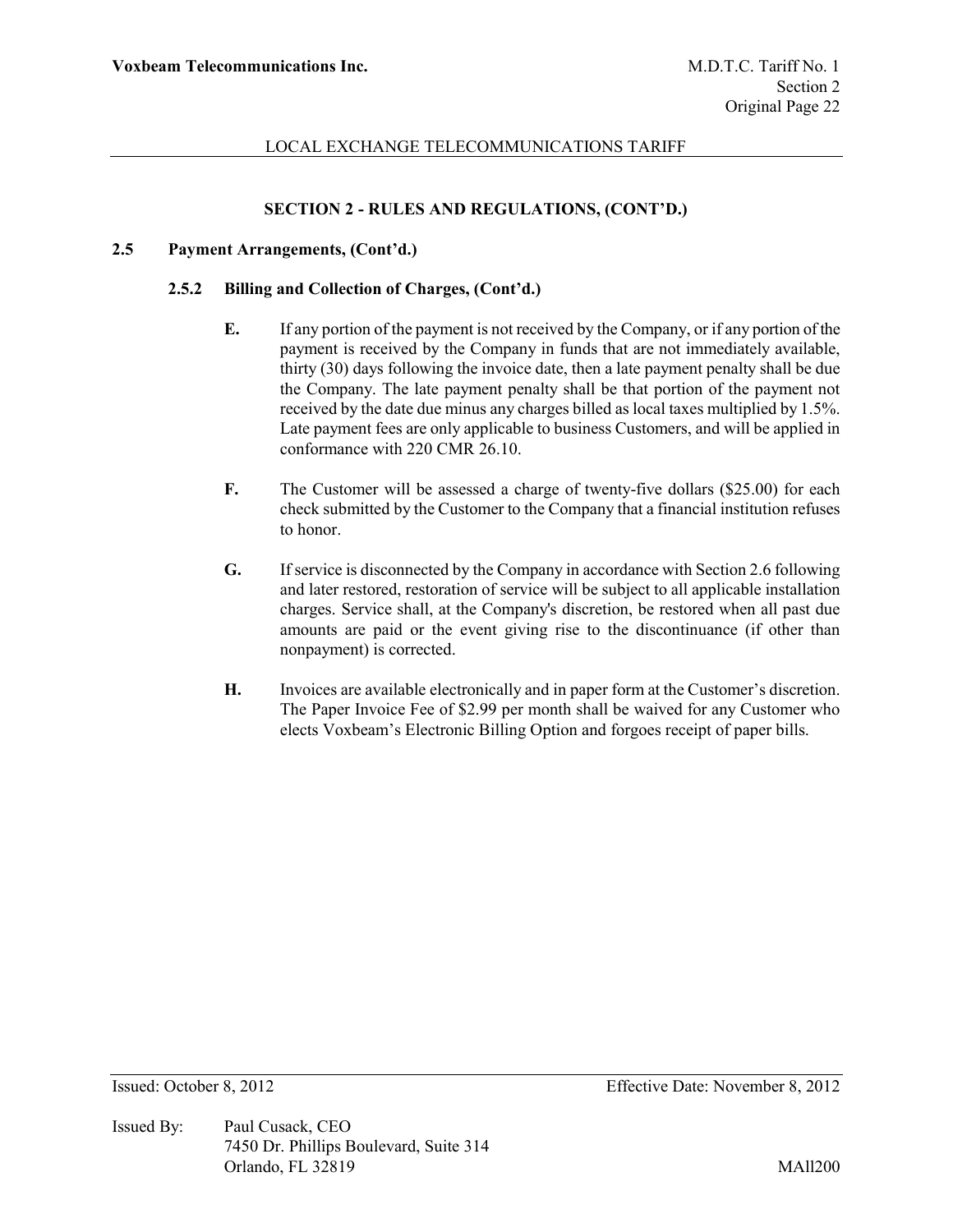# **SECTION 2 - RULES AND REGULATIONS, (CONT'D.)**

### **2.5 Payment Arrangements, (Cont'd.)**

### **2.5.2 Billing and Collection of Charges, (Cont'd.)**

- **E.** If any portion of the payment is not received by the Company, or if any portion of the payment is received by the Company in funds that are not immediately available, thirty (30) days following the invoice date, then a late payment penalty shall be due the Company. The late payment penalty shall be that portion of the payment not received by the date due minus any charges billed as local taxes multiplied by 1.5%. Late payment fees are only applicable to business Customers, and will be applied in conformance with 220 CMR 26.10.
- **F.** The Customer will be assessed a charge of twenty-five dollars (\$25.00) for each check submitted by the Customer to the Company that a financial institution refuses to honor.
- **G.** If service is disconnected by the Company in accordance with Section 2.6 following and later restored, restoration of service will be subject to all applicable installation charges. Service shall, at the Company's discretion, be restored when all past due amounts are paid or the event giving rise to the discontinuance (if other than nonpayment) is corrected.
- **H.** Invoices are available electronically and in paper form at the Customer's discretion. The Paper Invoice Fee of \$2.99 per month shall be waived for any Customer who elects Voxbeam's Electronic Billing Option and forgoes receipt of paper bills.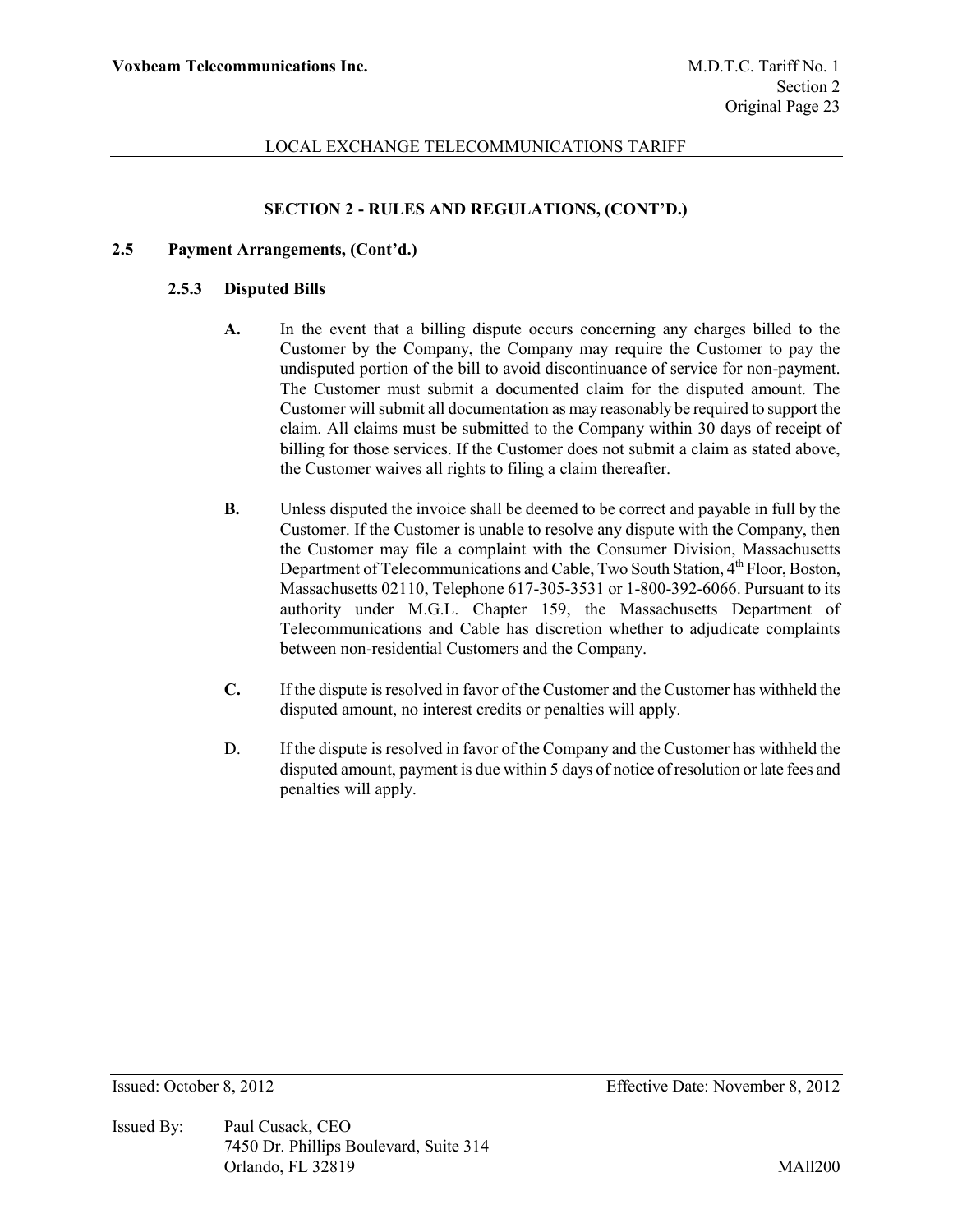## **SECTION 2 - RULES AND REGULATIONS, (CONT'D.)**

### **2.5 Payment Arrangements, (Cont'd.)**

#### **2.5.3 Disputed Bills**

- **A.** In the event that a billing dispute occurs concerning any charges billed to the Customer by the Company, the Company may require the Customer to pay the undisputed portion of the bill to avoid discontinuance of service for non-payment. The Customer must submit a documented claim for the disputed amount. The Customer will submit all documentation as may reasonably be required to support the claim. All claims must be submitted to the Company within 30 days of receipt of billing for those services. If the Customer does not submit a claim as stated above, the Customer waives all rights to filing a claim thereafter.
- **B.** Unless disputed the invoice shall be deemed to be correct and payable in full by the Customer. If the Customer is unable to resolve any dispute with the Company, then the Customer may file a complaint with the Consumer Division, Massachusetts Department of Telecommunications and Cable, Two South Station, 4<sup>th</sup> Floor, Boston, Massachusetts 02110, Telephone 617-305-3531 or 1-800-392-6066. Pursuant to its authority under M.G.L. Chapter 159, the Massachusetts Department of Telecommunications and Cable has discretion whether to adjudicate complaints between non-residential Customers and the Company.
- **C.** If the dispute is resolved in favor of the Customer and the Customer has withheld the disputed amount, no interest credits or penalties will apply.
- D. If the dispute is resolved in favor of the Company and the Customer has withheld the disputed amount, payment is due within 5 days of notice of resolution or late fees and penalties will apply.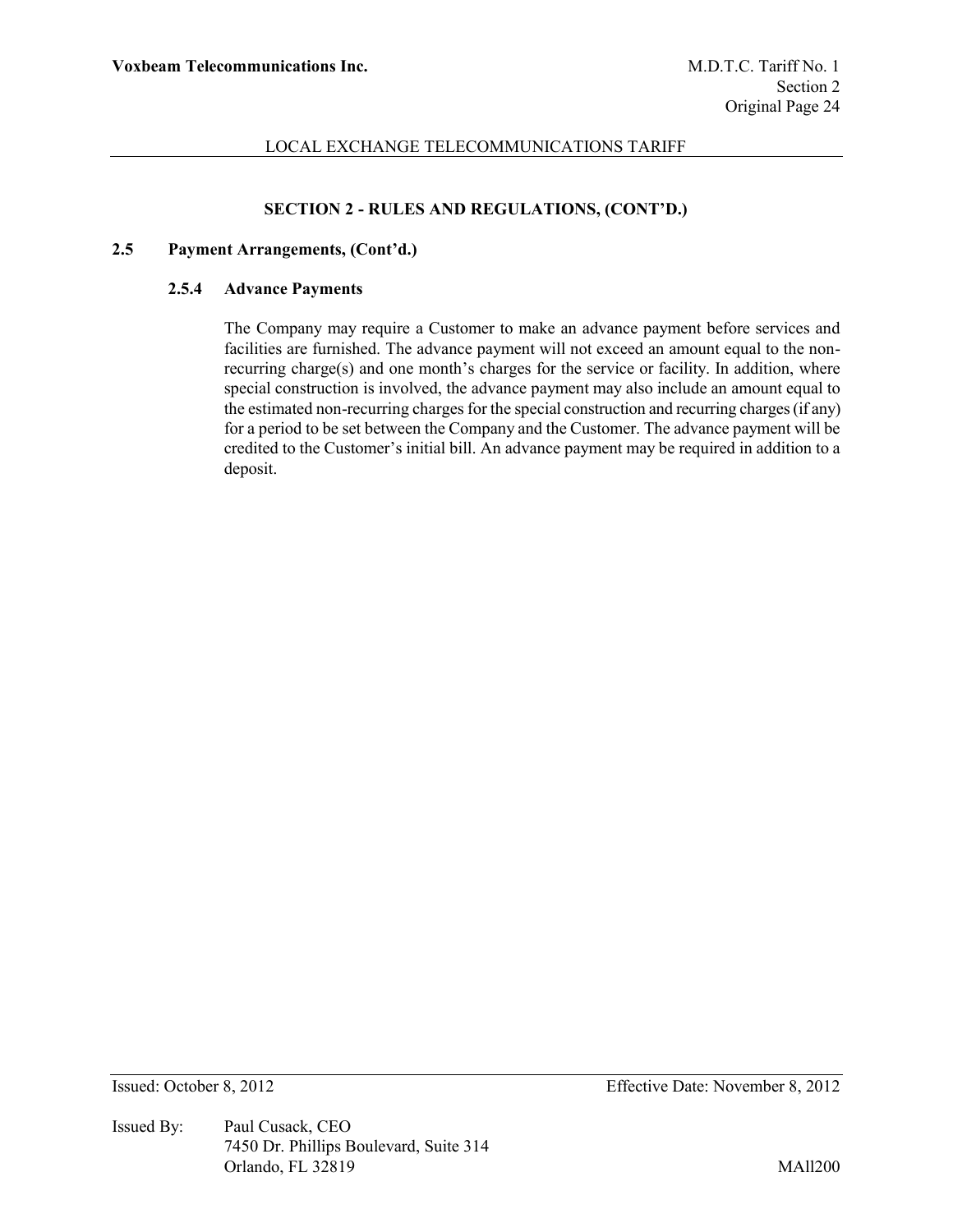# **SECTION 2 - RULES AND REGULATIONS, (CONT'D.)**

### **2.5 Payment Arrangements, (Cont'd.)**

#### **2.5.4 Advance Payments**

The Company may require a Customer to make an advance payment before services and facilities are furnished. The advance payment will not exceed an amount equal to the nonrecurring charge(s) and one month's charges for the service or facility. In addition, where special construction is involved, the advance payment may also include an amount equal to the estimated non-recurring charges for the special construction and recurring charges (if any) for a period to be set between the Company and the Customer. The advance payment will be credited to the Customer's initial bill. An advance payment may be required in addition to a deposit.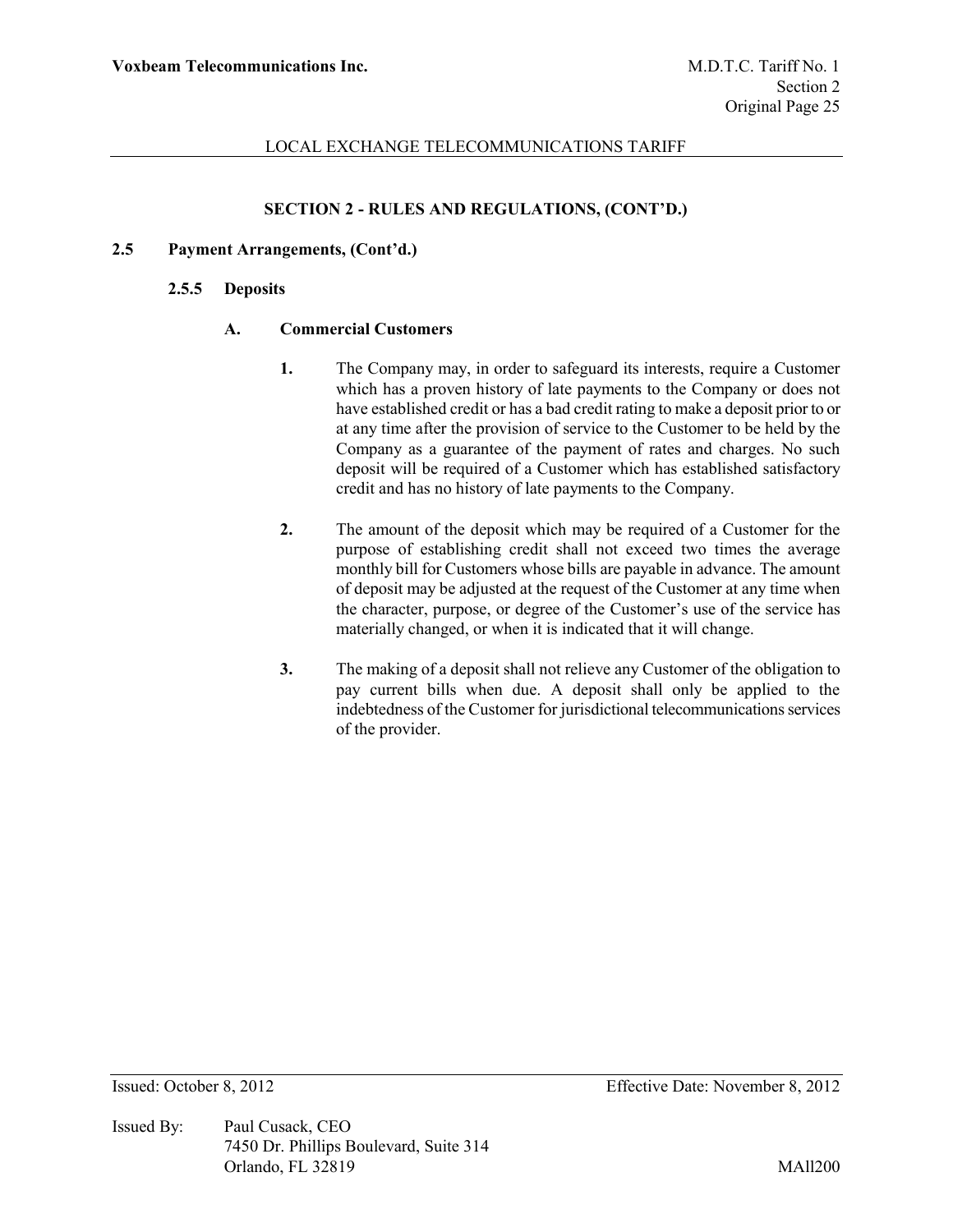## **SECTION 2 - RULES AND REGULATIONS, (CONT'D.)**

### **2.5 Payment Arrangements, (Cont'd.)**

#### **2.5.5 Deposits**

### **A. Commercial Customers**

- **1.** The Company may, in order to safeguard its interests, require a Customer which has a proven history of late payments to the Company or does not have established credit or has a bad credit rating to make a deposit prior to or at any time after the provision of service to the Customer to be held by the Company as a guarantee of the payment of rates and charges. No such deposit will be required of a Customer which has established satisfactory credit and has no history of late payments to the Company.
- **2.** The amount of the deposit which may be required of a Customer for the purpose of establishing credit shall not exceed two times the average monthly bill for Customers whose bills are payable in advance. The amount of deposit may be adjusted at the request of the Customer at any time when the character, purpose, or degree of the Customer's use of the service has materially changed, or when it is indicated that it will change.
- **3.** The making of a deposit shall not relieve any Customer of the obligation to pay current bills when due. A deposit shall only be applied to the indebtedness of the Customer for jurisdictional telecommunications services of the provider.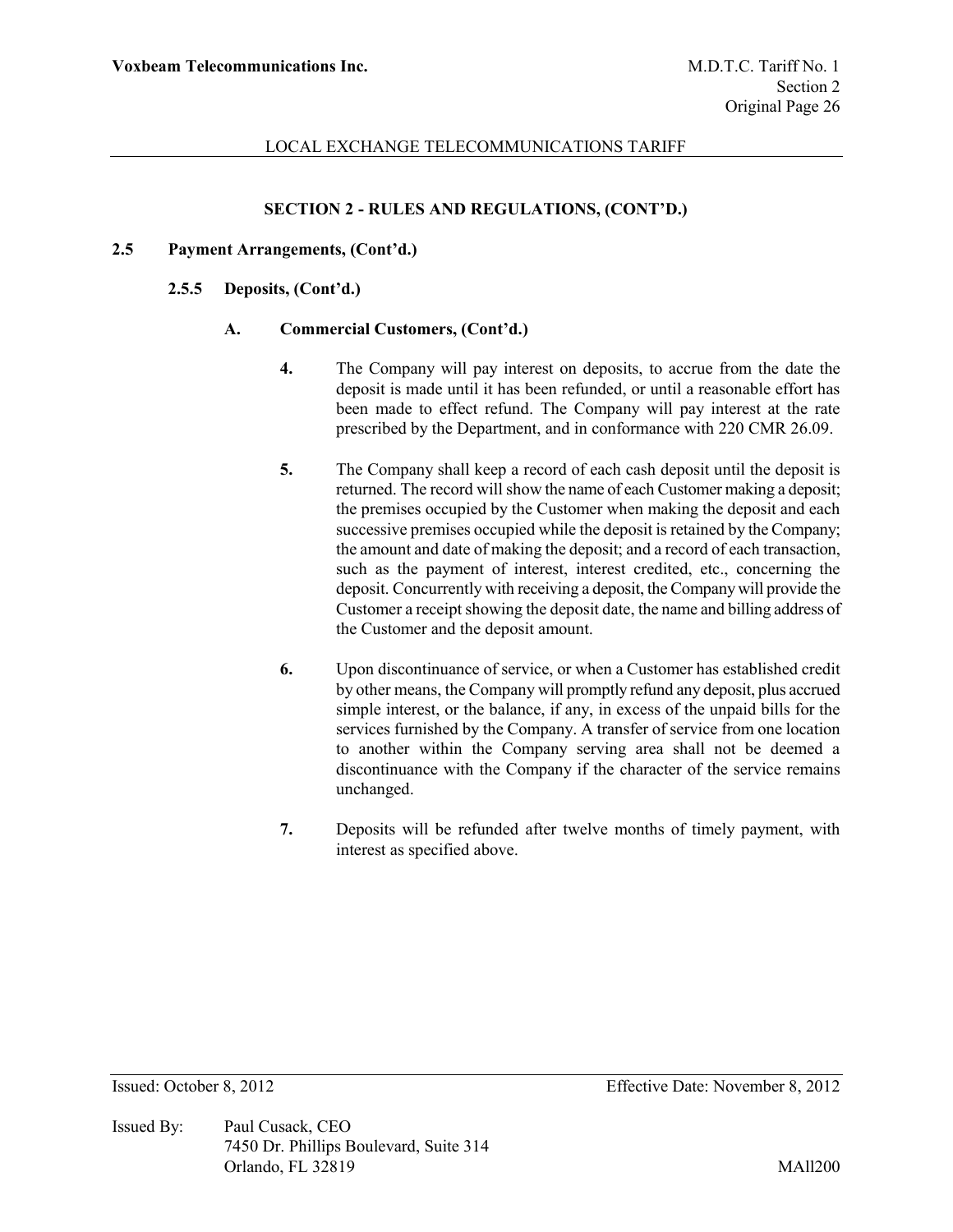## **SECTION 2 - RULES AND REGULATIONS, (CONT'D.)**

### **2.5 Payment Arrangements, (Cont'd.)**

#### **2.5.5 Deposits, (Cont'd.)**

### **A. Commercial Customers, (Cont'd.)**

- **4.** The Company will pay interest on deposits, to accrue from the date the deposit is made until it has been refunded, or until a reasonable effort has been made to effect refund. The Company will pay interest at the rate prescribed by the Department, and in conformance with 220 CMR 26.09.
- **5.** The Company shall keep a record of each cash deposit until the deposit is returned. The record will show the name of each Customer making a deposit; the premises occupied by the Customer when making the deposit and each successive premises occupied while the deposit is retained by the Company; the amount and date of making the deposit; and a record of each transaction, such as the payment of interest, interest credited, etc., concerning the deposit. Concurrently with receiving a deposit, the Company will provide the Customer a receipt showing the deposit date, the name and billing address of the Customer and the deposit amount.
- **6.** Upon discontinuance of service, or when a Customer has established credit by other means, the Company will promptly refund any deposit, plus accrued simple interest, or the balance, if any, in excess of the unpaid bills for the services furnished by the Company. A transfer of service from one location to another within the Company serving area shall not be deemed a discontinuance with the Company if the character of the service remains unchanged.
- **7.** Deposits will be refunded after twelve months of timely payment, with interest as specified above.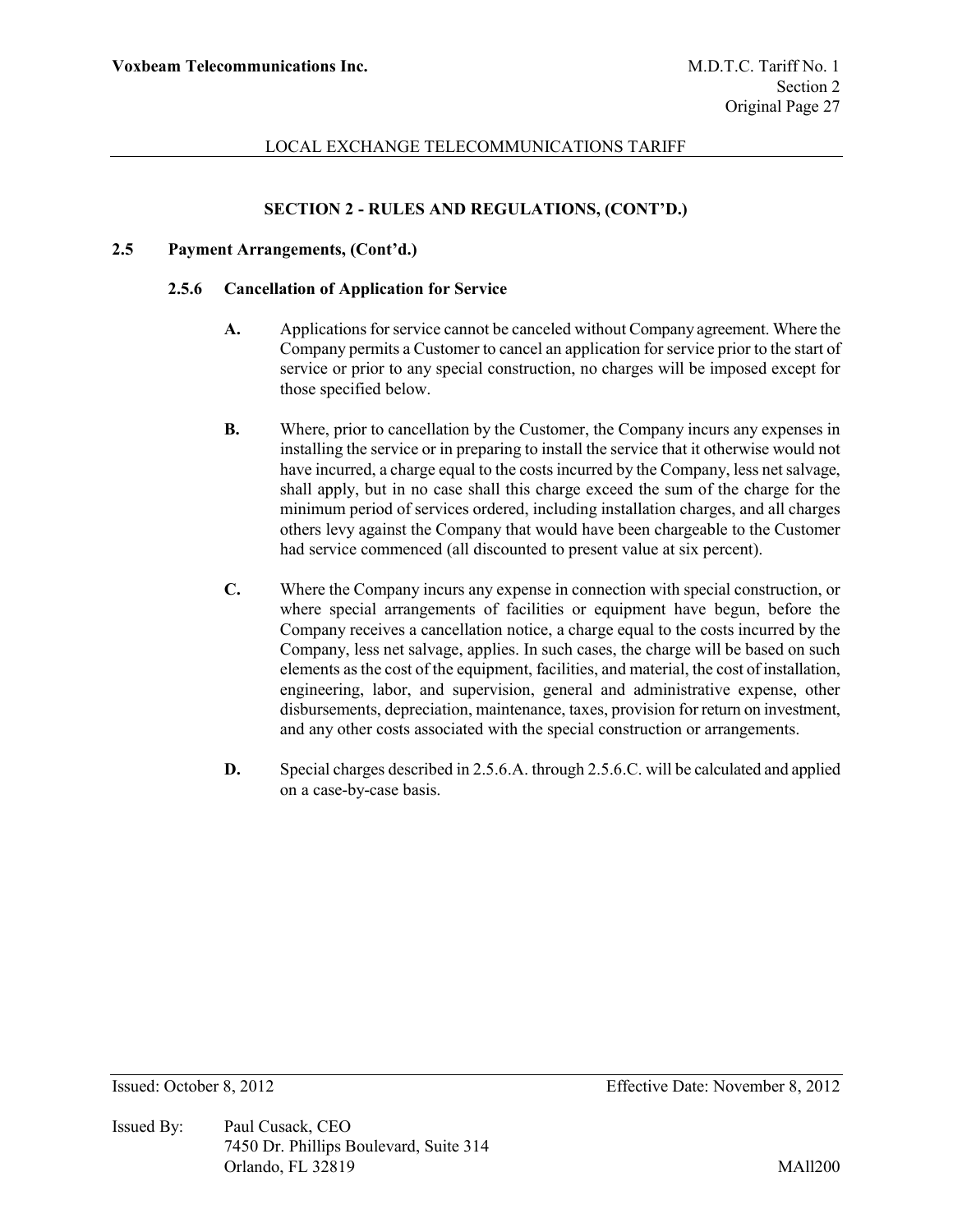# **SECTION 2 - RULES AND REGULATIONS, (CONT'D.)**

### **2.5 Payment Arrangements, (Cont'd.)**

#### **2.5.6 Cancellation of Application for Service**

- **A.** Applications for service cannot be canceled without Company agreement. Where the Company permits a Customer to cancel an application for service prior to the start of service or prior to any special construction, no charges will be imposed except for those specified below.
- **B.** Where, prior to cancellation by the Customer, the Company incurs any expenses in installing the service or in preparing to install the service that it otherwise would not have incurred, a charge equal to the costs incurred by the Company, less net salvage, shall apply, but in no case shall this charge exceed the sum of the charge for the minimum period of services ordered, including installation charges, and all charges others levy against the Company that would have been chargeable to the Customer had service commenced (all discounted to present value at six percent).
- **C.** Where the Company incurs any expense in connection with special construction, or where special arrangements of facilities or equipment have begun, before the Company receives a cancellation notice, a charge equal to the costs incurred by the Company, less net salvage, applies. In such cases, the charge will be based on such elements as the cost of the equipment, facilities, and material, the cost of installation, engineering, labor, and supervision, general and administrative expense, other disbursements, depreciation, maintenance, taxes, provision for return on investment, and any other costs associated with the special construction or arrangements.
- **D.** Special charges described in 2.5.6.A. through 2.5.6.C. will be calculated and applied on a case-by-case basis.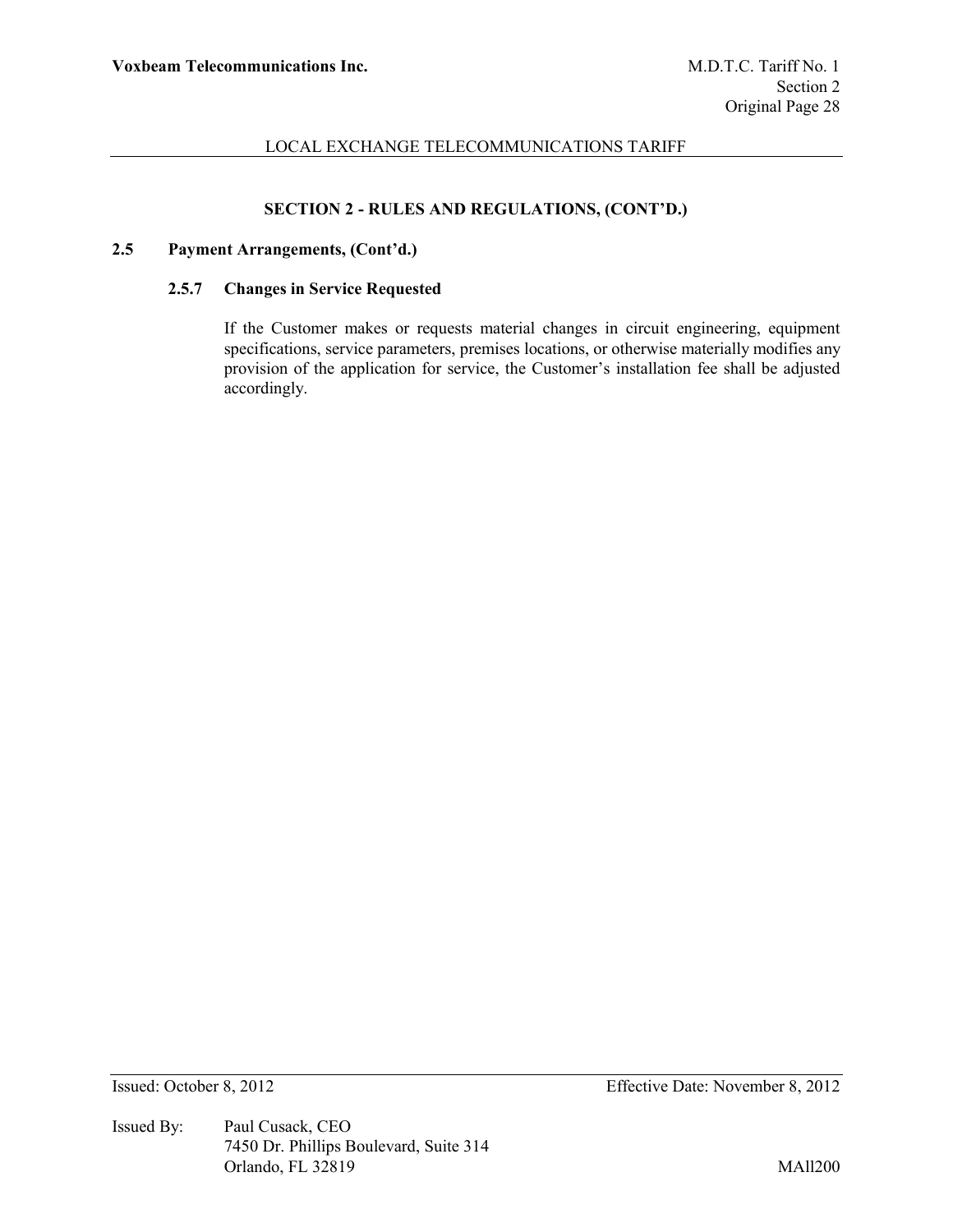## **SECTION 2 - RULES AND REGULATIONS, (CONT'D.)**

# **2.5 Payment Arrangements, (Cont'd.)**

### **2.5.7 Changes in Service Requested**

If the Customer makes or requests material changes in circuit engineering, equipment specifications, service parameters, premises locations, or otherwise materially modifies any provision of the application for service, the Customer's installation fee shall be adjusted accordingly.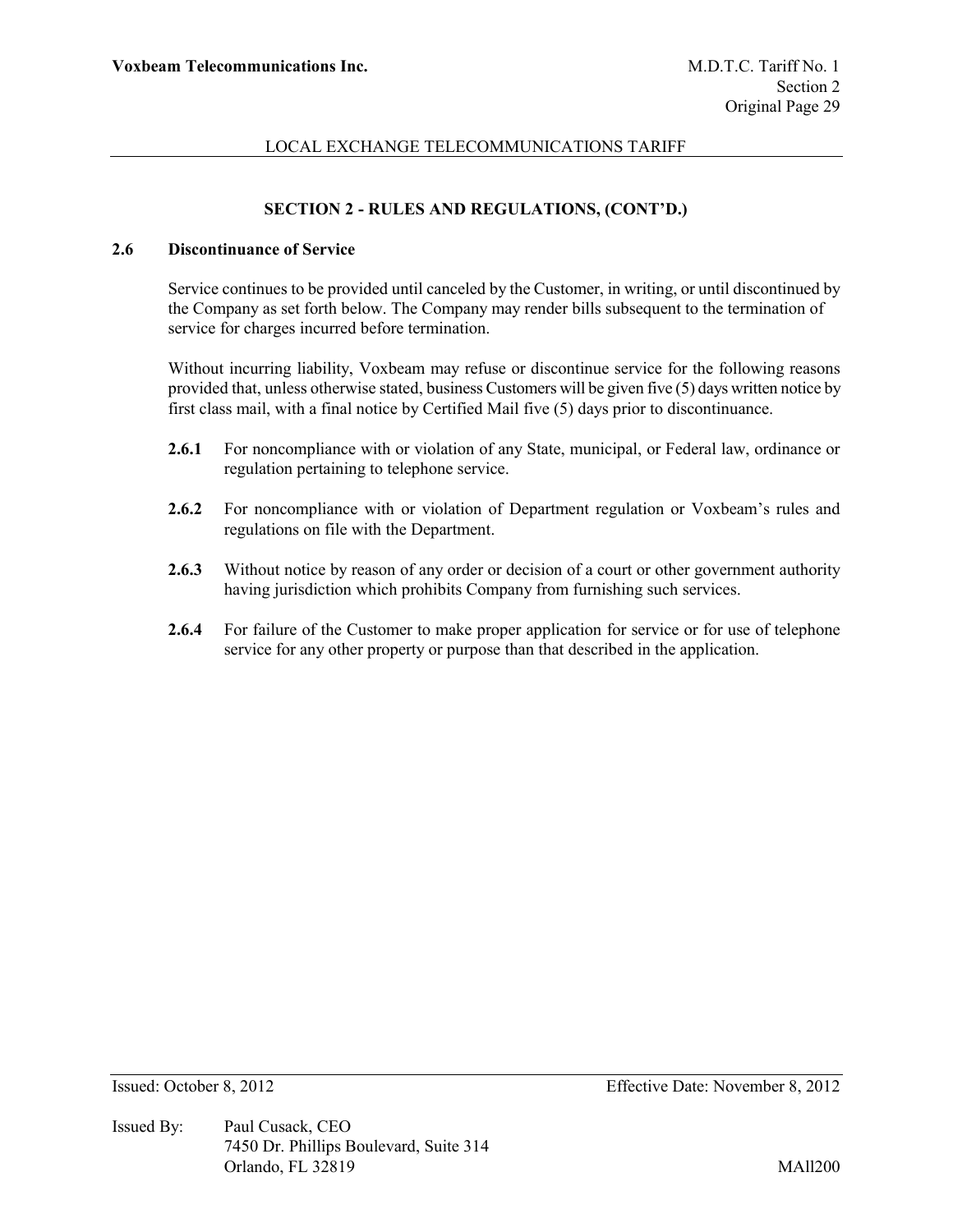# **SECTION 2 - RULES AND REGULATIONS, (CONT'D.)**

# **2.6 Discontinuance of Service**

Service continues to be provided until canceled by the Customer, in writing, or until discontinued by the Company as set forth below. The Company may render bills subsequent to the termination of service for charges incurred before termination.

Without incurring liability, Voxbeam may refuse or discontinue service for the following reasons provided that, unless otherwise stated, business Customers will be given five (5) days written notice by first class mail, with a final notice by Certified Mail five (5) days prior to discontinuance.

- **2.6.1** For noncompliance with or violation of any State, municipal, or Federal law, ordinance or regulation pertaining to telephone service.
- **2.6.2** For noncompliance with or violation of Department regulation or Voxbeam's rules and regulations on file with the Department.
- **2.6.3** Without notice by reason of any order or decision of a court or other government authority having jurisdiction which prohibits Company from furnishing such services.
- **2.6.4** For failure of the Customer to make proper application for service or for use of telephone service for any other property or purpose than that described in the application.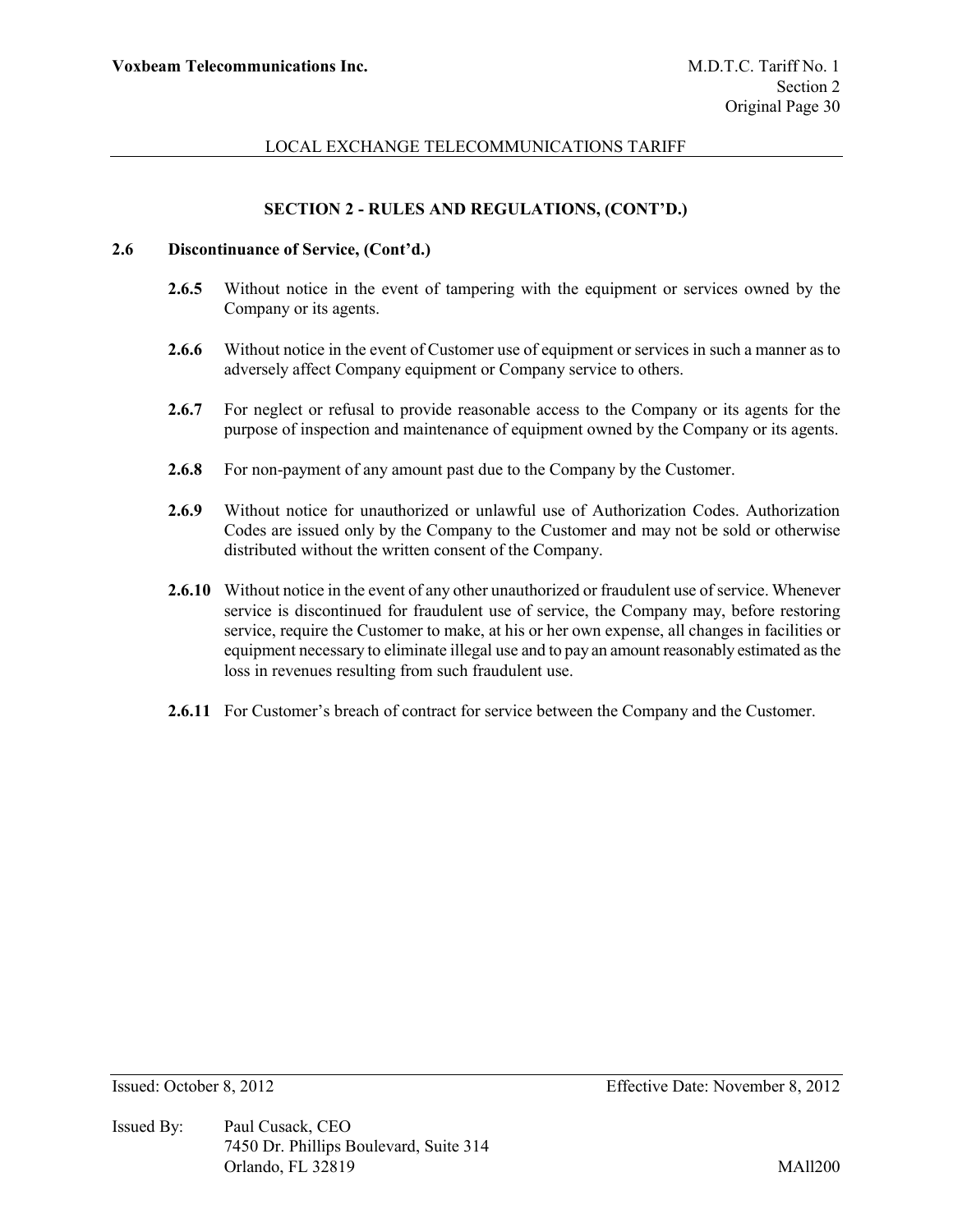## **SECTION 2 - RULES AND REGULATIONS, (CONT'D.)**

#### **2.6 Discontinuance of Service, (Cont'd.)**

- **2.6.5** Without notice in the event of tampering with the equipment or services owned by the Company or its agents.
- **2.6.6** Without notice in the event of Customer use of equipment or services in such a manner as to adversely affect Company equipment or Company service to others.
- **2.6.7** For neglect or refusal to provide reasonable access to the Company or its agents for the purpose of inspection and maintenance of equipment owned by the Company or its agents.
- **2.6.8** For non-payment of any amount past due to the Company by the Customer.
- **2.6.9** Without notice for unauthorized or unlawful use of Authorization Codes. Authorization Codes are issued only by the Company to the Customer and may not be sold or otherwise distributed without the written consent of the Company.
- **2.6.10** Without notice in the event of any other unauthorized or fraudulent use of service. Whenever service is discontinued for fraudulent use of service, the Company may, before restoring service, require the Customer to make, at his or her own expense, all changes in facilities or equipment necessary to eliminate illegal use and to pay an amount reasonably estimated as the loss in revenues resulting from such fraudulent use.
- **2.6.11** For Customer's breach of contract for service between the Company and the Customer.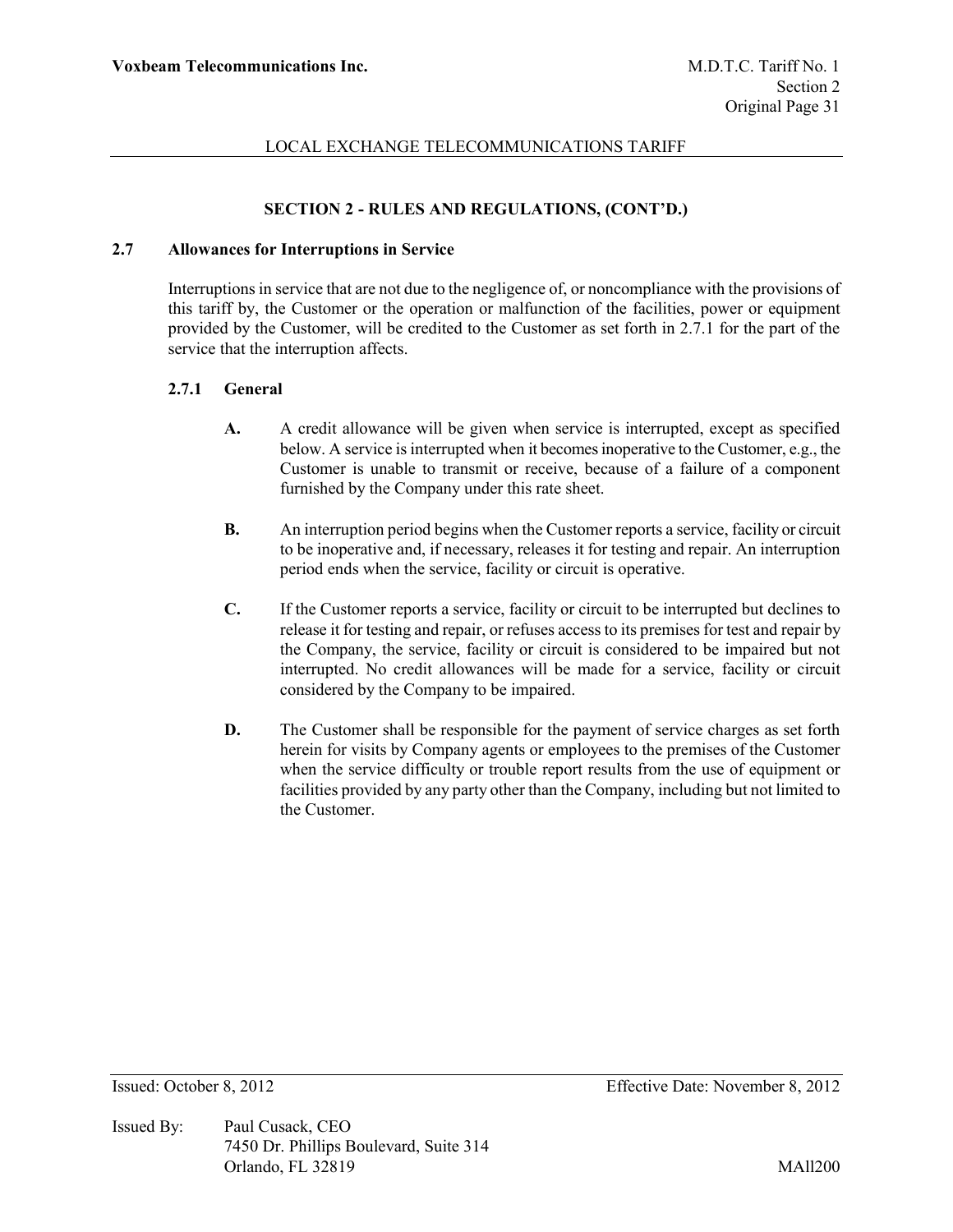## **SECTION 2 - RULES AND REGULATIONS, (CONT'D.)**

### **2.7 Allowances for Interruptions in Service**

Interruptions in service that are not due to the negligence of, or noncompliance with the provisions of this tariff by, the Customer or the operation or malfunction of the facilities, power or equipment provided by the Customer, will be credited to the Customer as set forth in 2.7.1 for the part of the service that the interruption affects.

### **2.7.1 General**

- **A.** A credit allowance will be given when service is interrupted, except as specified below. A service is interrupted when it becomes inoperative to the Customer, e.g., the Customer is unable to transmit or receive, because of a failure of a component furnished by the Company under this rate sheet.
- **B.** An interruption period begins when the Customer reports a service, facility or circuit to be inoperative and, if necessary, releases it for testing and repair. An interruption period ends when the service, facility or circuit is operative.
- **C.** If the Customer reports a service, facility or circuit to be interrupted but declines to release it for testing and repair, or refuses access to its premises for test and repair by the Company, the service, facility or circuit is considered to be impaired but not interrupted. No credit allowances will be made for a service, facility or circuit considered by the Company to be impaired.
- **D.** The Customer shall be responsible for the payment of service charges as set forth herein for visits by Company agents or employees to the premises of the Customer when the service difficulty or trouble report results from the use of equipment or facilities provided by any party other than the Company, including but not limited to the Customer.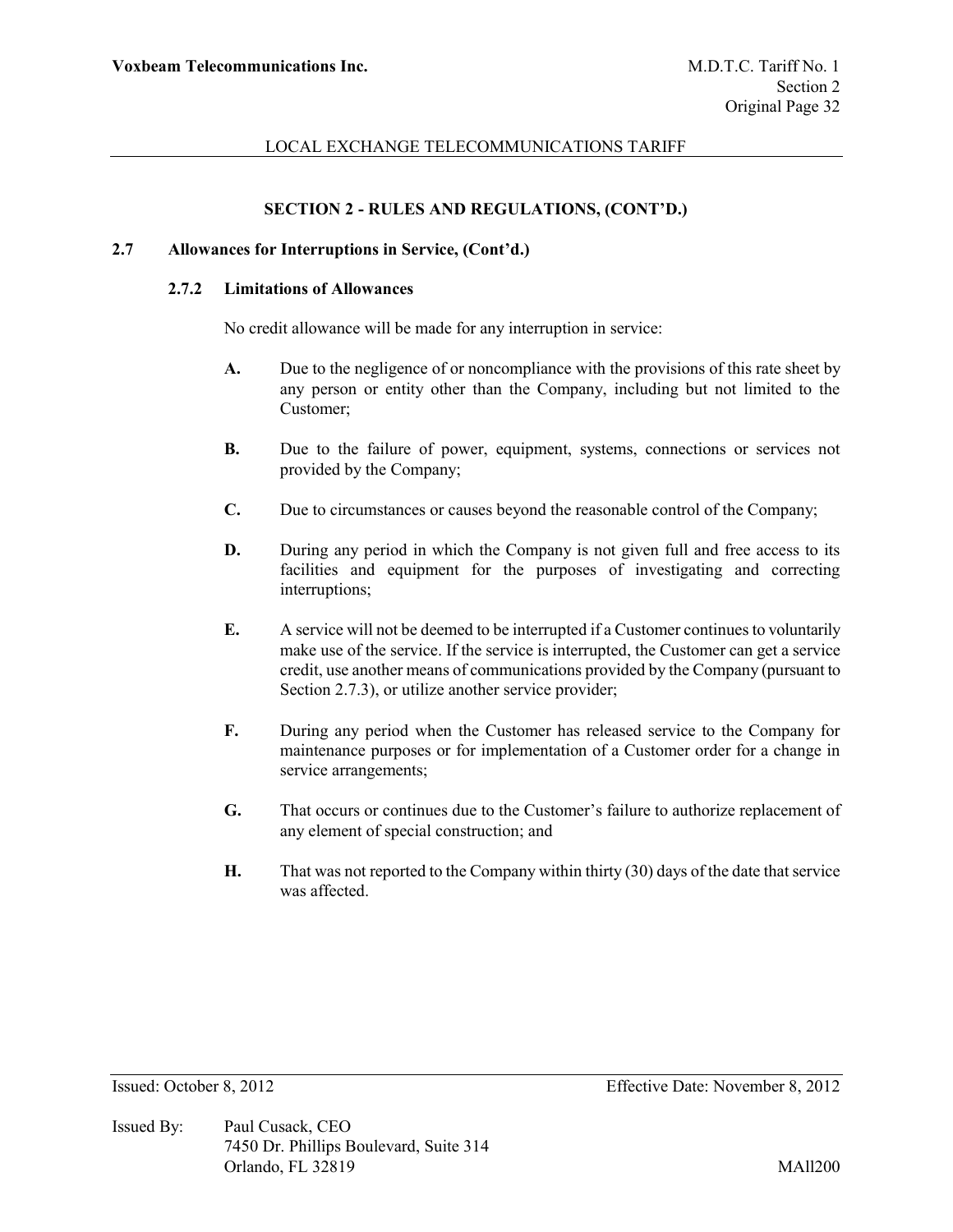## **SECTION 2 - RULES AND REGULATIONS, (CONT'D.)**

#### **2.7 Allowances for Interruptions in Service, (Cont'd.)**

#### **2.7.2 Limitations of Allowances**

No credit allowance will be made for any interruption in service:

- **A.** Due to the negligence of or noncompliance with the provisions of this rate sheet by any person or entity other than the Company, including but not limited to the Customer;
- **B.** Due to the failure of power, equipment, systems, connections or services not provided by the Company;
- **C.** Due to circumstances or causes beyond the reasonable control of the Company;
- **D.** During any period in which the Company is not given full and free access to its facilities and equipment for the purposes of investigating and correcting interruptions;
- **E.** A service will not be deemed to be interrupted if a Customer continues to voluntarily make use of the service. If the service is interrupted, the Customer can get a service credit, use another means of communications provided by the Company (pursuant to Section 2.7.3), or utilize another service provider;
- **F.** During any period when the Customer has released service to the Company for maintenance purposes or for implementation of a Customer order for a change in service arrangements;
- **G.** That occurs or continues due to the Customer's failure to authorize replacement of any element of special construction; and
- **H.** That was not reported to the Company within thirty (30) days of the date that service was affected.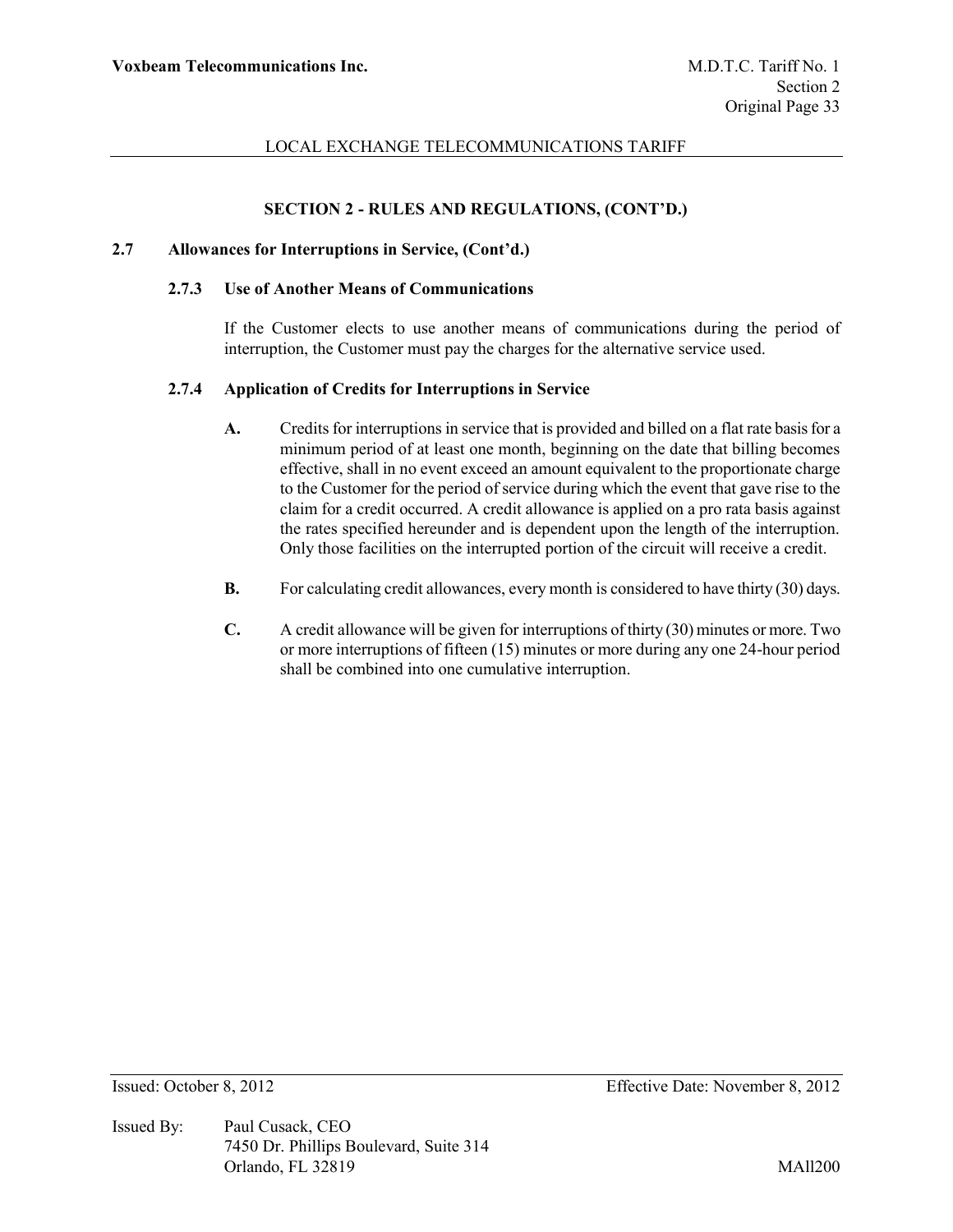## **SECTION 2 - RULES AND REGULATIONS, (CONT'D.)**

### **2.7 Allowances for Interruptions in Service, (Cont'd.)**

#### **2.7.3 Use of Another Means of Communications**

If the Customer elects to use another means of communications during the period of interruption, the Customer must pay the charges for the alternative service used.

### **2.7.4 Application of Credits for Interruptions in Service**

- **A.** Credits for interruptions in service that is provided and billed on a flat rate basis for a minimum period of at least one month, beginning on the date that billing becomes effective, shall in no event exceed an amount equivalent to the proportionate charge to the Customer for the period of service during which the event that gave rise to the claim for a credit occurred. A credit allowance is applied on a pro rata basis against the rates specified hereunder and is dependent upon the length of the interruption. Only those facilities on the interrupted portion of the circuit will receive a credit.
- **B.** For calculating credit allowances, every month is considered to have thirty (30) days.
- **C.** A credit allowance will be given for interruptions of thirty (30) minutes or more. Two or more interruptions of fifteen (15) minutes or more during any one 24-hour period shall be combined into one cumulative interruption.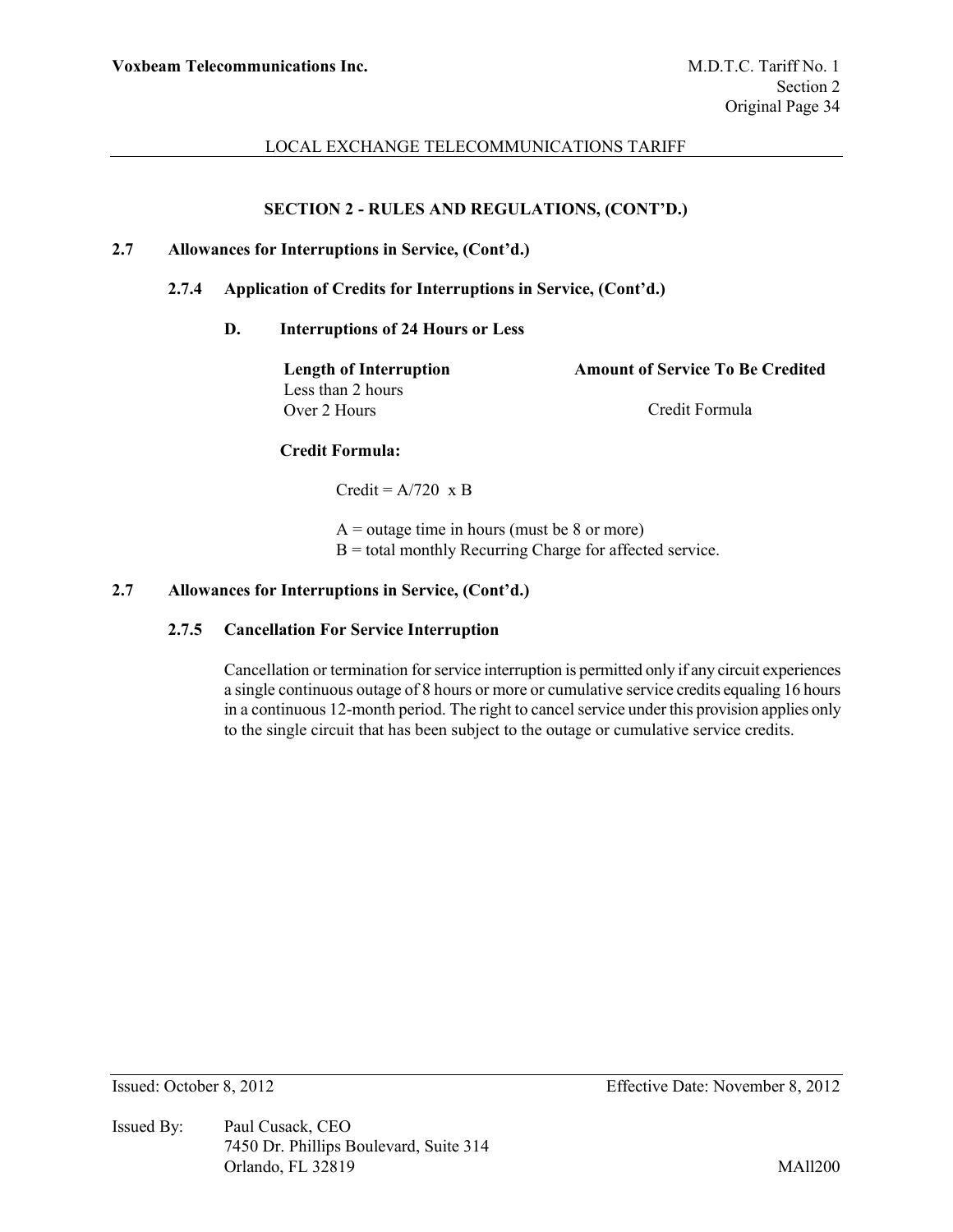# **SECTION 2 - RULES AND REGULATIONS, (CONT'D.)**

### **2.7 Allowances for Interruptions in Service, (Cont'd.)**

### **2.7.4 Application of Credits for Interruptions in Service, (Cont'd.)**

#### **D. Interruptions of 24 Hours or Less**

**Length of Interruption Amount of Service To Be Credited** Less than 2 hours Over 2 Hours Credit Formula

### **Credit Formula:**

Credit =  $A/720 \times B$ 

 $A =$  outage time in hours (must be 8 or more)  $B =$  total monthly Recurring Charge for affected service.

# **2.7 Allowances for Interruptions in Service, (Cont'd.)**

#### **2.7.5 Cancellation For Service Interruption**

Cancellation or termination for service interruption is permitted only if any circuit experiences a single continuous outage of 8 hours or more or cumulative service credits equaling 16 hours in a continuous 12-month period. The right to cancel service under this provision applies only to the single circuit that has been subject to the outage or cumulative service credits.

Issued By: Paul Cusack, CEO 7450 Dr. Phillips Boulevard, Suite 314 Orlando, FL 32819 MAll200

Issued: October 8, 2012 Effective Date: November 8, 2012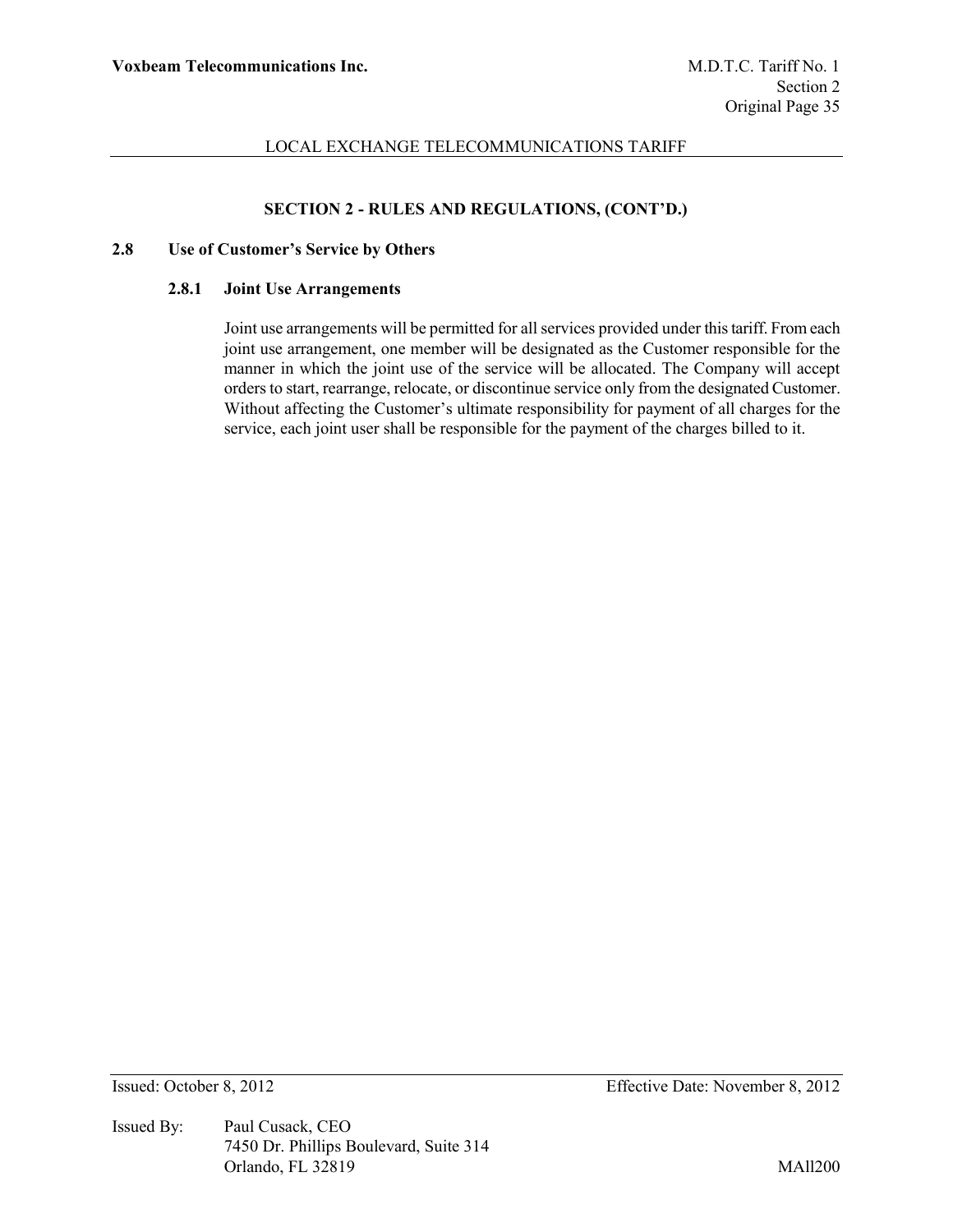# **SECTION 2 - RULES AND REGULATIONS, (CONT'D.)**

#### **2.8 Use of Customer's Service by Others**

#### **2.8.1 Joint Use Arrangements**

Joint use arrangements will be permitted for all services provided under this tariff. From each joint use arrangement, one member will be designated as the Customer responsible for the manner in which the joint use of the service will be allocated. The Company will accept orders to start, rearrange, relocate, or discontinue service only from the designated Customer. Without affecting the Customer's ultimate responsibility for payment of all charges for the service, each joint user shall be responsible for the payment of the charges billed to it.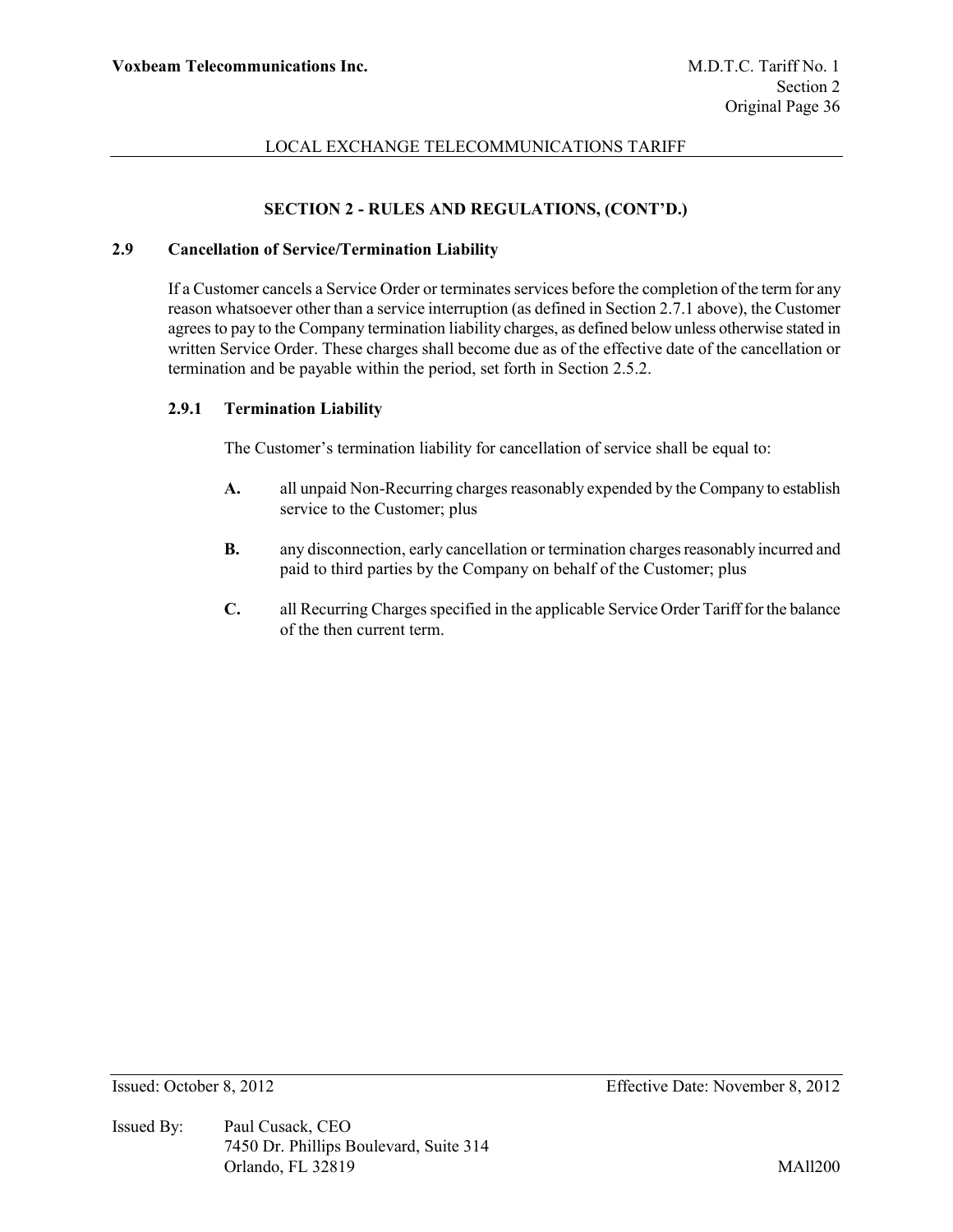# **SECTION 2 - RULES AND REGULATIONS, (CONT'D.)**

## **2.9 Cancellation of Service/Termination Liability**

If a Customer cancels a Service Order or terminates services before the completion of the term for any reason whatsoever other than a service interruption (as defined in Section 2.7.1 above), the Customer agrees to pay to the Company termination liability charges, as defined below unless otherwise stated in written Service Order. These charges shall become due as of the effective date of the cancellation or termination and be payable within the period, set forth in Section 2.5.2.

#### **2.9.1 Termination Liability**

The Customer's termination liability for cancellation of service shall be equal to:

- **A.** all unpaid Non-Recurring charges reasonably expended by the Company to establish service to the Customer; plus
- **B.** any disconnection, early cancellation or termination charges reasonably incurred and paid to third parties by the Company on behalf of the Customer; plus
- **C.** all Recurring Charges specified in the applicable Service Order Tariff for the balance of the then current term.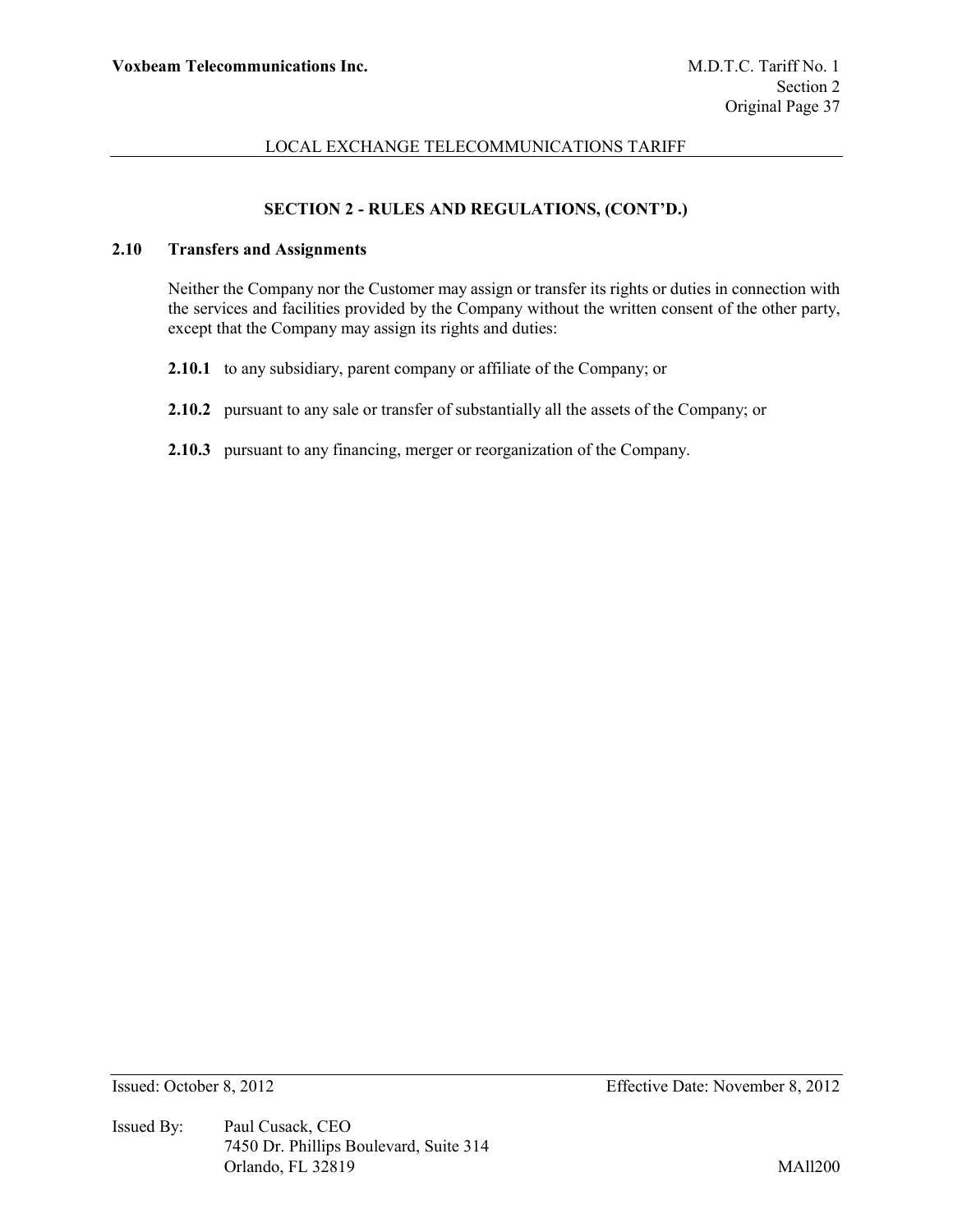# **SECTION 2 - RULES AND REGULATIONS, (CONT'D.)**

# **2.10 Transfers and Assignments**

Neither the Company nor the Customer may assign or transfer its rights or duties in connection with the services and facilities provided by the Company without the written consent of the other party, except that the Company may assign its rights and duties:

- **2.10.1** to any subsidiary, parent company or affiliate of the Company; or
- **2.10.2** pursuant to any sale or transfer of substantially all the assets of the Company; or
- **2.10.3** pursuant to any financing, merger or reorganization of the Company.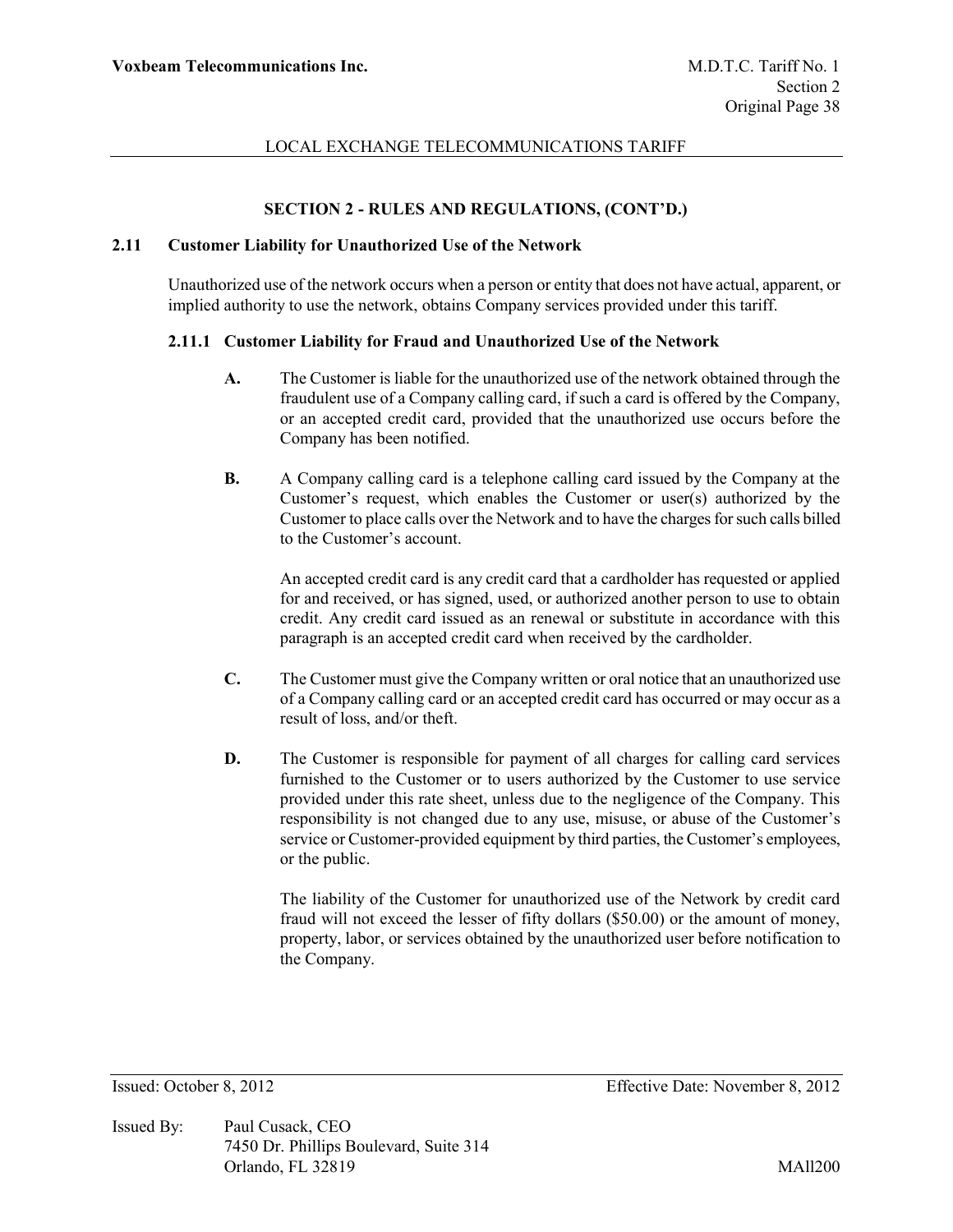# **SECTION 2 - RULES AND REGULATIONS, (CONT'D.)**

### **2.11 Customer Liability for Unauthorized Use of the Network**

Unauthorized use of the network occurs when a person or entity that does not have actual, apparent, or implied authority to use the network, obtains Company services provided under this tariff.

### **2.11.1 Customer Liability for Fraud and Unauthorized Use of the Network**

- **A.** The Customer is liable for the unauthorized use of the network obtained through the fraudulent use of a Company calling card, if such a card is offered by the Company, or an accepted credit card, provided that the unauthorized use occurs before the Company has been notified.
- **B.** A Company calling card is a telephone calling card issued by the Company at the Customer's request, which enables the Customer or user(s) authorized by the Customer to place calls over the Network and to have the charges for such calls billed to the Customer's account.

An accepted credit card is any credit card that a cardholder has requested or applied for and received, or has signed, used, or authorized another person to use to obtain credit. Any credit card issued as an renewal or substitute in accordance with this paragraph is an accepted credit card when received by the cardholder.

- **C.** The Customer must give the Company written or oral notice that an unauthorized use of a Company calling card or an accepted credit card has occurred or may occur as a result of loss, and/or theft.
- **D.** The Customer is responsible for payment of all charges for calling card services furnished to the Customer or to users authorized by the Customer to use service provided under this rate sheet, unless due to the negligence of the Company. This responsibility is not changed due to any use, misuse, or abuse of the Customer's service or Customer-provided equipment by third parties, the Customer's employees, or the public.

The liability of the Customer for unauthorized use of the Network by credit card fraud will not exceed the lesser of fifty dollars (\$50.00) or the amount of money, property, labor, or services obtained by the unauthorized user before notification to the Company.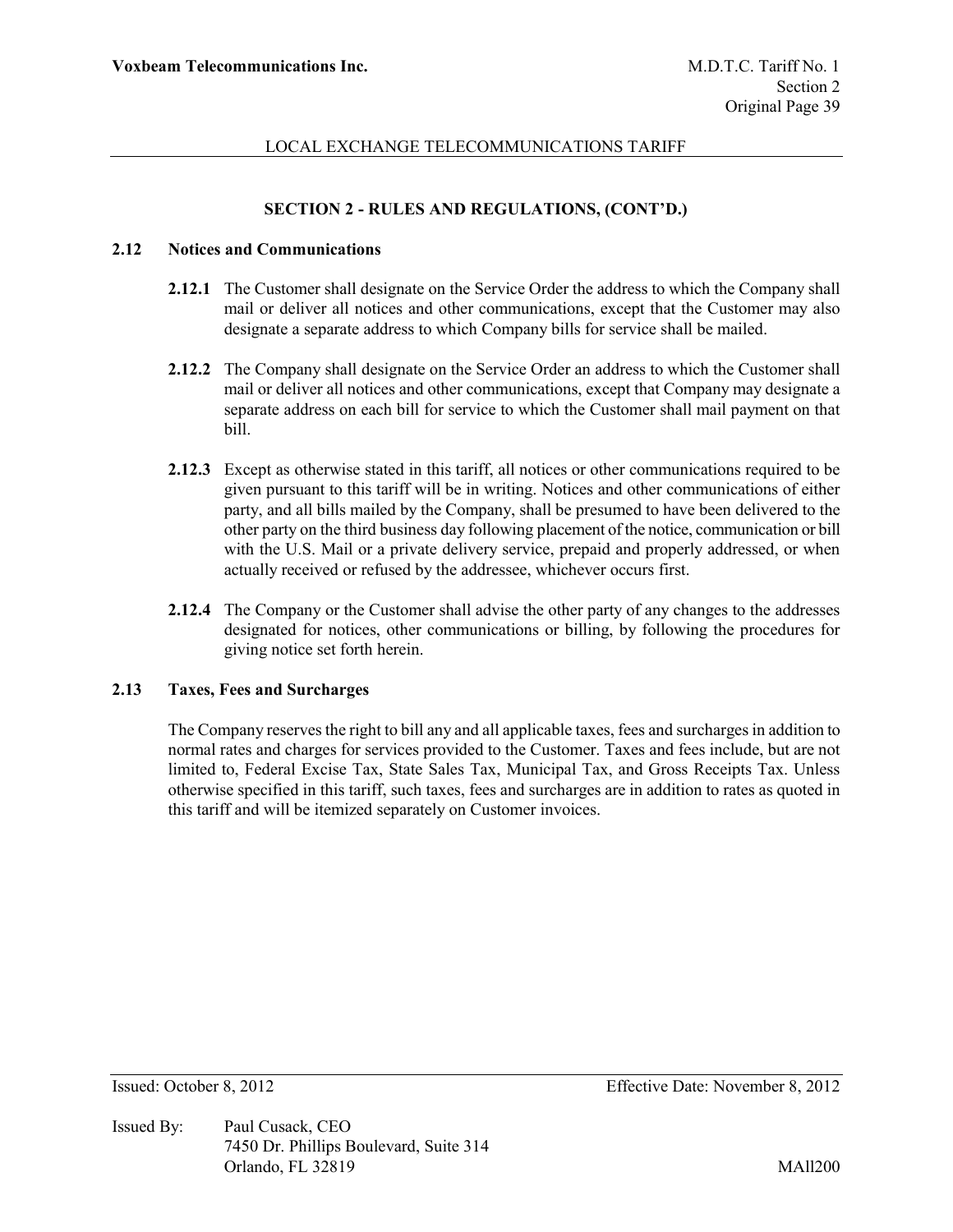# **SECTION 2 - RULES AND REGULATIONS, (CONT'D.)**

### **2.12 Notices and Communications**

- **2.12.1** The Customer shall designate on the Service Order the address to which the Company shall mail or deliver all notices and other communications, except that the Customer may also designate a separate address to which Company bills for service shall be mailed.
- **2.12.2** The Company shall designate on the Service Order an address to which the Customer shall mail or deliver all notices and other communications, except that Company may designate a separate address on each bill for service to which the Customer shall mail payment on that bill.
- **2.12.3** Except as otherwise stated in this tariff, all notices or other communications required to be given pursuant to this tariff will be in writing. Notices and other communications of either party, and all bills mailed by the Company, shall be presumed to have been delivered to the other party on the third business day following placement of the notice, communication or bill with the U.S. Mail or a private delivery service, prepaid and properly addressed, or when actually received or refused by the addressee, whichever occurs first.
- **2.12.4** The Company or the Customer shall advise the other party of any changes to the addresses designated for notices, other communications or billing, by following the procedures for giving notice set forth herein.

### **2.13 Taxes, Fees and Surcharges**

The Company reserves the right to bill any and all applicable taxes, fees and surcharges in addition to normal rates and charges for services provided to the Customer. Taxes and fees include, but are not limited to, Federal Excise Tax, State Sales Tax, Municipal Tax, and Gross Receipts Tax. Unless otherwise specified in this tariff, such taxes, fees and surcharges are in addition to rates as quoted in this tariff and will be itemized separately on Customer invoices.

Issued By: Paul Cusack, CEO 7450 Dr. Phillips Boulevard, Suite 314 Orlando, FL 32819 MAll200

Issued: October 8, 2012 Effective Date: November 8, 2012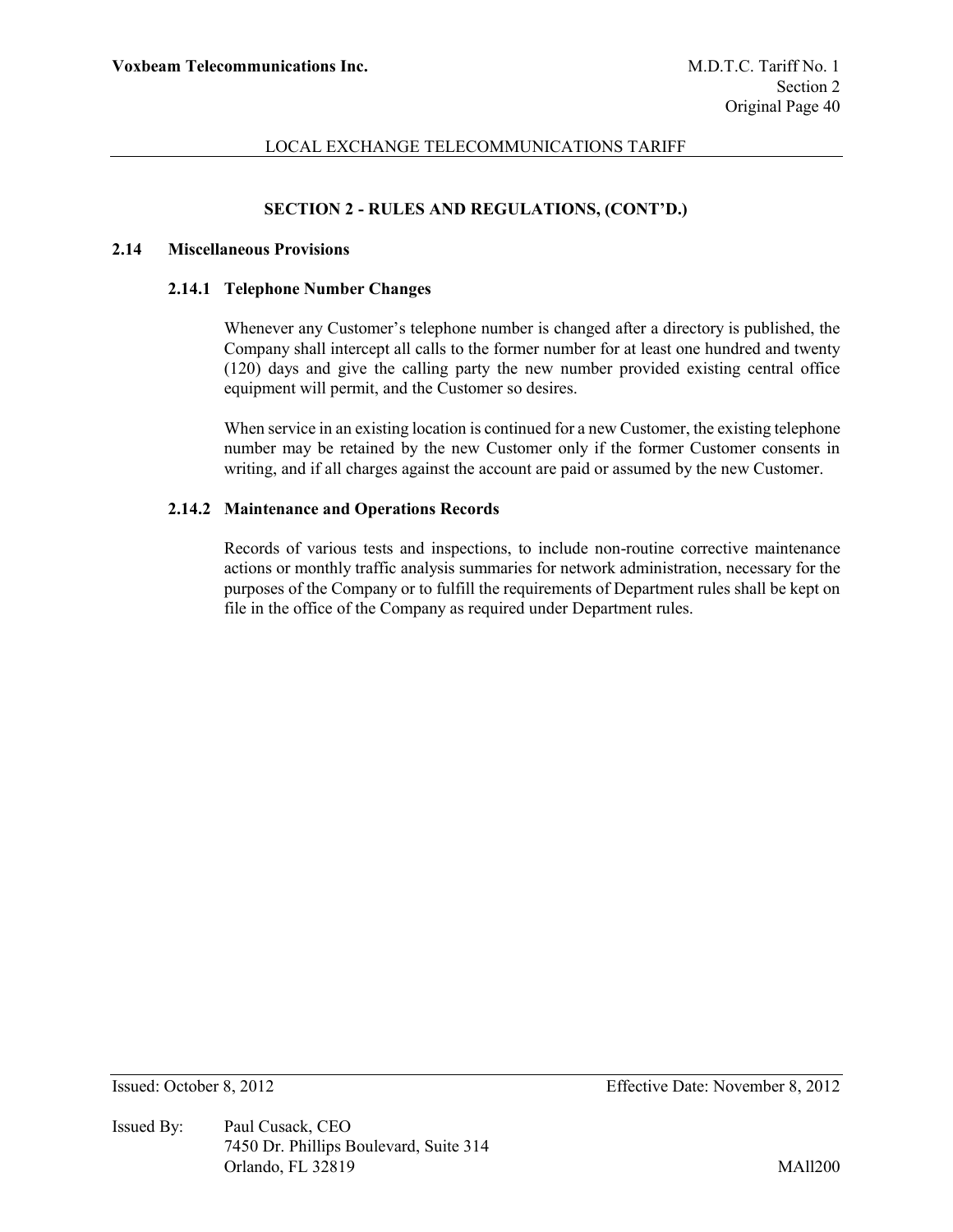# **SECTION 2 - RULES AND REGULATIONS, (CONT'D.)**

### **2.14 Miscellaneous Provisions**

#### **2.14.1 Telephone Number Changes**

Whenever any Customer's telephone number is changed after a directory is published, the Company shall intercept all calls to the former number for at least one hundred and twenty (120) days and give the calling party the new number provided existing central office equipment will permit, and the Customer so desires.

When service in an existing location is continued for a new Customer, the existing telephone number may be retained by the new Customer only if the former Customer consents in writing, and if all charges against the account are paid or assumed by the new Customer.

## **2.14.2 Maintenance and Operations Records**

Records of various tests and inspections, to include non-routine corrective maintenance actions or monthly traffic analysis summaries for network administration, necessary for the purposes of the Company or to fulfill the requirements of Department rules shall be kept on file in the office of the Company as required under Department rules.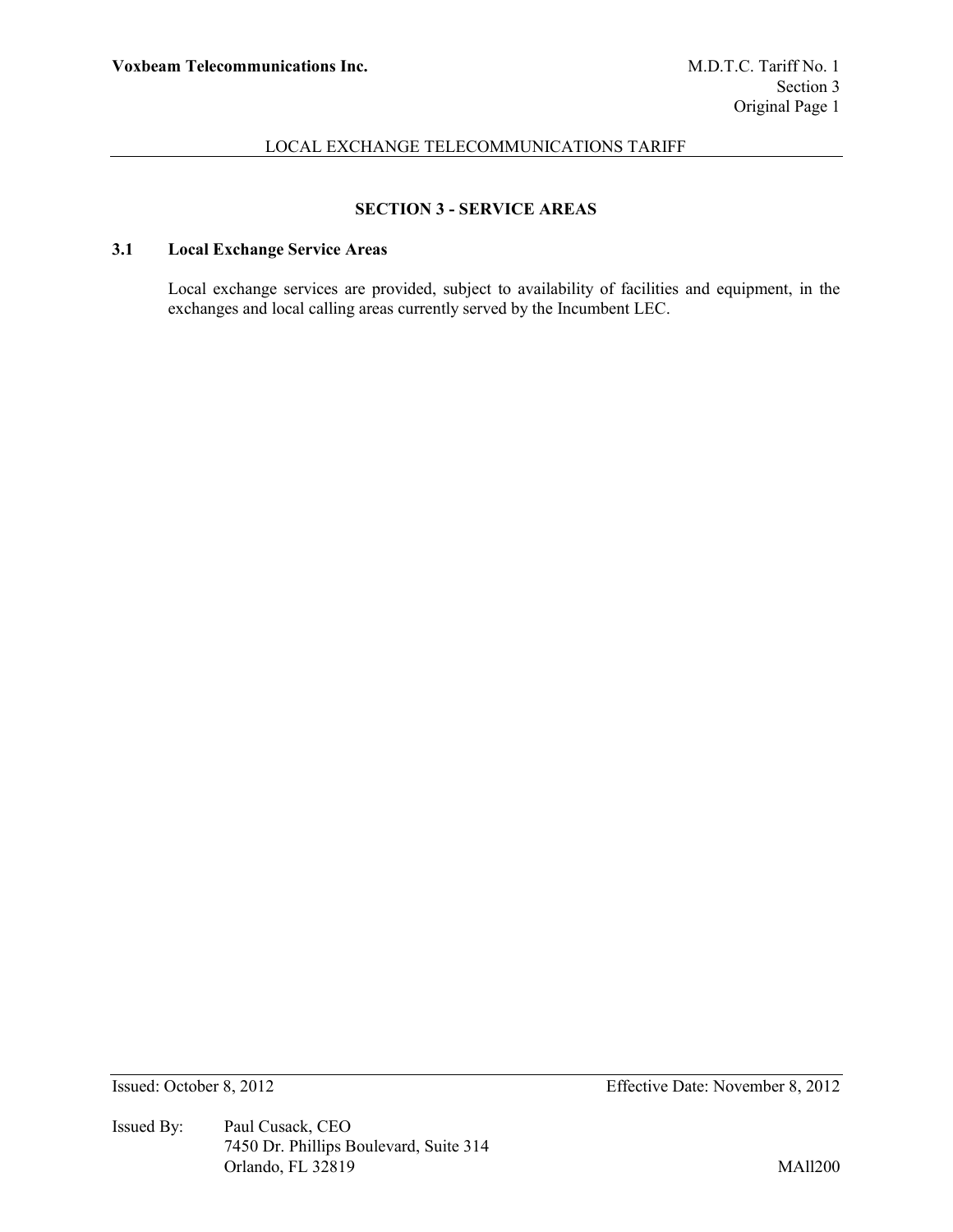# **SECTION 3 - SERVICE AREAS**

# **3.1 Local Exchange Service Areas**

Local exchange services are provided, subject to availability of facilities and equipment, in the exchanges and local calling areas currently served by the Incumbent LEC.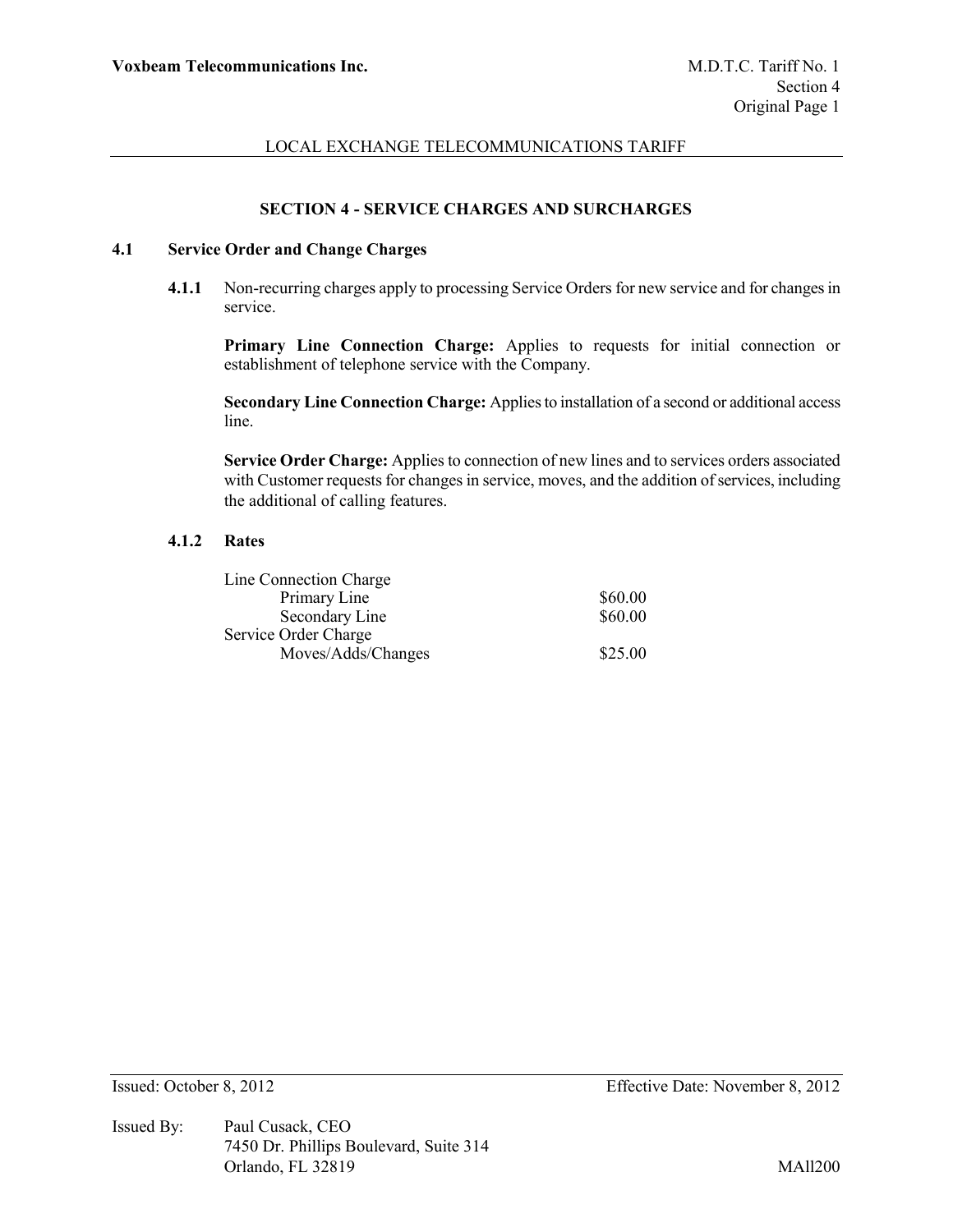### **SECTION 4 - SERVICE CHARGES AND SURCHARGES**

# **4.1 Service Order and Change Charges**

**4.1.1** Non-recurring charges apply to processing Service Orders for new service and for changes in service.

**Primary Line Connection Charge:** Applies to requests for initial connection or establishment of telephone service with the Company.

**Secondary Line Connection Charge:** Applies to installation of a second or additional access line.

**Service Order Charge:** Applies to connection of new lines and to services orders associated with Customer requests for changes in service, moves, and the addition of services, including the additional of calling features.

### **4.1.2 Rates**

| Line Connection Charge |         |
|------------------------|---------|
| Primary Line           | \$60.00 |
| Secondary Line         | \$60.00 |
| Service Order Charge   |         |
| Moves/Adds/Changes     | \$25.00 |
|                        |         |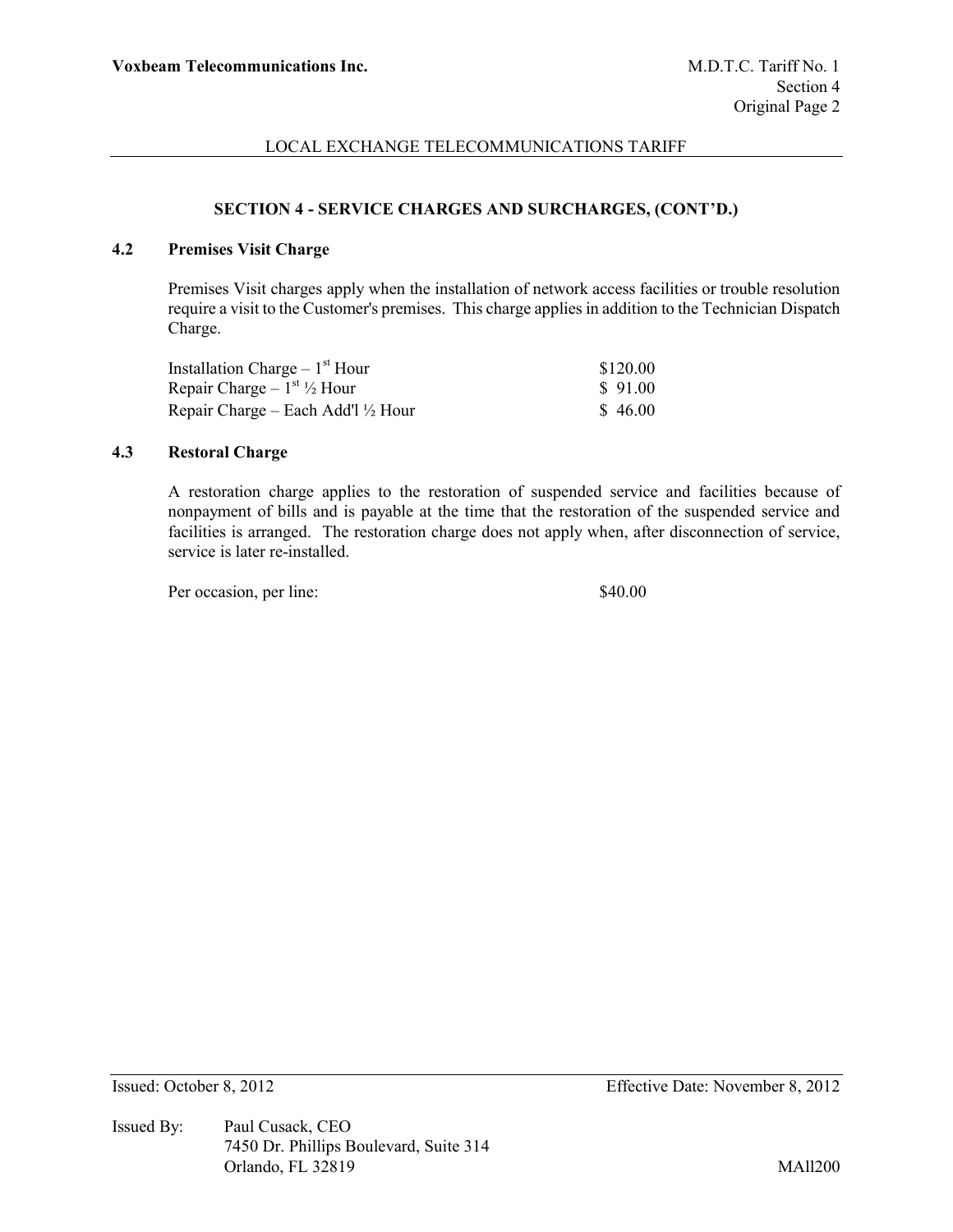### **SECTION 4 - SERVICE CHARGES AND SURCHARGES, (CONT'D.)**

# **4.2 Premises Visit Charge**

Premises Visit charges apply when the installation of network access facilities or trouble resolution require a visit to the Customer's premises. This charge applies in addition to the Technician Dispatch Charge.

| Installation Charge $-1st$ Hour               | \$120.00 |
|-----------------------------------------------|----------|
| Repair Charge $-1^{st}$ 1/2 Hour              | \$91.00  |
| Repair Charge – Each Add'l $\frac{1}{2}$ Hour | \$46.00  |

### **4.3 Restoral Charge**

A restoration charge applies to the restoration of suspended service and facilities because of nonpayment of bills and is payable at the time that the restoration of the suspended service and facilities is arranged. The restoration charge does not apply when, after disconnection of service, service is later re-installed.

Per occasion, per line: \$40.00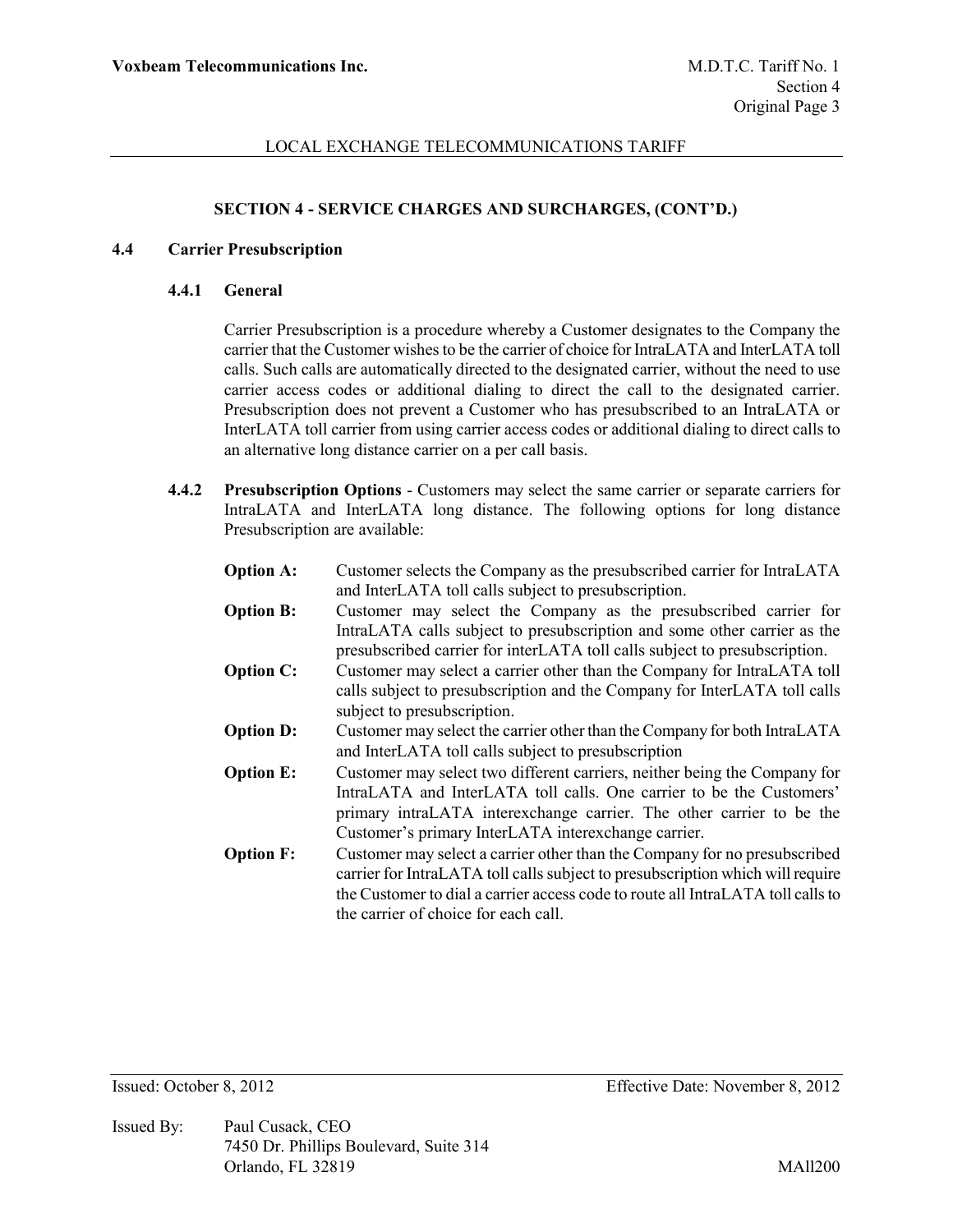#### **SECTION 4 - SERVICE CHARGES AND SURCHARGES, (CONT'D.)**

#### **4.4 Carrier Presubscription**

#### **4.4.1 General**

Carrier Presubscription is a procedure whereby a Customer designates to the Company the carrier that the Customer wishes to be the carrier of choice for IntraLATA and InterLATA toll calls. Such calls are automatically directed to the designated carrier, without the need to use carrier access codes or additional dialing to direct the call to the designated carrier. Presubscription does not prevent a Customer who has presubscribed to an IntraLATA or InterLATA toll carrier from using carrier access codes or additional dialing to direct calls to an alternative long distance carrier on a per call basis.

**4.4.2 Presubscription Options** - Customers may select the same carrier or separate carriers for IntraLATA and InterLATA long distance. The following options for long distance Presubscription are available:

| Customer selects the Company as the presubscribed carrier for IntraLATA         |
|---------------------------------------------------------------------------------|
| and InterLATA toll calls subject to presubscription.                            |
| Customer may select the Company as the presubscribed carrier for                |
| IntraLATA calls subject to presubscription and some other carrier as the        |
| presubscribed carrier for interLATA toll calls subject to presubscription.      |
| Customer may select a carrier other than the Company for IntraLATA toll         |
| calls subject to presubscription and the Company for InterLATA toll calls       |
| subject to presubscription.                                                     |
| Customer may select the carrier other than the Company for both IntraLATA       |
| and InterLATA toll calls subject to presubscription                             |
| Customer may select two different carriers, neither being the Company for       |
| IntraLATA and InterLATA toll calls. One carrier to be the Customers'            |
| primary intraLATA interexchange carrier. The other carrier to be the            |
| Customer's primary InterLATA interexchange carrier.                             |
| Customer may select a carrier other than the Company for no presubscribed       |
| carrier for IntraLATA toll calls subject to presubscription which will require  |
| the Customer to dial a carrier access code to route all IntraLATA toll calls to |
| the carrier of choice for each call.                                            |
|                                                                                 |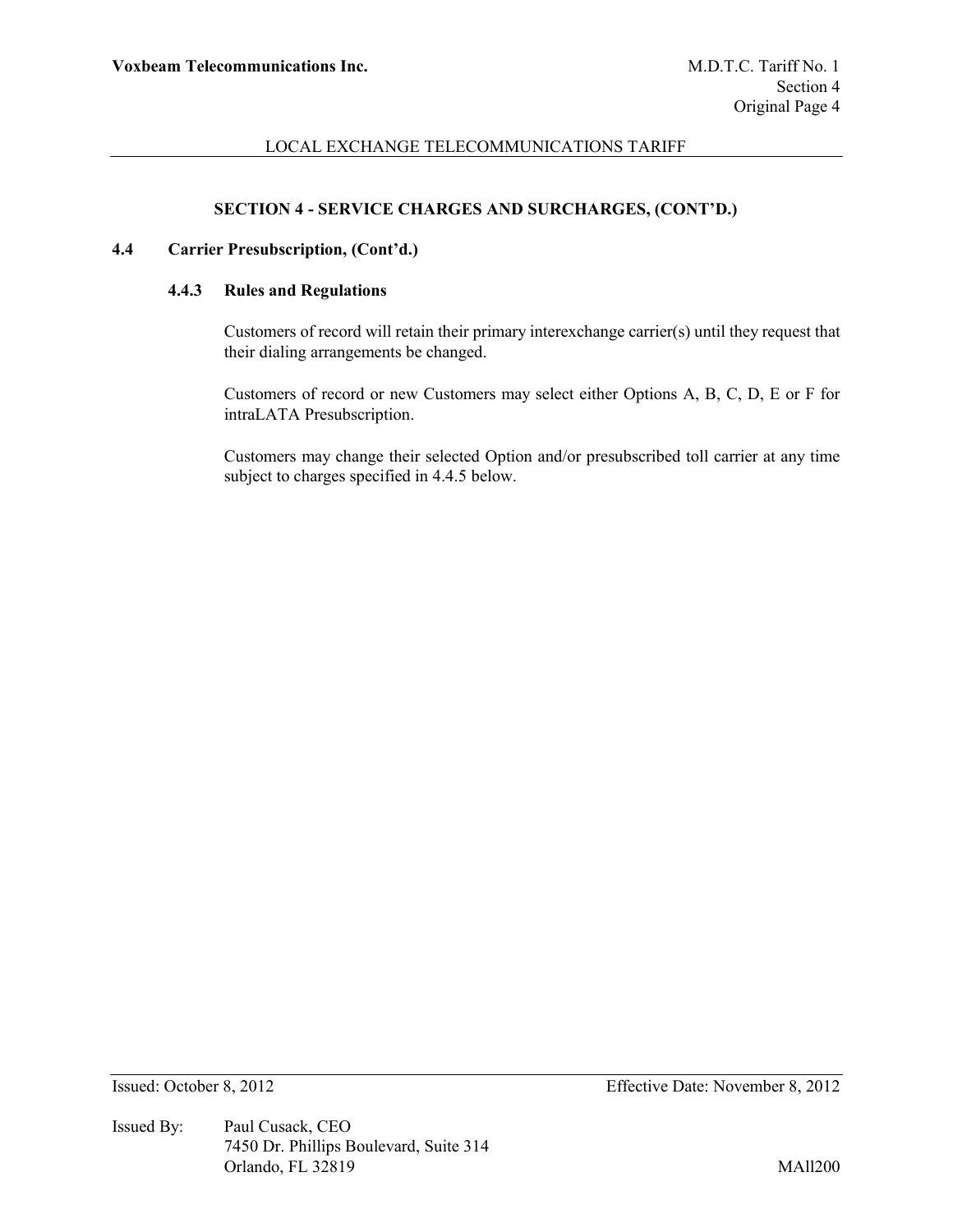## **SECTION 4 - SERVICE CHARGES AND SURCHARGES, (CONT'D.)**

# **4.4 Carrier Presubscription, (Cont'd.)**

### **4.4.3 Rules and Regulations**

Customers of record will retain their primary interexchange carrier(s) until they request that their dialing arrangements be changed.

Customers of record or new Customers may select either Options A, B, C, D, E or F for intraLATA Presubscription.

Customers may change their selected Option and/or presubscribed toll carrier at any time subject to charges specified in 4.4.5 below.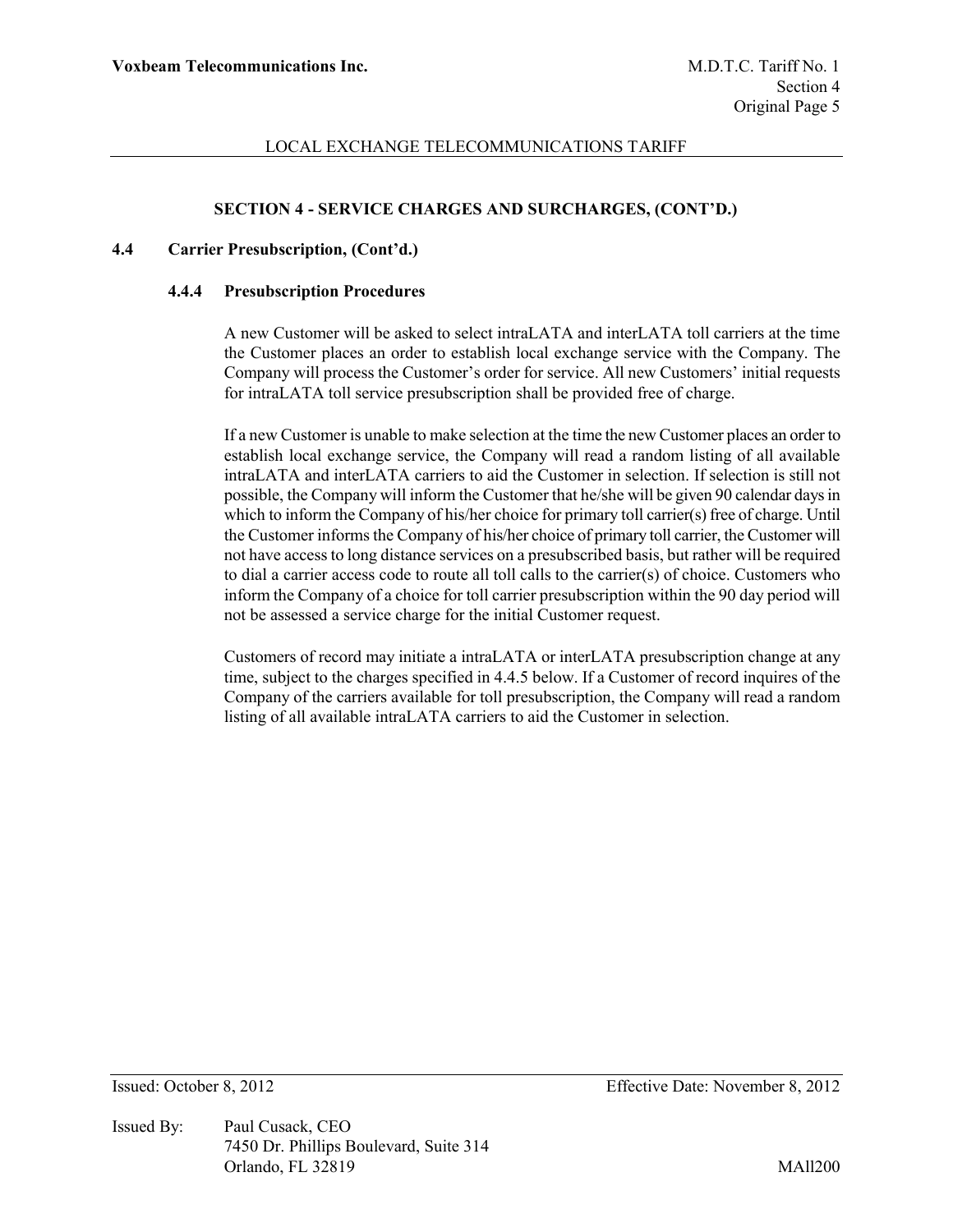### **SECTION 4 - SERVICE CHARGES AND SURCHARGES, (CONT'D.)**

### **4.4 Carrier Presubscription, (Cont'd.)**

#### **4.4.4 Presubscription Procedures**

A new Customer will be asked to select intraLATA and interLATA toll carriers at the time the Customer places an order to establish local exchange service with the Company. The Company will process the Customer's order for service. All new Customers' initial requests for intraLATA toll service presubscription shall be provided free of charge.

If a new Customer is unable to make selection at the time the new Customer places an order to establish local exchange service, the Company will read a random listing of all available intraLATA and interLATA carriers to aid the Customer in selection. If selection is still not possible, the Company will inform the Customer that he/she will be given 90 calendar days in which to inform the Company of his/her choice for primary toll carrier(s) free of charge. Until the Customer informs the Company of his/her choice of primary toll carrier, the Customer will not have access to long distance services on a presubscribed basis, but rather will be required to dial a carrier access code to route all toll calls to the carrier(s) of choice. Customers who inform the Company of a choice for toll carrier presubscription within the 90 day period will not be assessed a service charge for the initial Customer request.

Customers of record may initiate a intraLATA or interLATA presubscription change at any time, subject to the charges specified in 4.4.5 below. If a Customer of record inquires of the Company of the carriers available for toll presubscription, the Company will read a random listing of all available intraLATA carriers to aid the Customer in selection.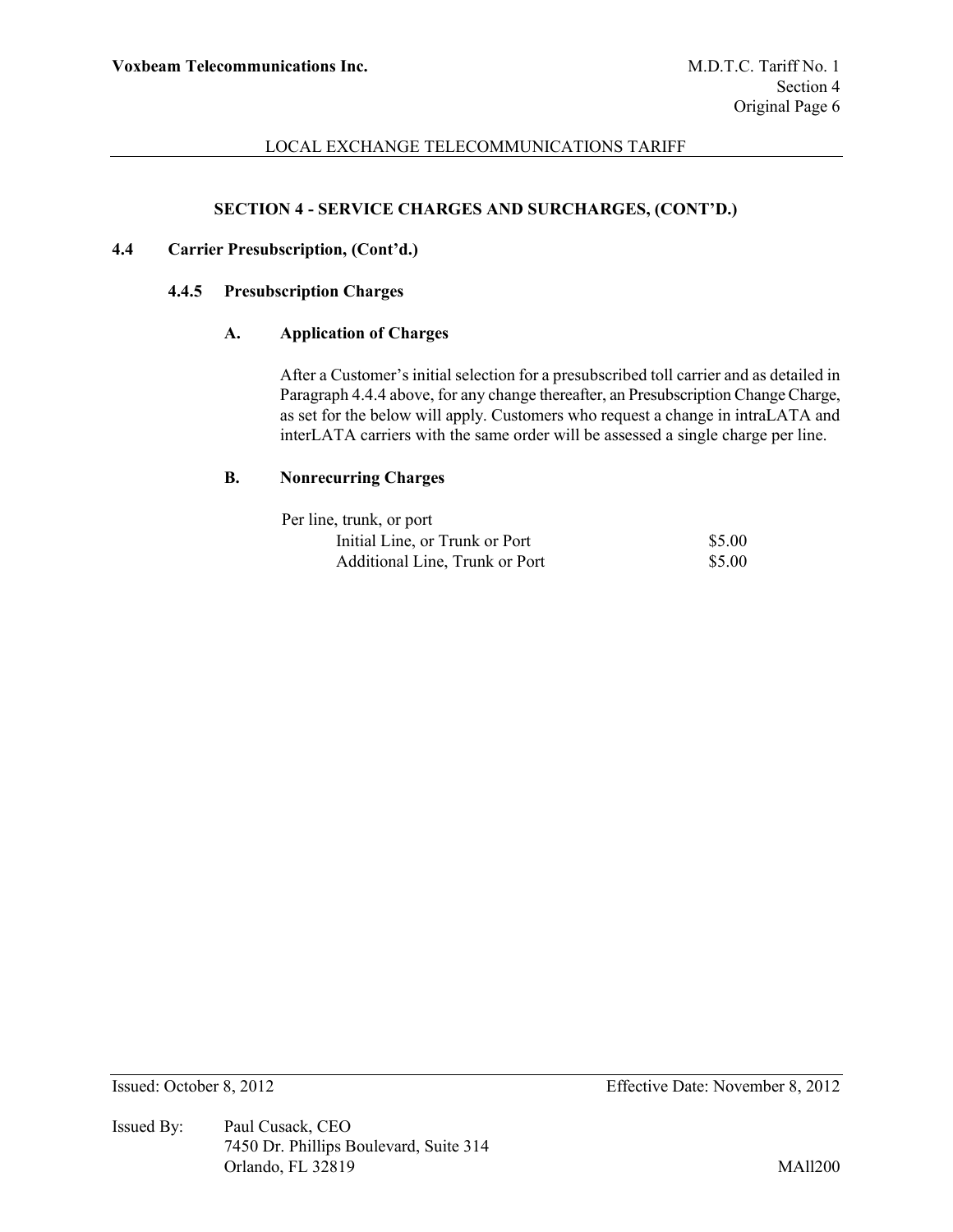### **SECTION 4 - SERVICE CHARGES AND SURCHARGES, (CONT'D.)**

## **4.4 Carrier Presubscription, (Cont'd.)**

#### **4.4.5 Presubscription Charges**

### **A. Application of Charges**

After a Customer's initial selection for a presubscribed toll carrier and as detailed in Paragraph 4.4.4 above, for any change thereafter, an Presubscription Change Charge, as set for the below will apply. Customers who request a change in intraLATA and interLATA carriers with the same order will be assessed a single charge per line.

#### **B. Nonrecurring Charges**

| Per line, trunk, or port       |        |
|--------------------------------|--------|
| Initial Line, or Trunk or Port | \$5.00 |
| Additional Line, Trunk or Port | \$5.00 |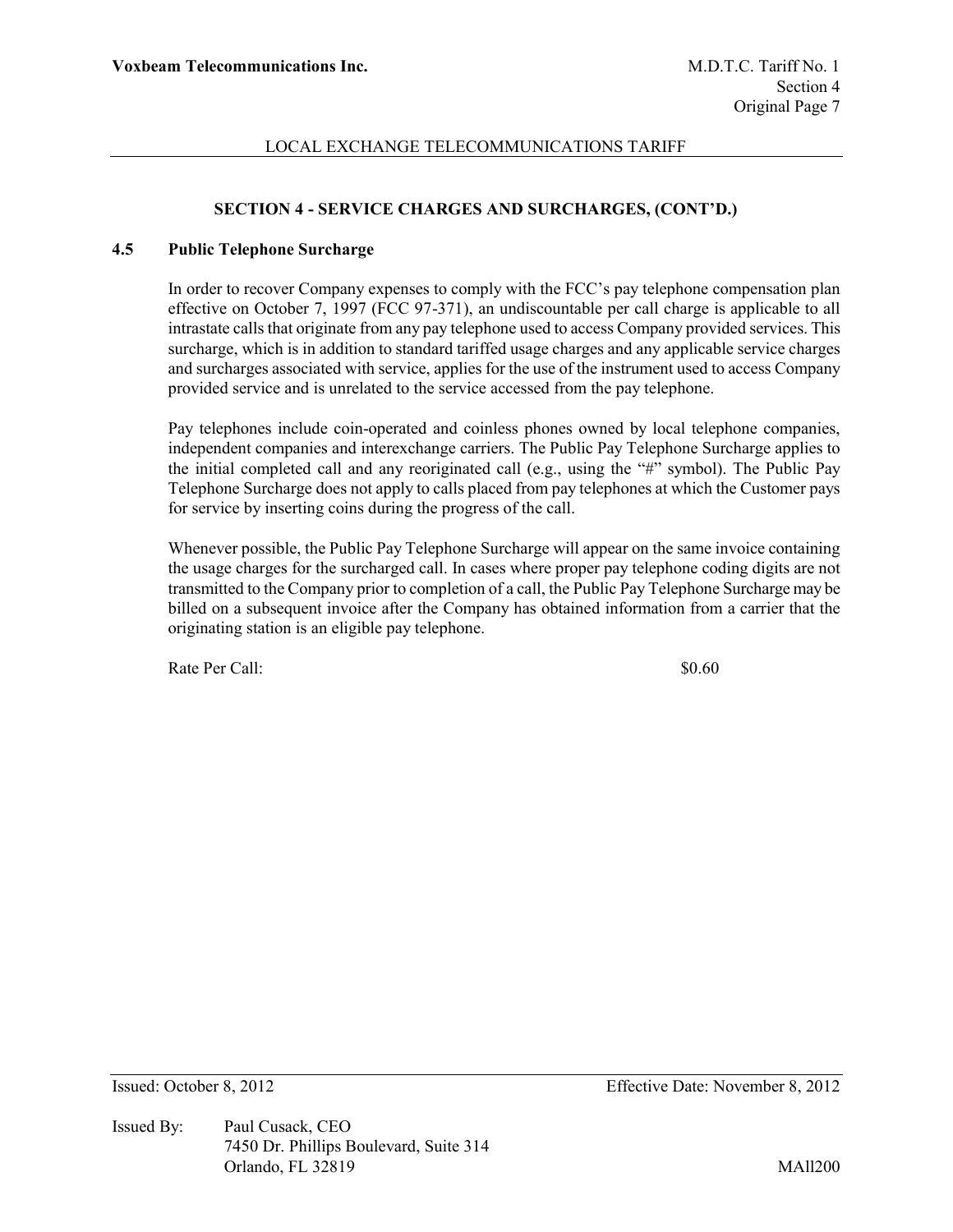# **SECTION 4 - SERVICE CHARGES AND SURCHARGES, (CONT'D.)**

### **4.5 Public Telephone Surcharge**

In order to recover Company expenses to comply with the FCC's pay telephone compensation plan effective on October 7, 1997 (FCC 97-371), an undiscountable per call charge is applicable to all intrastate calls that originate from any pay telephone used to access Company provided services. This surcharge, which is in addition to standard tariffed usage charges and any applicable service charges and surcharges associated with service, applies for the use of the instrument used to access Company provided service and is unrelated to the service accessed from the pay telephone.

Pay telephones include coin-operated and coinless phones owned by local telephone companies, independent companies and interexchange carriers. The Public Pay Telephone Surcharge applies to the initial completed call and any reoriginated call (e.g., using the "#" symbol). The Public Pay Telephone Surcharge does not apply to calls placed from pay telephones at which the Customer pays for service by inserting coins during the progress of the call.

Whenever possible, the Public Pay Telephone Surcharge will appear on the same invoice containing the usage charges for the surcharged call. In cases where proper pay telephone coding digits are not transmitted to the Company prior to completion of a call, the Public Pay Telephone Surcharge may be billed on a subsequent invoice after the Company has obtained information from a carrier that the originating station is an eligible pay telephone.

Rate Per Call:  $$0.60$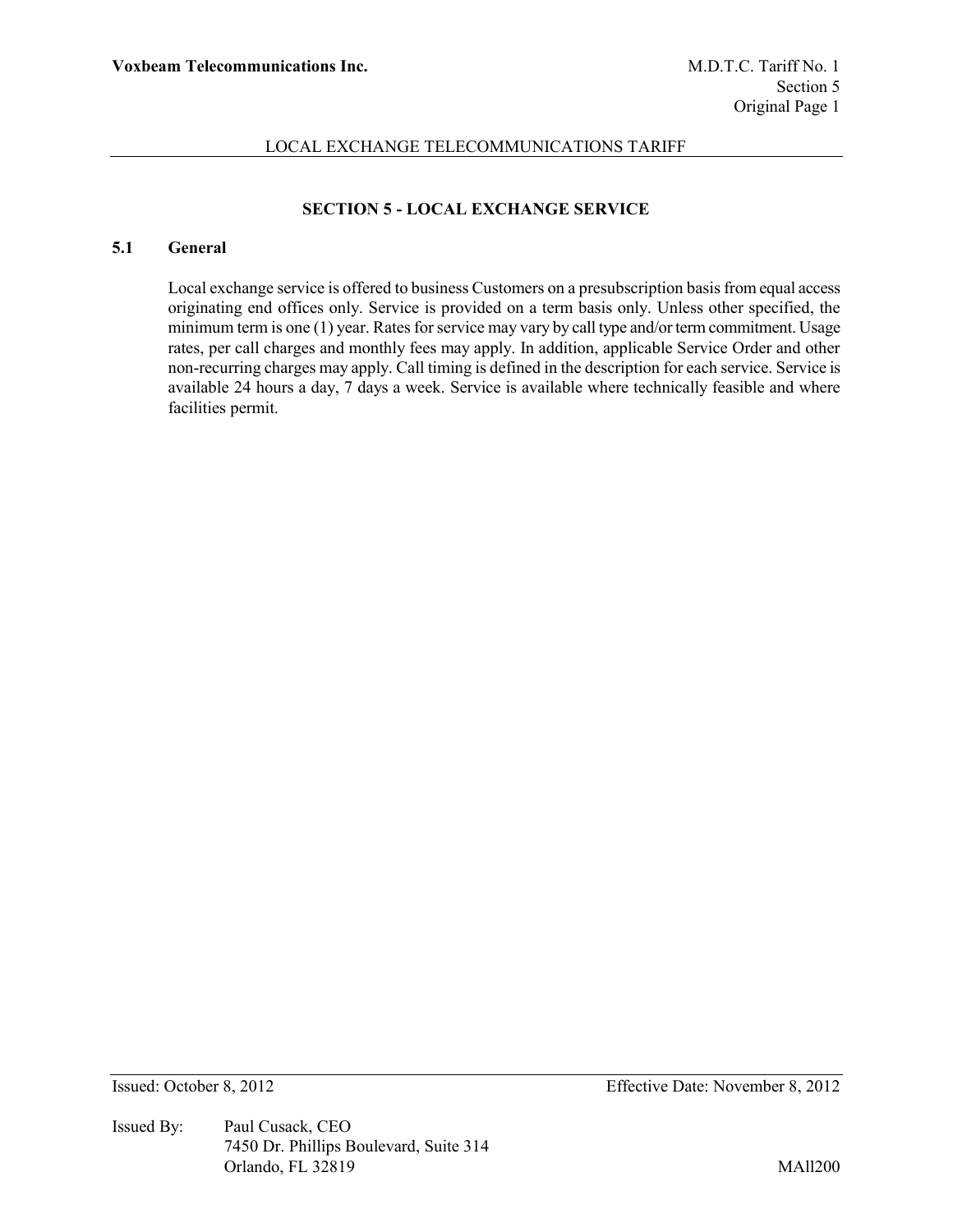# **SECTION 5 - LOCAL EXCHANGE SERVICE**

# **5.1 General**

Local exchange service is offered to business Customers on a presubscription basis from equal access originating end offices only. Service is provided on a term basis only. Unless other specified, the minimum term is one (1) year. Rates for service may vary by call type and/or term commitment. Usage rates, per call charges and monthly fees may apply. In addition, applicable Service Order and other non-recurring charges may apply. Call timing is defined in the description for each service. Service is available 24 hours a day, 7 days a week. Service is available where technically feasible and where facilities permit.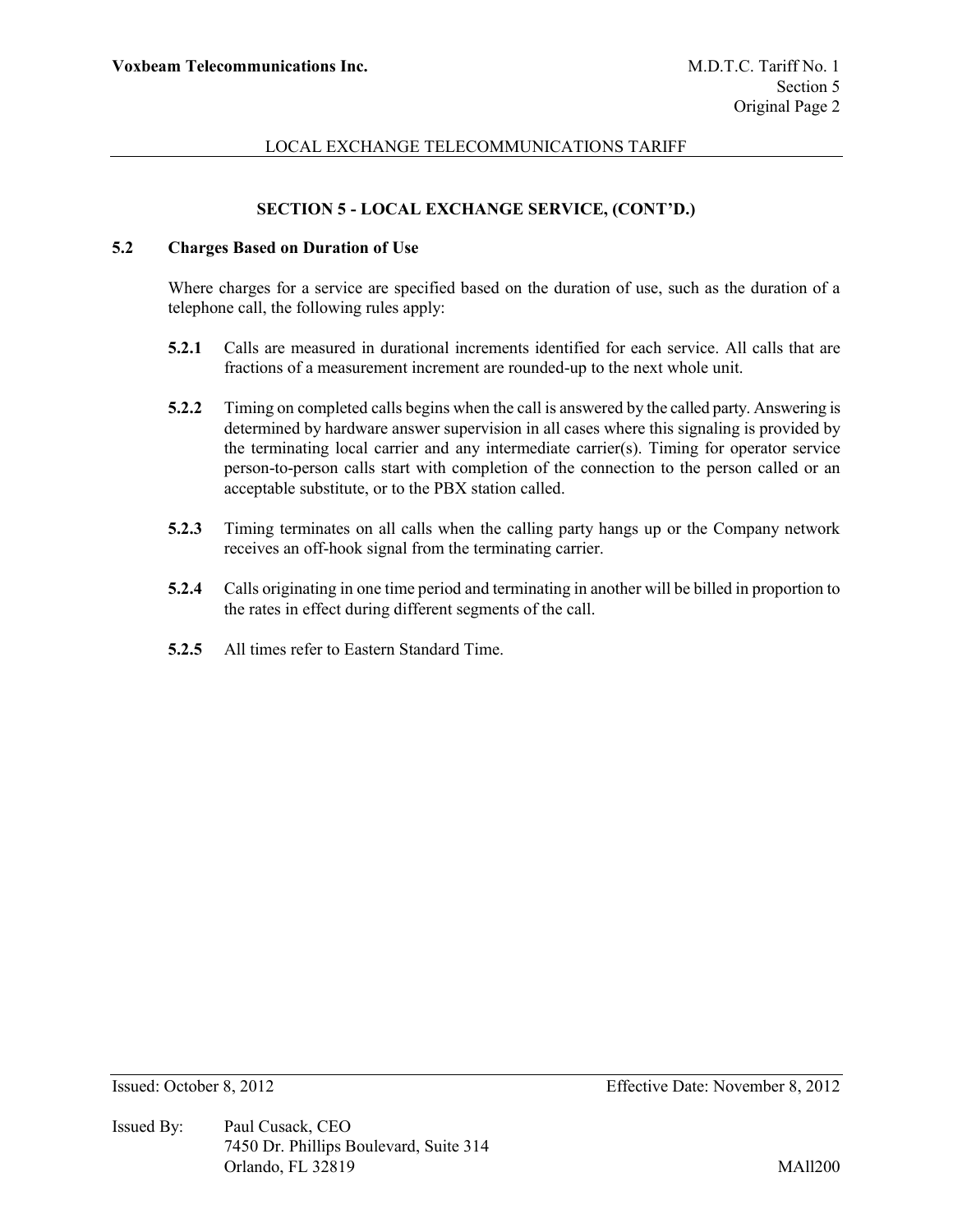# **SECTION 5 - LOCAL EXCHANGE SERVICE, (CONT'D.)**

### **5.2 Charges Based on Duration of Use**

Where charges for a service are specified based on the duration of use, such as the duration of a telephone call, the following rules apply:

- **5.2.1** Calls are measured in durational increments identified for each service. All calls that are fractions of a measurement increment are rounded-up to the next whole unit.
- **5.2.2** Timing on completed calls begins when the call is answered by the called party. Answering is determined by hardware answer supervision in all cases where this signaling is provided by the terminating local carrier and any intermediate carrier(s). Timing for operator service person-to-person calls start with completion of the connection to the person called or an acceptable substitute, or to the PBX station called.
- **5.2.3** Timing terminates on all calls when the calling party hangs up or the Company network receives an off-hook signal from the terminating carrier.
- **5.2.4** Calls originating in one time period and terminating in another will be billed in proportion to the rates in effect during different segments of the call.
- **5.2.5** All times refer to Eastern Standard Time.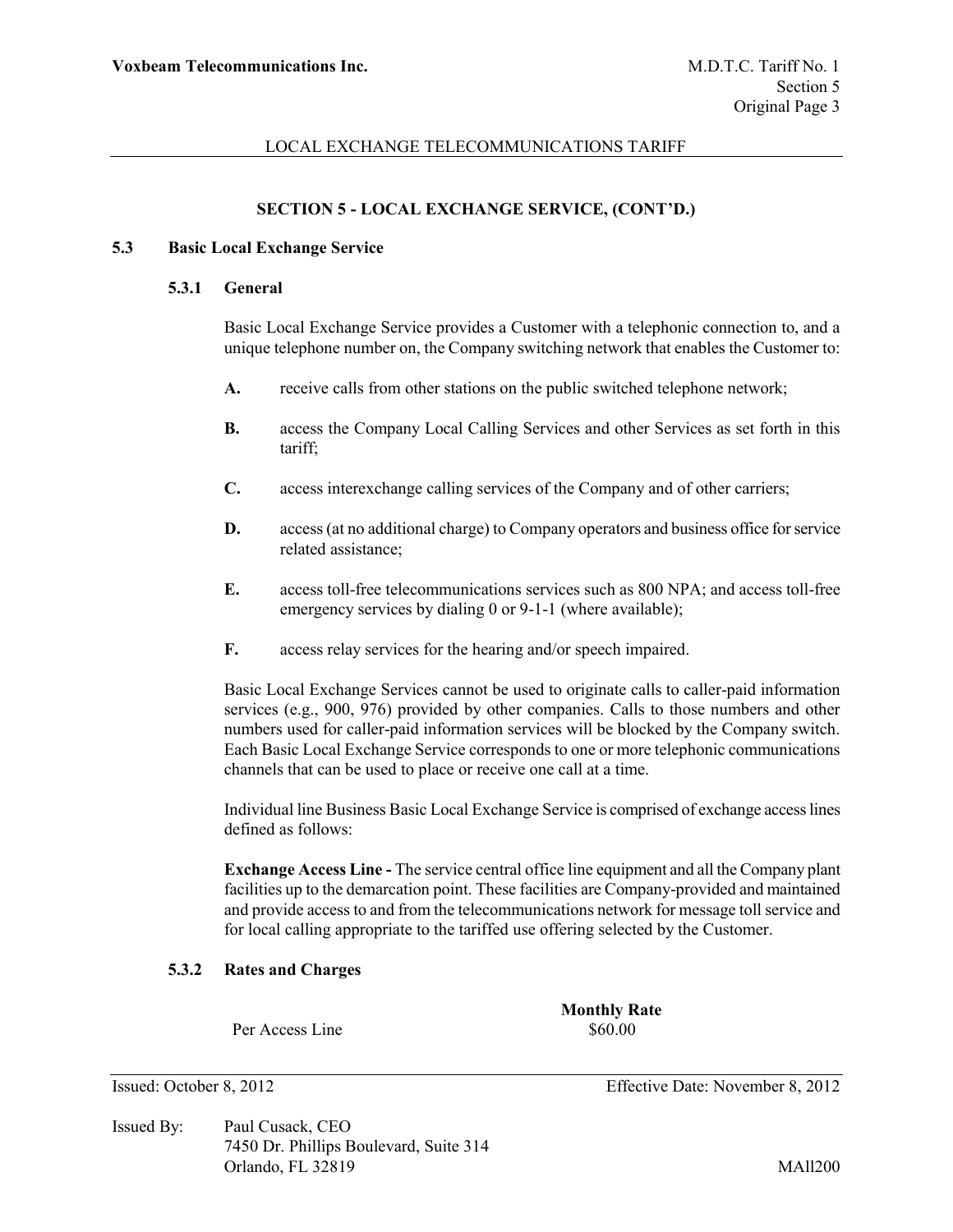#### **SECTION 5 - LOCAL EXCHANGE SERVICE, (CONT'D.)**

#### **5.3 Basic Local Exchange Service**

#### **5.3.1 General**

Basic Local Exchange Service provides a Customer with a telephonic connection to, and a unique telephone number on, the Company switching network that enables the Customer to:

- **A.** receive calls from other stations on the public switched telephone network;
- **B.** access the Company Local Calling Services and other Services as set forth in this tariff;
- **C.** access interexchange calling services of the Company and of other carriers;
- **D.** access (at no additional charge) to Company operators and business office for service related assistance;
- **E.** access toll-free telecommunications services such as 800 NPA; and access toll-free emergency services by dialing 0 or 9-1-1 (where available);
- **F.** access relay services for the hearing and/or speech impaired.

Basic Local Exchange Services cannot be used to originate calls to caller-paid information services (e.g., 900, 976) provided by other companies. Calls to those numbers and other numbers used for caller-paid information services will be blocked by the Company switch. Each Basic Local Exchange Service corresponds to one or more telephonic communications channels that can be used to place or receive one call at a time.

Individual line Business Basic Local Exchange Service is comprised of exchange access lines defined as follows:

**Exchange Access Line -** The service central office line equipment and all the Company plant facilities up to the demarcation point. These facilities are Company-provided and maintained and provide access to and from the telecommunications network for message toll service and for local calling appropriate to the tariffed use offering selected by the Customer.

#### **5.3.2 Rates and Charges**

Per Access Line  $\$60.00$ 

**Monthly Rate**

Issued By: Paul Cusack, CEO 7450 Dr. Phillips Boulevard, Suite 314 Orlando, FL 32819 MAll200

Issued: October 8, 2012 Effective Date: November 8, 2012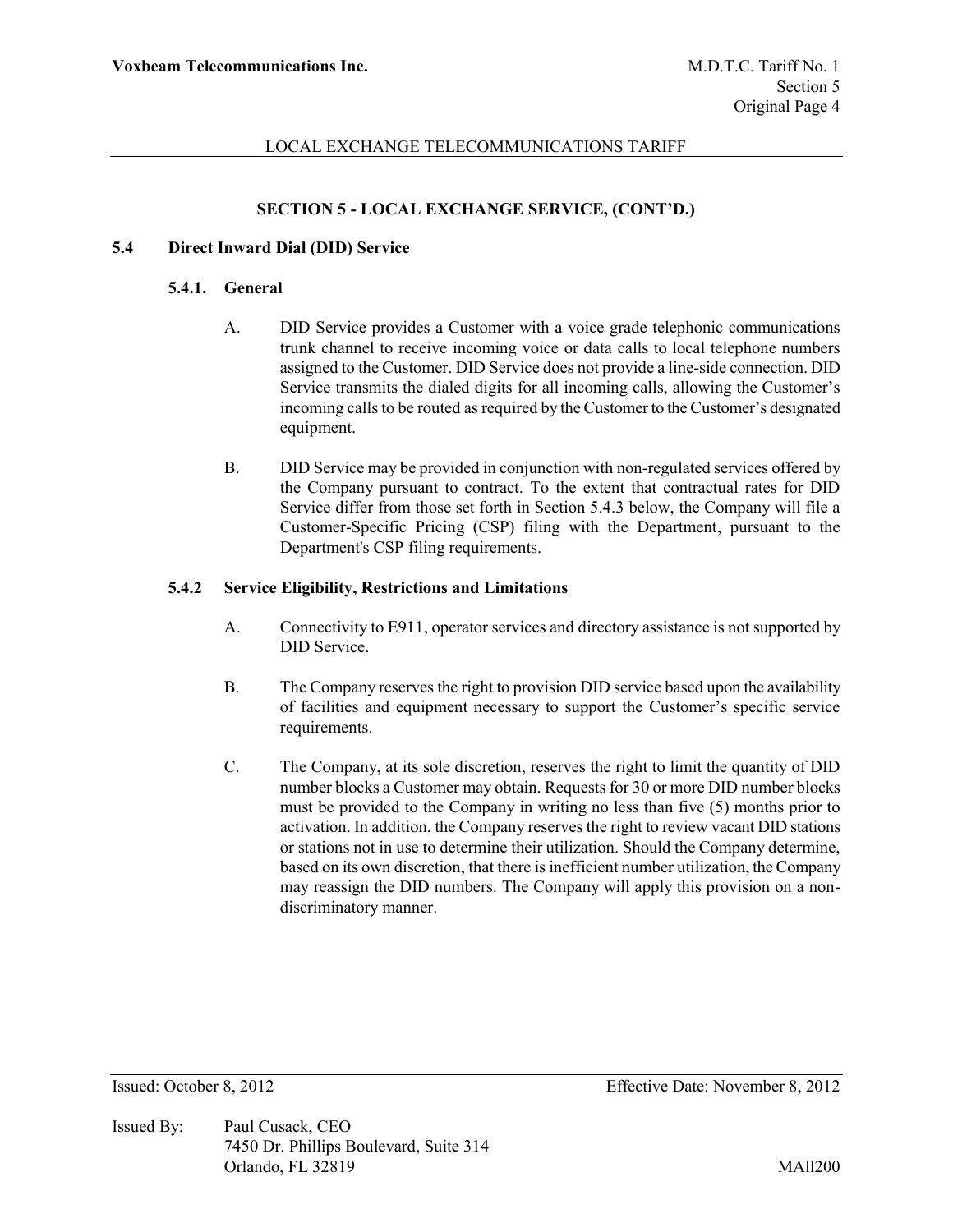## **SECTION 5 - LOCAL EXCHANGE SERVICE, (CONT'D.)**

### **5.4 Direct Inward Dial (DID) Service**

#### **5.4.1. General**

- A. DID Service provides a Customer with a voice grade telephonic communications trunk channel to receive incoming voice or data calls to local telephone numbers assigned to the Customer. DID Service does not provide a line-side connection. DID Service transmits the dialed digits for all incoming calls, allowing the Customer's incoming calls to be routed as required by the Customer to the Customer's designated equipment.
- B. DID Service may be provided in conjunction with non-regulated services offered by the Company pursuant to contract. To the extent that contractual rates for DID Service differ from those set forth in Section 5.4.3 below, the Company will file a Customer-Specific Pricing (CSP) filing with the Department, pursuant to the Department's CSP filing requirements.

#### **5.4.2 Service Eligibility, Restrictions and Limitations**

- A. Connectivity to E911, operator services and directory assistance is not supported by DID Service.
- B. The Company reserves the right to provision DID service based upon the availability of facilities and equipment necessary to support the Customer's specific service requirements.
- C. The Company, at its sole discretion, reserves the right to limit the quantity of DID number blocks a Customer may obtain. Requests for 30 or more DID number blocks must be provided to the Company in writing no less than five (5) months prior to activation. In addition, the Company reserves the right to review vacant DID stations or stations not in use to determine their utilization. Should the Company determine, based on its own discretion, that there is inefficient number utilization, the Company may reassign the DID numbers. The Company will apply this provision on a nondiscriminatory manner.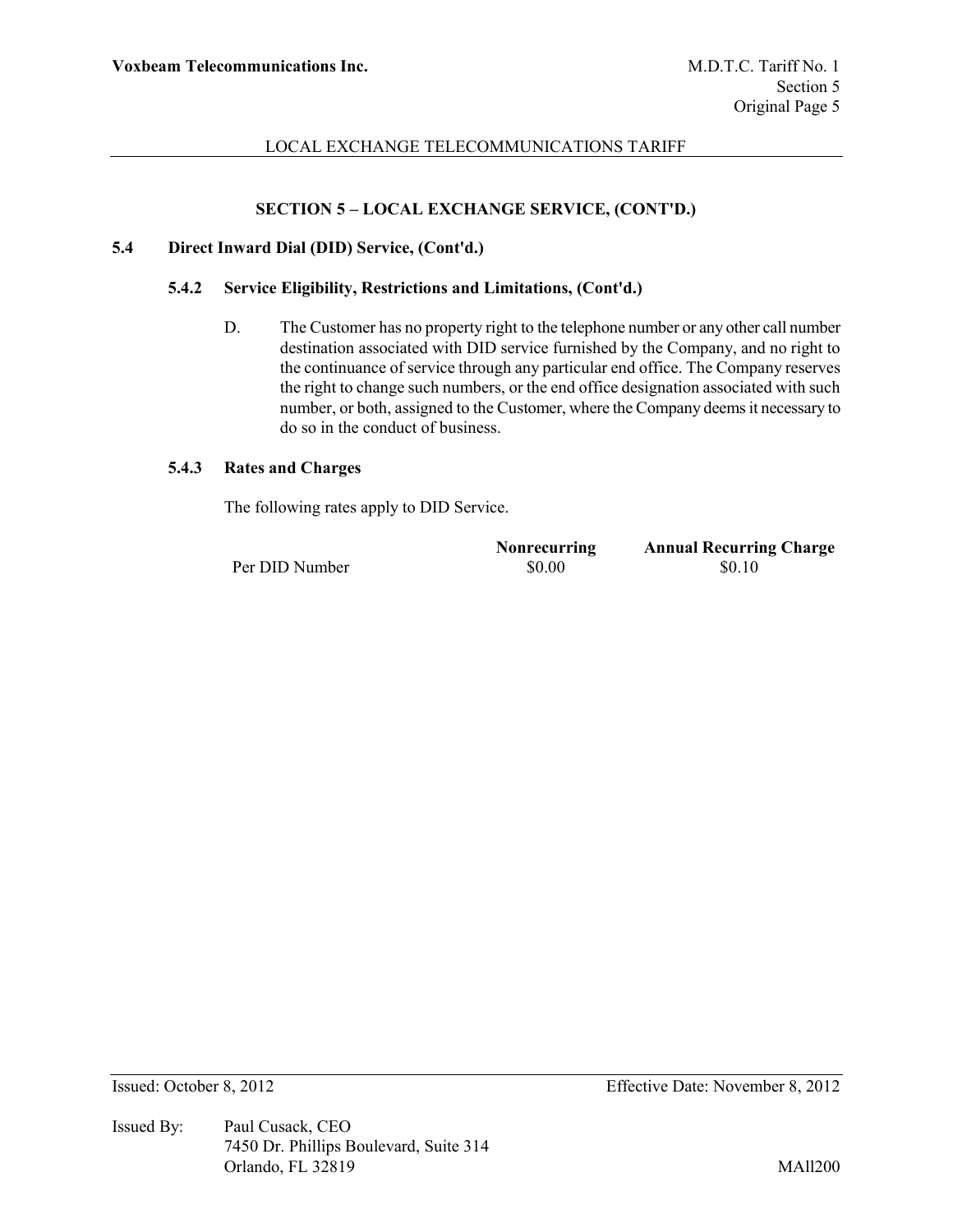# **SECTION 5 – LOCAL EXCHANGE SERVICE, (CONT'D.)**

#### **5.4 Direct Inward Dial (DID) Service, (Cont'd.)**

#### **5.4.2 Service Eligibility, Restrictions and Limitations, (Cont'd.)**

D. The Customer has no property right to the telephone number or any other call number destination associated with DID service furnished by the Company, and no right to the continuance of service through any particular end office. The Company reserves the right to change such numbers, or the end office designation associated with such number, or both, assigned to the Customer, where the Company deems it necessary to do so in the conduct of business.

#### **5.4.3 Rates and Charges**

The following rates apply to DID Service.

|                | <b>Nonrecurring</b> | <b>Annual Recurring Charge</b> |
|----------------|---------------------|--------------------------------|
| Per DID Number | \$0.00              | \$0.10                         |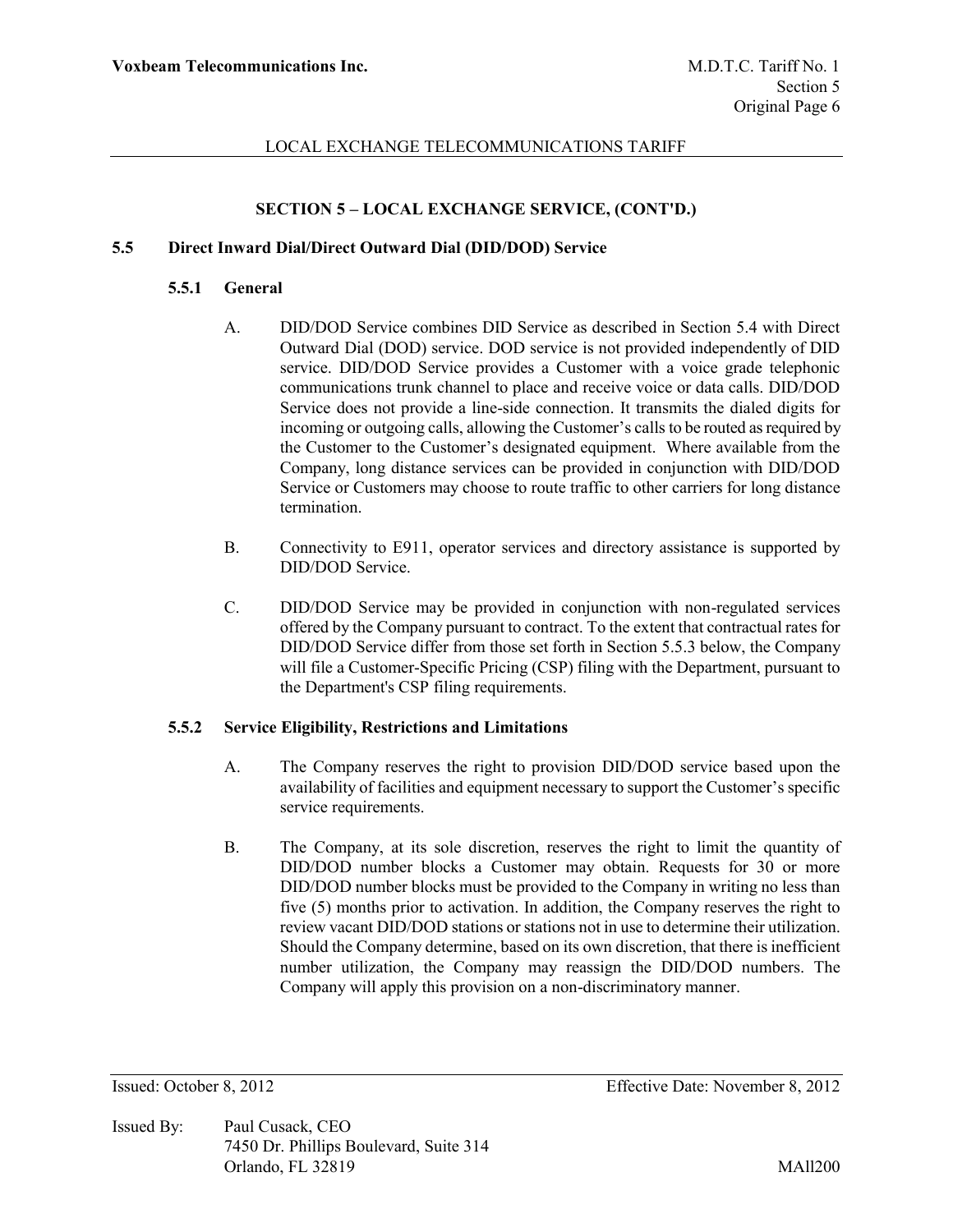# **SECTION 5 – LOCAL EXCHANGE SERVICE, (CONT'D.)**

### **5.5 Direct Inward Dial/Direct Outward Dial (DID/DOD) Service**

#### **5.5.1 General**

- A. DID/DOD Service combines DID Service as described in Section 5.4 with Direct Outward Dial (DOD) service. DOD service is not provided independently of DID service. DID/DOD Service provides a Customer with a voice grade telephonic communications trunk channel to place and receive voice or data calls. DID/DOD Service does not provide a line-side connection. It transmits the dialed digits for incoming or outgoing calls, allowing the Customer's calls to be routed as required by the Customer to the Customer's designated equipment. Where available from the Company, long distance services can be provided in conjunction with DID/DOD Service or Customers may choose to route traffic to other carriers for long distance termination.
- B. Connectivity to E911, operator services and directory assistance is supported by DID/DOD Service.
- C. DID/DOD Service may be provided in conjunction with non-regulated services offered by the Company pursuant to contract. To the extent that contractual rates for DID/DOD Service differ from those set forth in Section 5.5.3 below, the Company will file a Customer-Specific Pricing (CSP) filing with the Department, pursuant to the Department's CSP filing requirements.

### **5.5.2 Service Eligibility, Restrictions and Limitations**

- A. The Company reserves the right to provision DID/DOD service based upon the availability of facilities and equipment necessary to support the Customer's specific service requirements.
- B. The Company, at its sole discretion, reserves the right to limit the quantity of DID/DOD number blocks a Customer may obtain. Requests for 30 or more DID/DOD number blocks must be provided to the Company in writing no less than five (5) months prior to activation. In addition, the Company reserves the right to review vacant DID/DOD stations or stations not in use to determine their utilization. Should the Company determine, based on its own discretion, that there is inefficient number utilization, the Company may reassign the DID/DOD numbers. The Company will apply this provision on a non-discriminatory manner.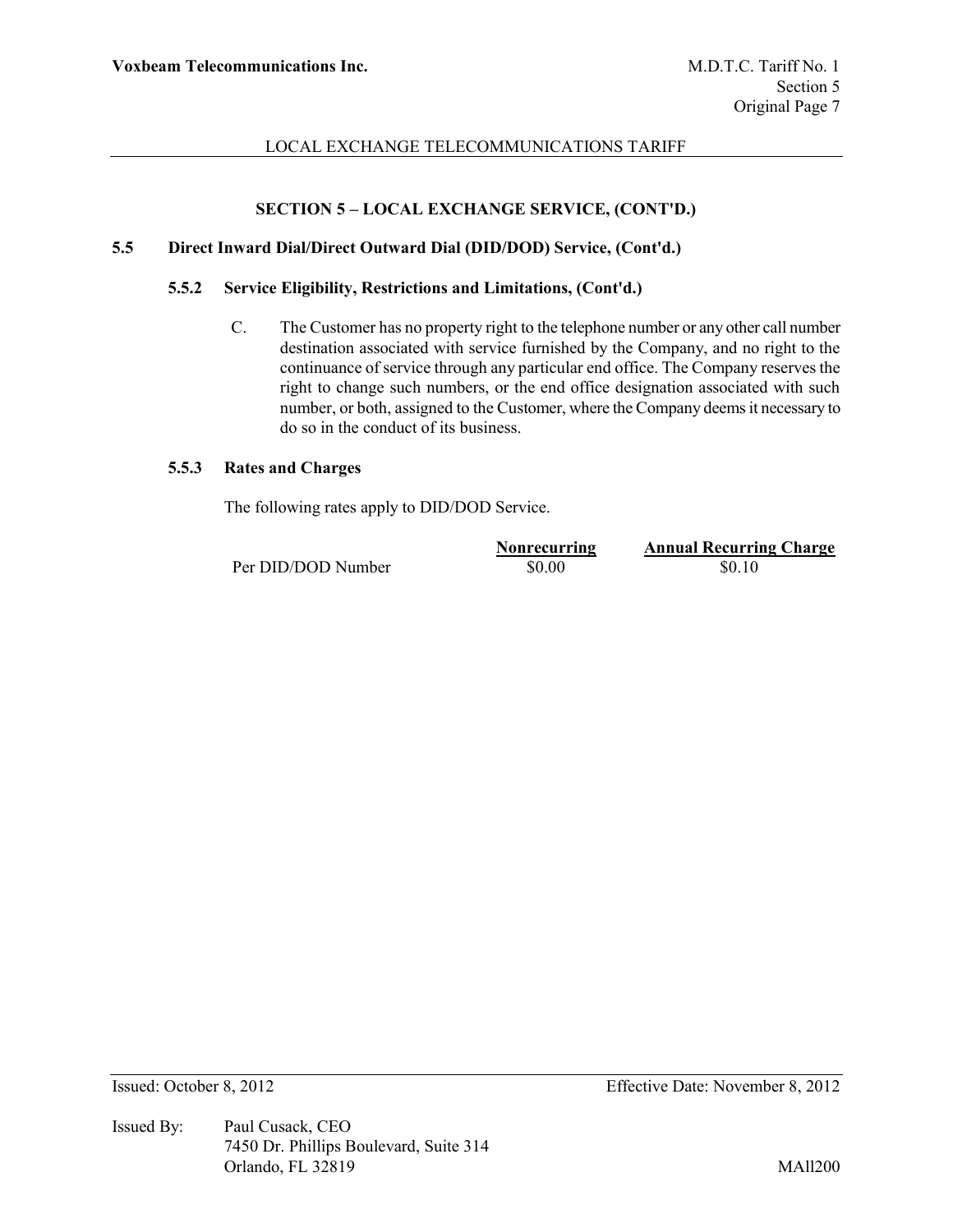# **SECTION 5 – LOCAL EXCHANGE SERVICE, (CONT'D.)**

### **5.5 Direct Inward Dial/Direct Outward Dial (DID/DOD) Service, (Cont'd.)**

### **5.5.2 Service Eligibility, Restrictions and Limitations, (Cont'd.)**

C. The Customer has no property right to the telephone number or any other call number destination associated with service furnished by the Company, and no right to the continuance of service through any particular end office. The Company reserves the right to change such numbers, or the end office designation associated with such number, or both, assigned to the Customer, where the Company deems it necessary to do so in the conduct of its business.

#### **5.5.3 Rates and Charges**

The following rates apply to DID/DOD Service.

|                    | <b>Nonrecurring</b> | <b>Annual Recurring Charge</b> |
|--------------------|---------------------|--------------------------------|
| Per DID/DOD Number | \$0.00              | \$0.10                         |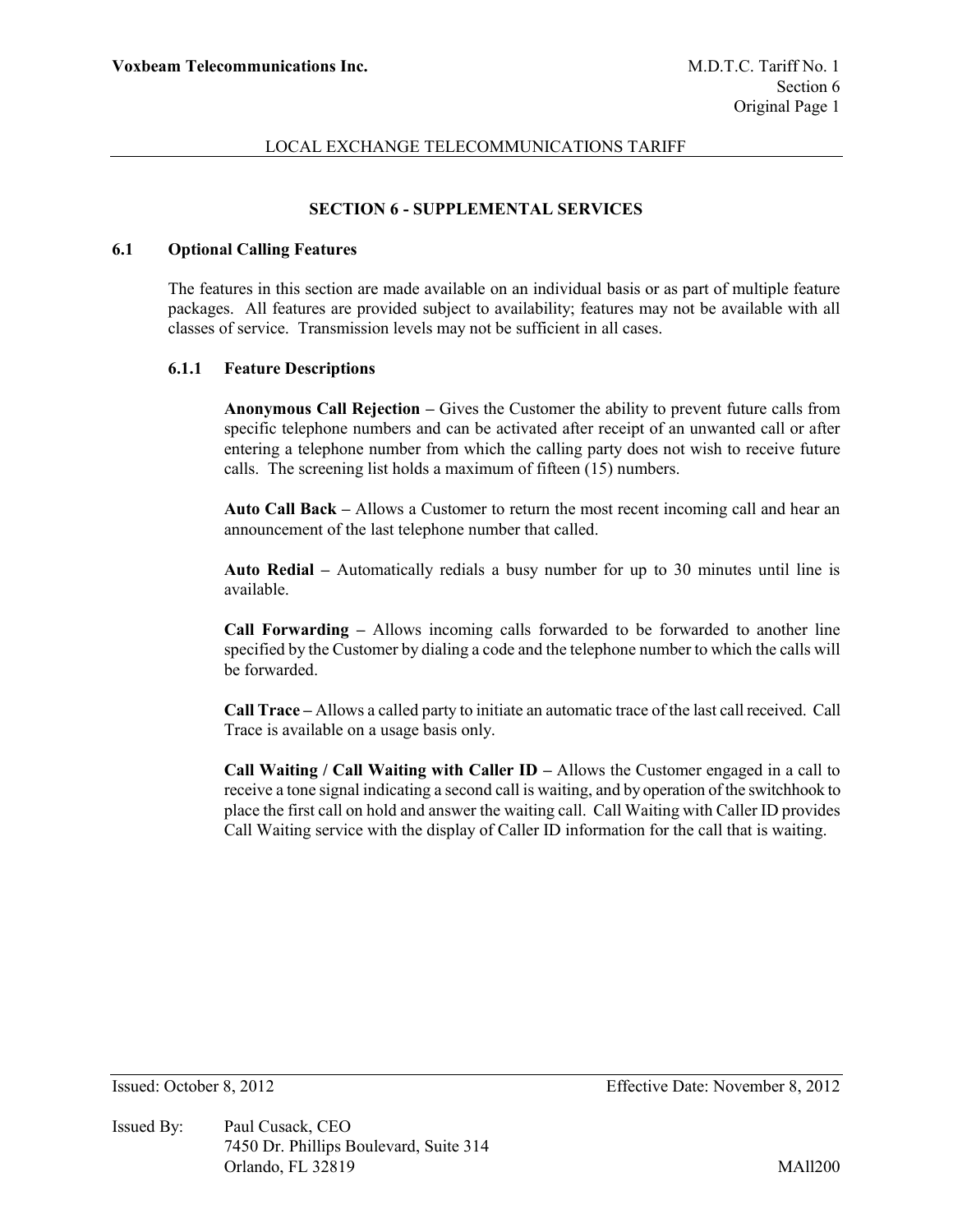## **SECTION 6 - SUPPLEMENTAL SERVICES**

### **6.1 Optional Calling Features**

The features in this section are made available on an individual basis or as part of multiple feature packages. All features are provided subject to availability; features may not be available with all classes of service. Transmission levels may not be sufficient in all cases.

### **6.1.1 Feature Descriptions**

**Anonymous Call Rejection –** Gives the Customer the ability to prevent future calls from specific telephone numbers and can be activated after receipt of an unwanted call or after entering a telephone number from which the calling party does not wish to receive future calls. The screening list holds a maximum of fifteen (15) numbers.

**Auto Call Back –** Allows a Customer to return the most recent incoming call and hear an announcement of the last telephone number that called.

**Auto Redial –** Automatically redials a busy number for up to 30 minutes until line is available.

**Call Forwarding –** Allows incoming calls forwarded to be forwarded to another line specified by the Customer by dialing a code and the telephone number to which the calls will be forwarded.

**Call Trace –** Allows a called party to initiate an automatic trace of the last call received. Call Trace is available on a usage basis only.

**Call Waiting / Call Waiting with Caller ID –** Allows the Customer engaged in a call to receive a tone signal indicating a second call is waiting, and by operation of the switchhook to place the first call on hold and answer the waiting call. Call Waiting with Caller ID provides Call Waiting service with the display of Caller ID information for the call that is waiting.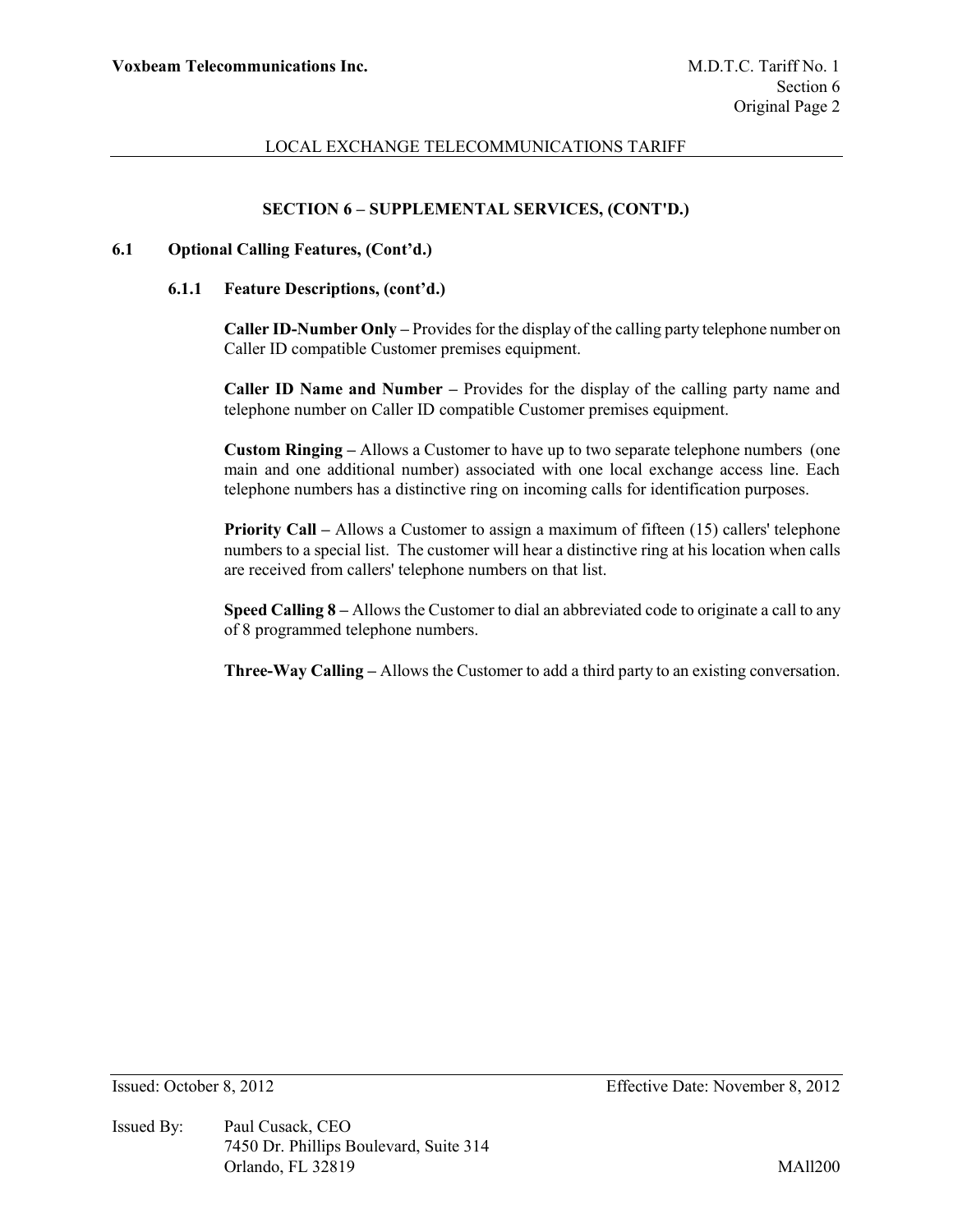## **SECTION 6 – SUPPLEMENTAL SERVICES, (CONT'D.)**

### **6.1 Optional Calling Features, (Cont'd.)**

#### **6.1.1 Feature Descriptions, (cont'd.)**

**Caller ID-Number Only –** Provides for the display of the calling party telephone number on Caller ID compatible Customer premises equipment.

**Caller ID Name and Number –** Provides for the display of the calling party name and telephone number on Caller ID compatible Customer premises equipment.

**Custom Ringing –** Allows a Customer to have up to two separate telephone numbers (one main and one additional number) associated with one local exchange access line. Each telephone numbers has a distinctive ring on incoming calls for identification purposes.

**Priority Call –** Allows a Customer to assign a maximum of fifteen (15) callers' telephone numbers to a special list. The customer will hear a distinctive ring at his location when calls are received from callers' telephone numbers on that list.

**Speed Calling 8 –** Allows the Customer to dial an abbreviated code to originate a call to any of 8 programmed telephone numbers.

**Three-Way Calling –** Allows the Customer to add a third party to an existing conversation.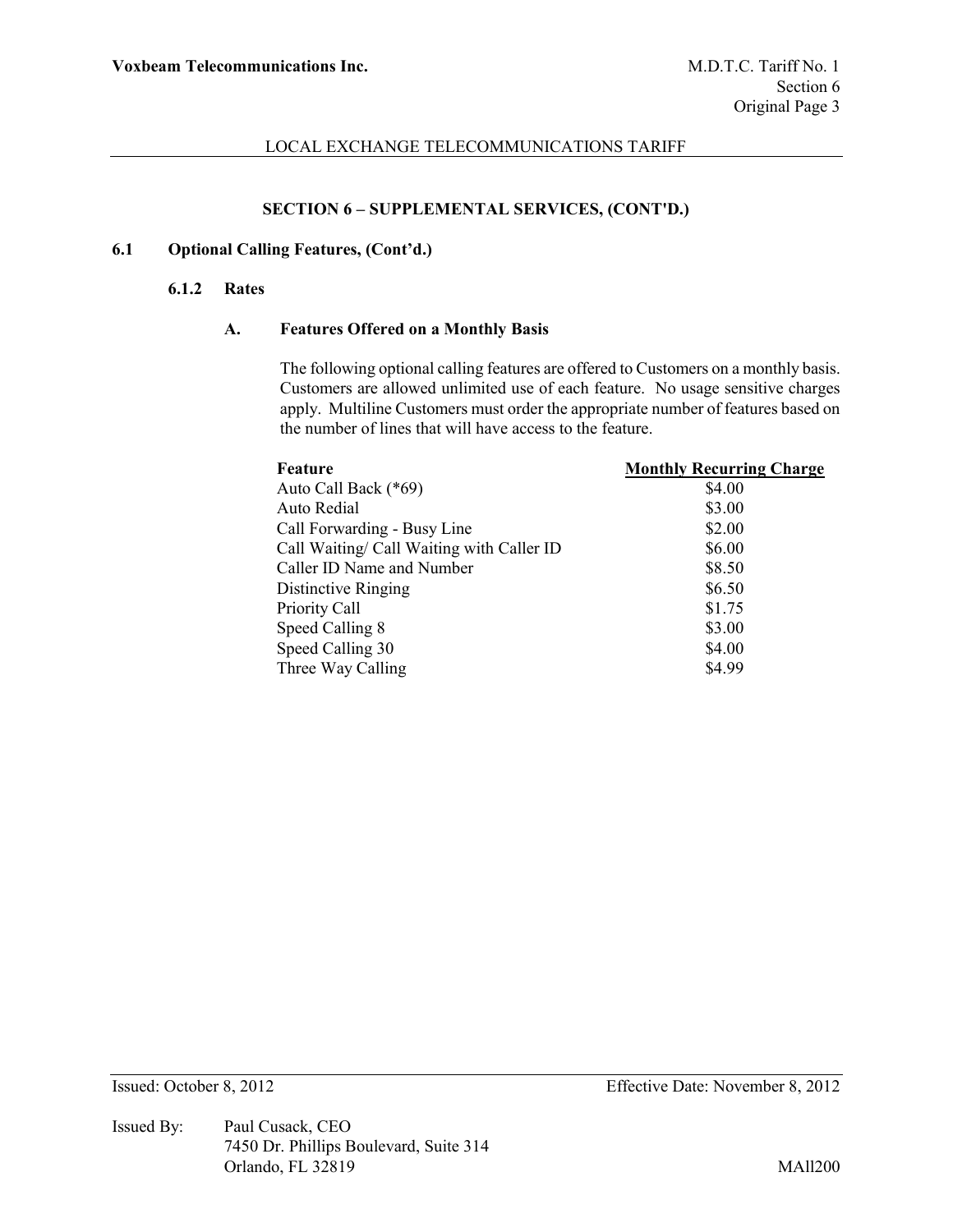## **SECTION 6 – SUPPLEMENTAL SERVICES, (CONT'D.)**

# **6.1 Optional Calling Features, (Cont'd.)**

#### **6.1.2 Rates**

### **A. Features Offered on a Monthly Basis**

The following optional calling features are offered to Customers on a monthly basis. Customers are allowed unlimited use of each feature. No usage sensitive charges apply. Multiline Customers must order the appropriate number of features based on the number of lines that will have access to the feature.

| Feature                                   | <b>Monthly Recurring Charge</b> |
|-------------------------------------------|---------------------------------|
| Auto Call Back (*69)                      | \$4.00                          |
| Auto Redial                               | \$3.00                          |
| Call Forwarding - Busy Line               | \$2.00                          |
| Call Waiting/ Call Waiting with Caller ID | \$6.00                          |
| Caller ID Name and Number                 | \$8.50                          |
| Distinctive Ringing                       | \$6.50                          |
| Priority Call                             | \$1.75                          |
| Speed Calling 8                           | \$3.00                          |
| Speed Calling 30                          | \$4.00                          |
| Three Way Calling                         | \$4.99                          |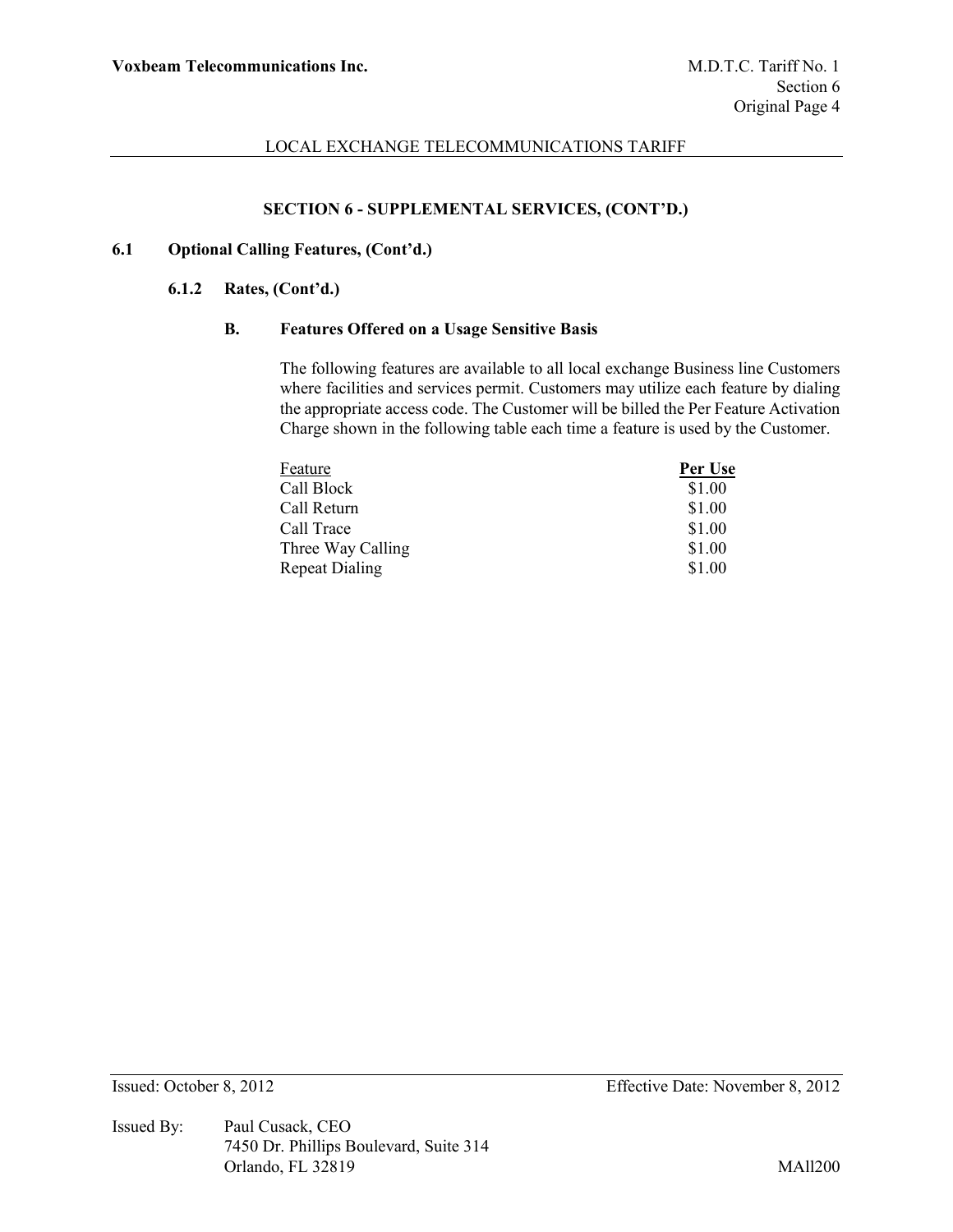### **SECTION 6 - SUPPLEMENTAL SERVICES, (CONT'D.)**

# **6.1 Optional Calling Features, (Cont'd.)**

#### **6.1.2 Rates, (Cont'd.)**

### **B. Features Offered on a Usage Sensitive Basis**

The following features are available to all local exchange Business line Customers where facilities and services permit. Customers may utilize each feature by dialing the appropriate access code. The Customer will be billed the Per Feature Activation Charge shown in the following table each time a feature is used by the Customer.

| Feature               | Per Use |
|-----------------------|---------|
| Call Block            | \$1.00  |
| Call Return           | \$1.00  |
| Call Trace            | \$1.00  |
| Three Way Calling     | \$1.00  |
| <b>Repeat Dialing</b> | \$1.00  |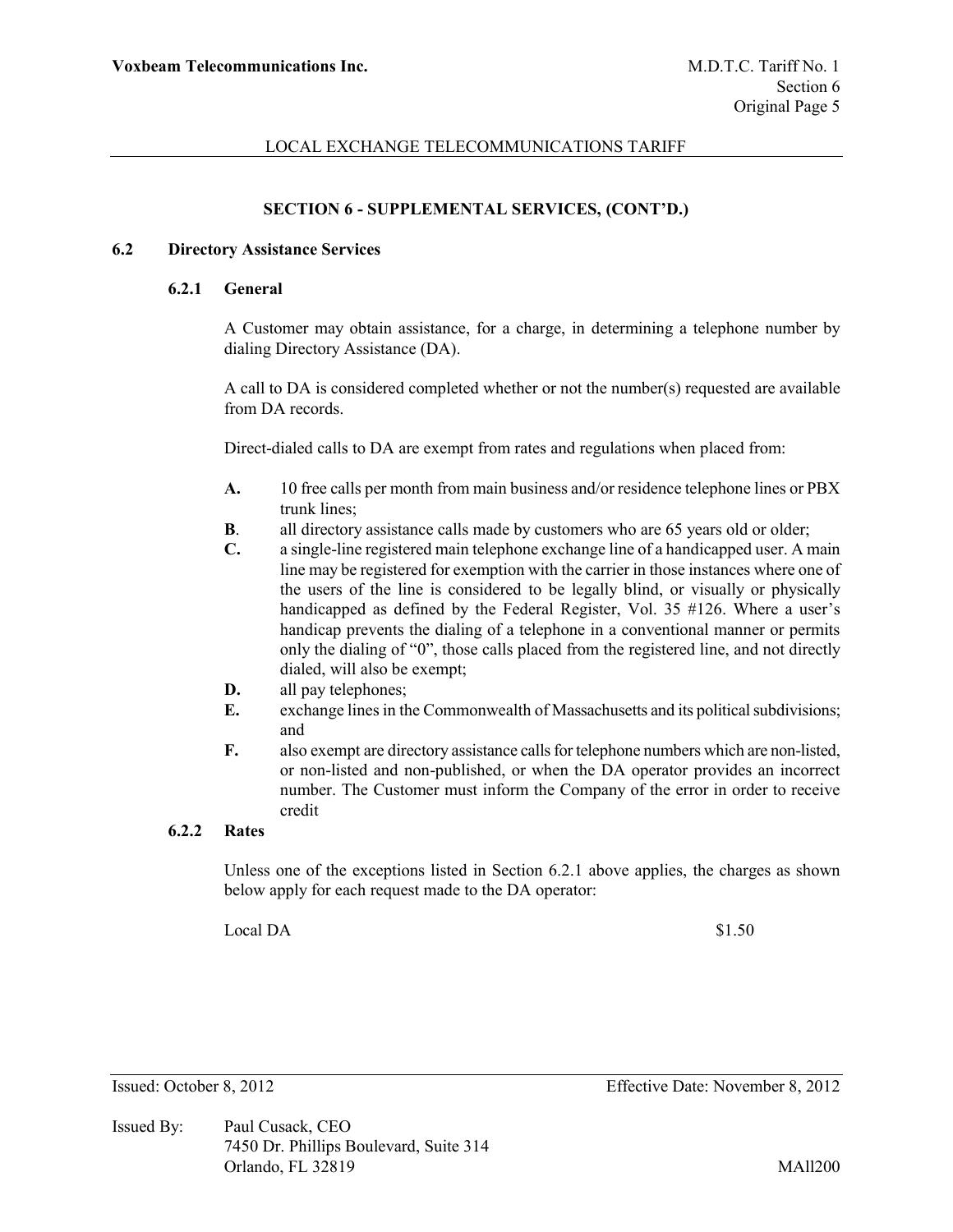## **SECTION 6 - SUPPLEMENTAL SERVICES, (CONT'D.)**

### **6.2 Directory Assistance Services**

#### **6.2.1 General**

A Customer may obtain assistance, for a charge, in determining a telephone number by dialing Directory Assistance (DA).

A call to DA is considered completed whether or not the number(s) requested are available from DA records.

Direct-dialed calls to DA are exempt from rates and regulations when placed from:

- **A.** 10 free calls per month from main business and/or residence telephone lines or PBX trunk lines;
- **B**. all directory assistance calls made by customers who are 65 years old or older;
- **C.** a single-line registered main telephone exchange line of a handicapped user. A main line may be registered for exemption with the carrier in those instances where one of the users of the line is considered to be legally blind, or visually or physically handicapped as defined by the Federal Register, Vol. 35 #126. Where a user's handicap prevents the dialing of a telephone in a conventional manner or permits only the dialing of "0", those calls placed from the registered line, and not directly dialed, will also be exempt;
- **D.** all pay telephones;
- **E.** exchange lines in the Commonwealth of Massachusetts and its political subdivisions; and
- **F.** also exempt are directory assistance calls for telephone numbers which are non-listed, or non-listed and non-published, or when the DA operator provides an incorrect number. The Customer must inform the Company of the error in order to receive credit

# **6.2.2 Rates**

Unless one of the exceptions listed in Section 6.2.1 above applies, the charges as shown below apply for each request made to the DA operator:

 $Local DA$  \$1.50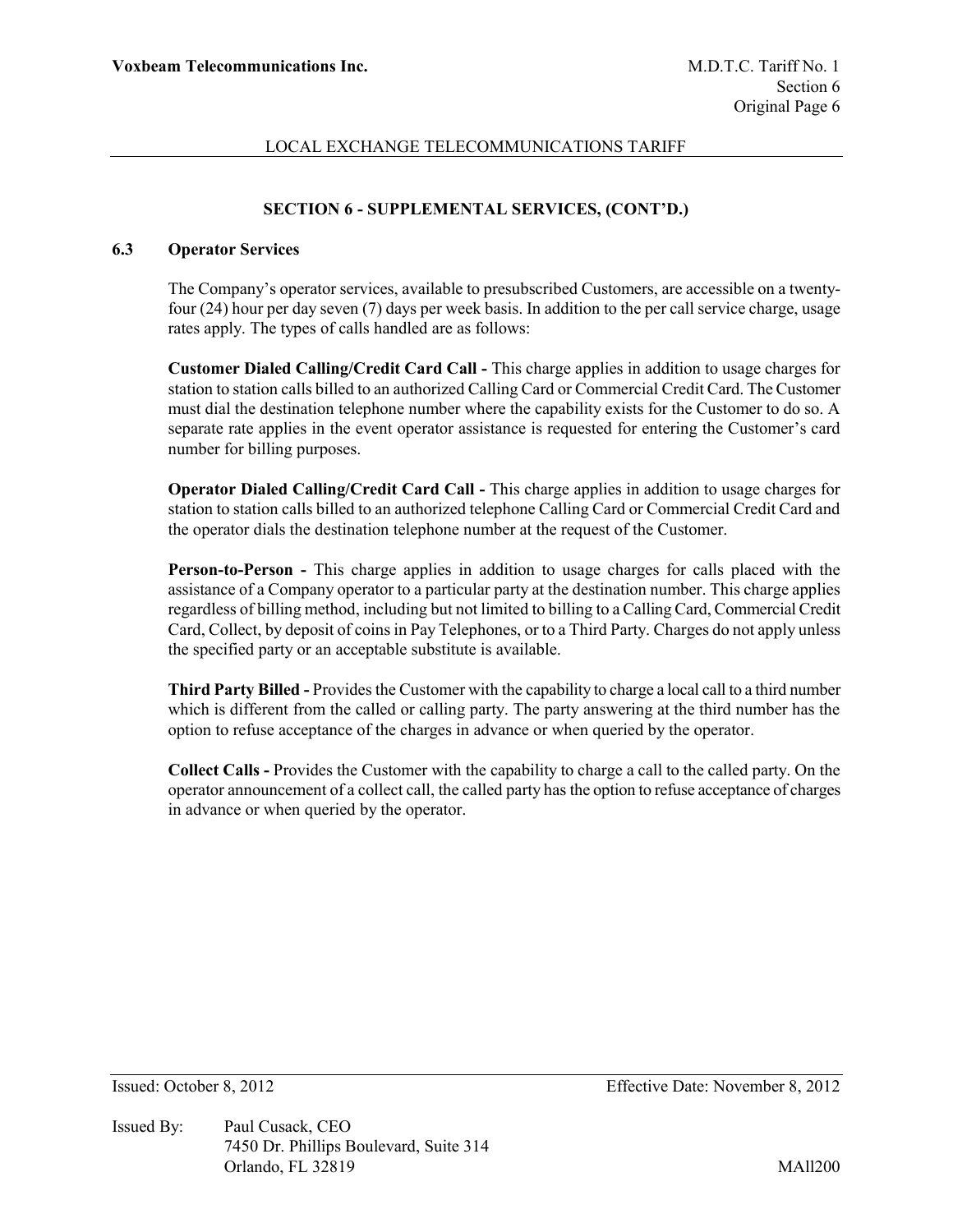# **SECTION 6 - SUPPLEMENTAL SERVICES, (CONT'D.)**

### **6.3 Operator Services**

The Company's operator services, available to presubscribed Customers, are accessible on a twentyfour (24) hour per day seven (7) days per week basis. In addition to the per call service charge, usage rates apply. The types of calls handled are as follows:

**Customer Dialed Calling/Credit Card Call -** This charge applies in addition to usage charges for station to station calls billed to an authorized Calling Card or Commercial Credit Card. The Customer must dial the destination telephone number where the capability exists for the Customer to do so. A separate rate applies in the event operator assistance is requested for entering the Customer's card number for billing purposes.

**Operator Dialed Calling/Credit Card Call -** This charge applies in addition to usage charges for station to station calls billed to an authorized telephone Calling Card or Commercial Credit Card and the operator dials the destination telephone number at the request of the Customer.

**Person-to-Person -** This charge applies in addition to usage charges for calls placed with the assistance of a Company operator to a particular party at the destination number. This charge applies regardless of billing method, including but not limited to billing to a Calling Card, Commercial Credit Card, Collect, by deposit of coins in Pay Telephones, or to a Third Party. Charges do not apply unless the specified party or an acceptable substitute is available.

**Third Party Billed -** Provides the Customer with the capability to charge a local call to a third number which is different from the called or calling party. The party answering at the third number has the option to refuse acceptance of the charges in advance or when queried by the operator.

**Collect Calls -** Provides the Customer with the capability to charge a call to the called party. On the operator announcement of a collect call, the called party has the option to refuse acceptance of charges in advance or when queried by the operator.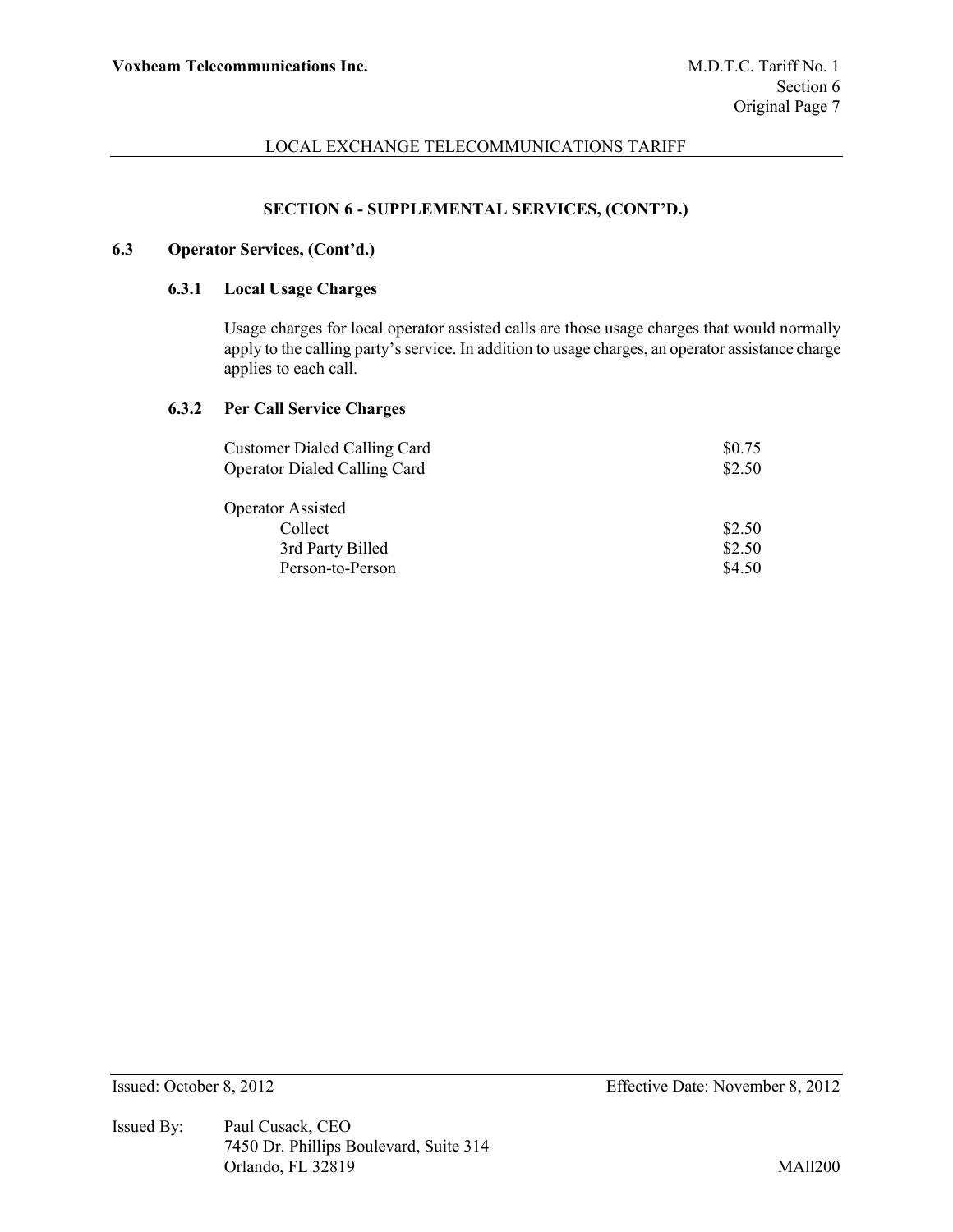# **SECTION 6 - SUPPLEMENTAL SERVICES, (CONT'D.)**

# **6.3 Operator Services, (Cont'd.)**

### **6.3.1 Local Usage Charges**

Usage charges for local operator assisted calls are those usage charges that would normally apply to the calling party's service. In addition to usage charges, an operator assistance charge applies to each call.

## **6.3.2 Per Call Service Charges**

| <b>Customer Dialed Calling Card</b> | \$0.75 |
|-------------------------------------|--------|
| <b>Operator Dialed Calling Card</b> | \$2.50 |
| <b>Operator Assisted</b>            |        |
| Collect                             | \$2.50 |
| 3rd Party Billed                    | \$2.50 |
| Person-to-Person                    | \$4.50 |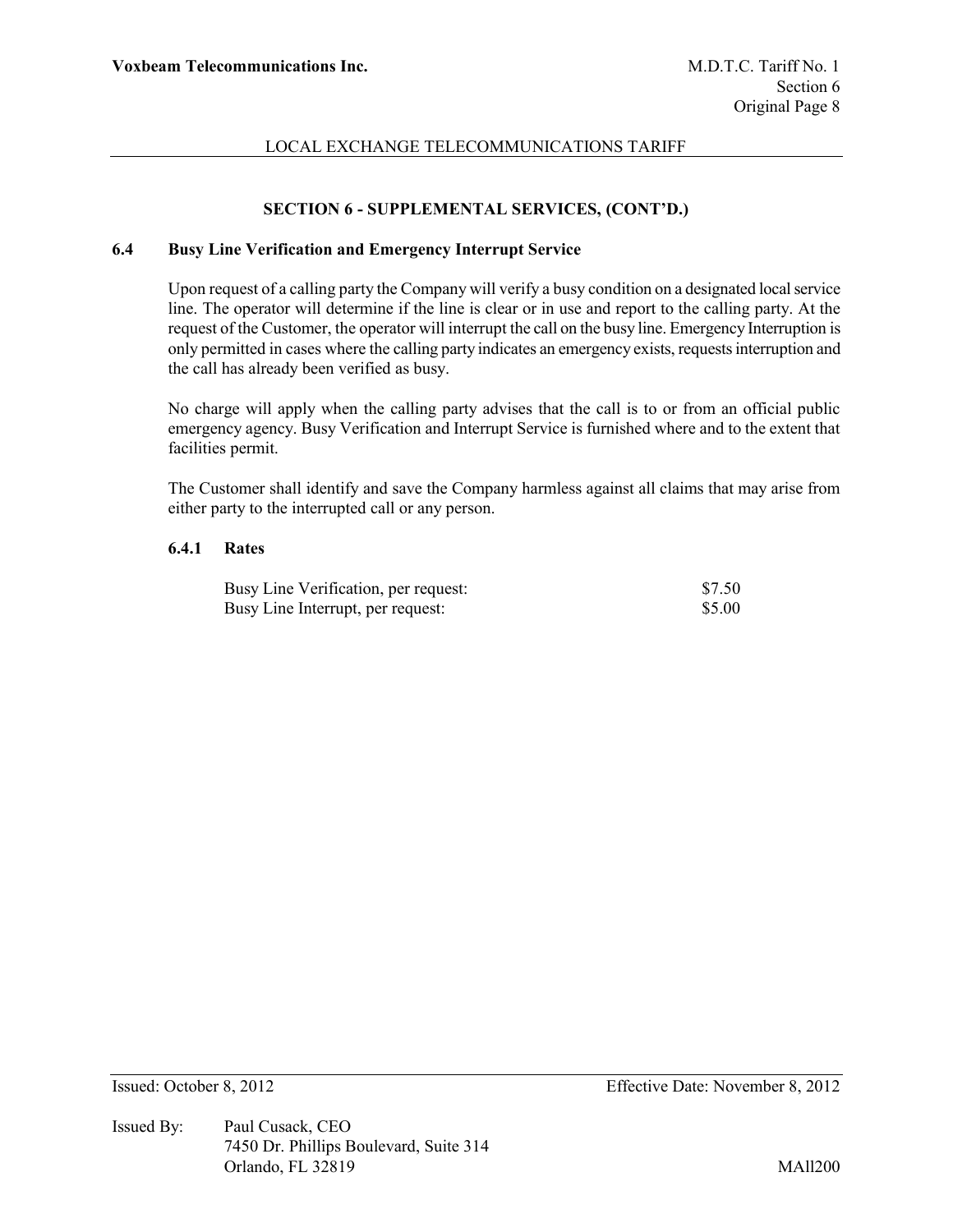# **SECTION 6 - SUPPLEMENTAL SERVICES, (CONT'D.)**

# **6.4 Busy Line Verification and Emergency Interrupt Service**

Upon request of a calling party the Company will verify a busy condition on a designated local service line. The operator will determine if the line is clear or in use and report to the calling party. At the request of the Customer, the operator will interrupt the call on the busy line. Emergency Interruption is only permitted in cases where the calling party indicates an emergency exists, requests interruption and the call has already been verified as busy.

No charge will apply when the calling party advises that the call is to or from an official public emergency agency. Busy Verification and Interrupt Service is furnished where and to the extent that facilities permit.

The Customer shall identify and save the Company harmless against all claims that may arise from either party to the interrupted call or any person.

### **6.4.1 Rates**

| Busy Line Verification, per request: | \$7.50 |
|--------------------------------------|--------|
| Busy Line Interrupt, per request:    | \$5.00 |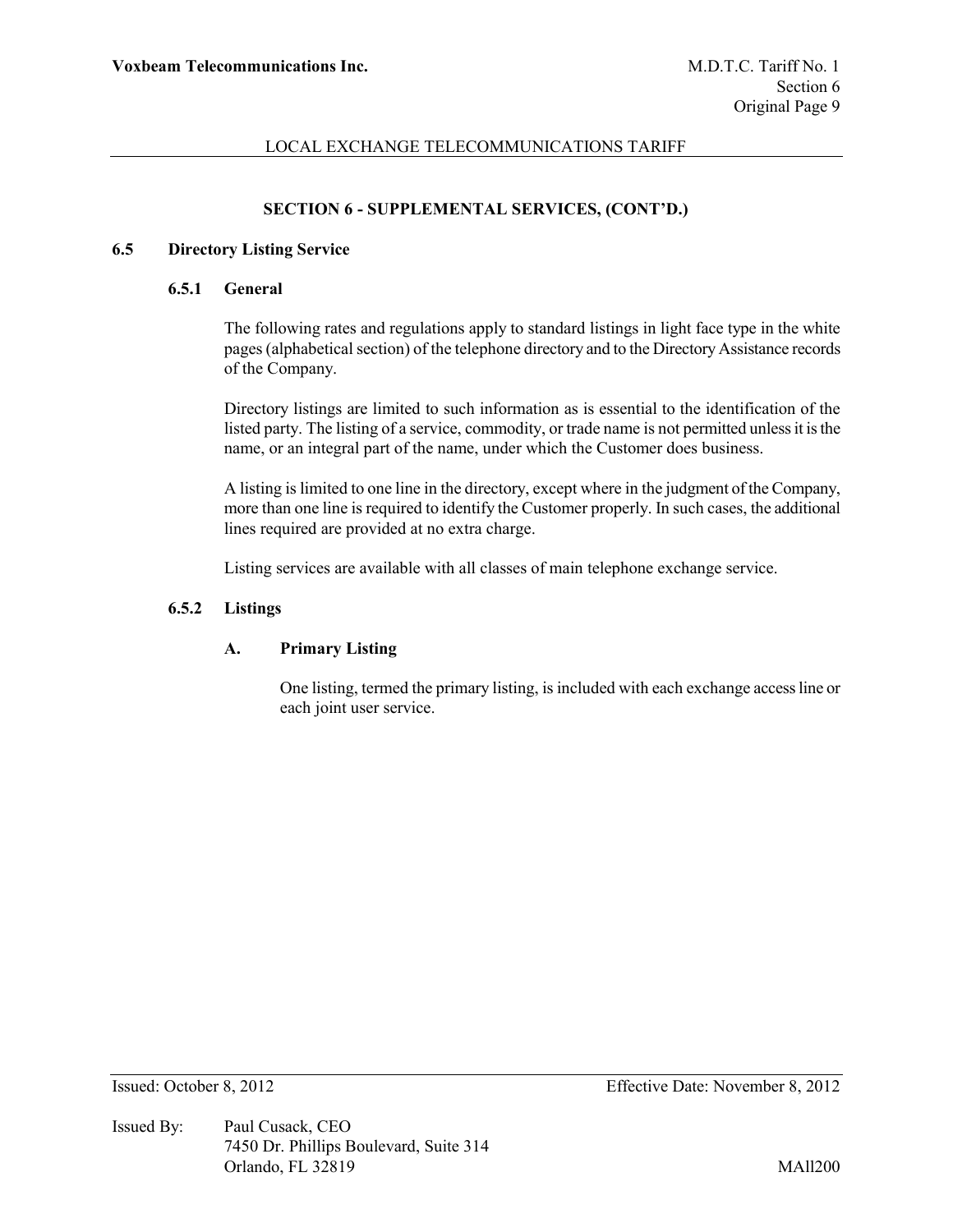# **SECTION 6 - SUPPLEMENTAL SERVICES, (CONT'D.)**

### **6.5 Directory Listing Service**

#### **6.5.1 General**

The following rates and regulations apply to standard listings in light face type in the white pages (alphabetical section) of the telephone directory and to the Directory Assistance records of the Company.

Directory listings are limited to such information as is essential to the identification of the listed party. The listing of a service, commodity, or trade name is not permitted unless it is the name, or an integral part of the name, under which the Customer does business.

A listing is limited to one line in the directory, except where in the judgment of the Company, more than one line is required to identify the Customer properly. In such cases, the additional lines required are provided at no extra charge.

Listing services are available with all classes of main telephone exchange service.

### **6.5.2 Listings**

## **A. Primary Listing**

One listing, termed the primary listing, is included with each exchange access line or each joint user service.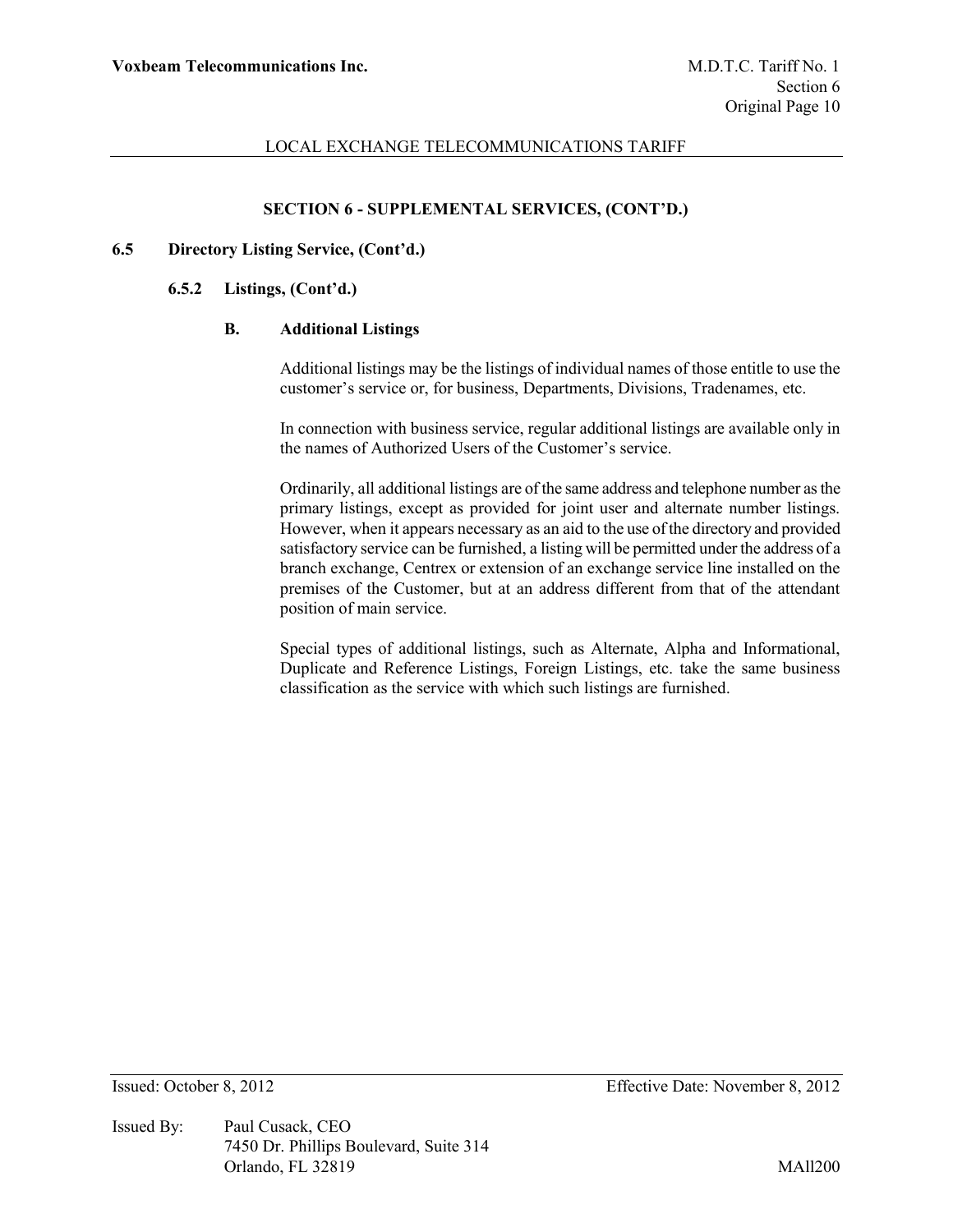## **SECTION 6 - SUPPLEMENTAL SERVICES, (CONT'D.)**

### **6.5 Directory Listing Service, (Cont'd.)**

### **6.5.2 Listings, (Cont'd.)**

### **B. Additional Listings**

Additional listings may be the listings of individual names of those entitle to use the customer's service or, for business, Departments, Divisions, Tradenames, etc.

In connection with business service, regular additional listings are available only in the names of Authorized Users of the Customer's service.

Ordinarily, all additional listings are of the same address and telephone number as the primary listings, except as provided for joint user and alternate number listings. However, when it appears necessary as an aid to the use of the directory and provided satisfactory service can be furnished, a listing will be permitted under the address of a branch exchange, Centrex or extension of an exchange service line installed on the premises of the Customer, but at an address different from that of the attendant position of main service.

Special types of additional listings, such as Alternate, Alpha and Informational, Duplicate and Reference Listings, Foreign Listings, etc. take the same business classification as the service with which such listings are furnished.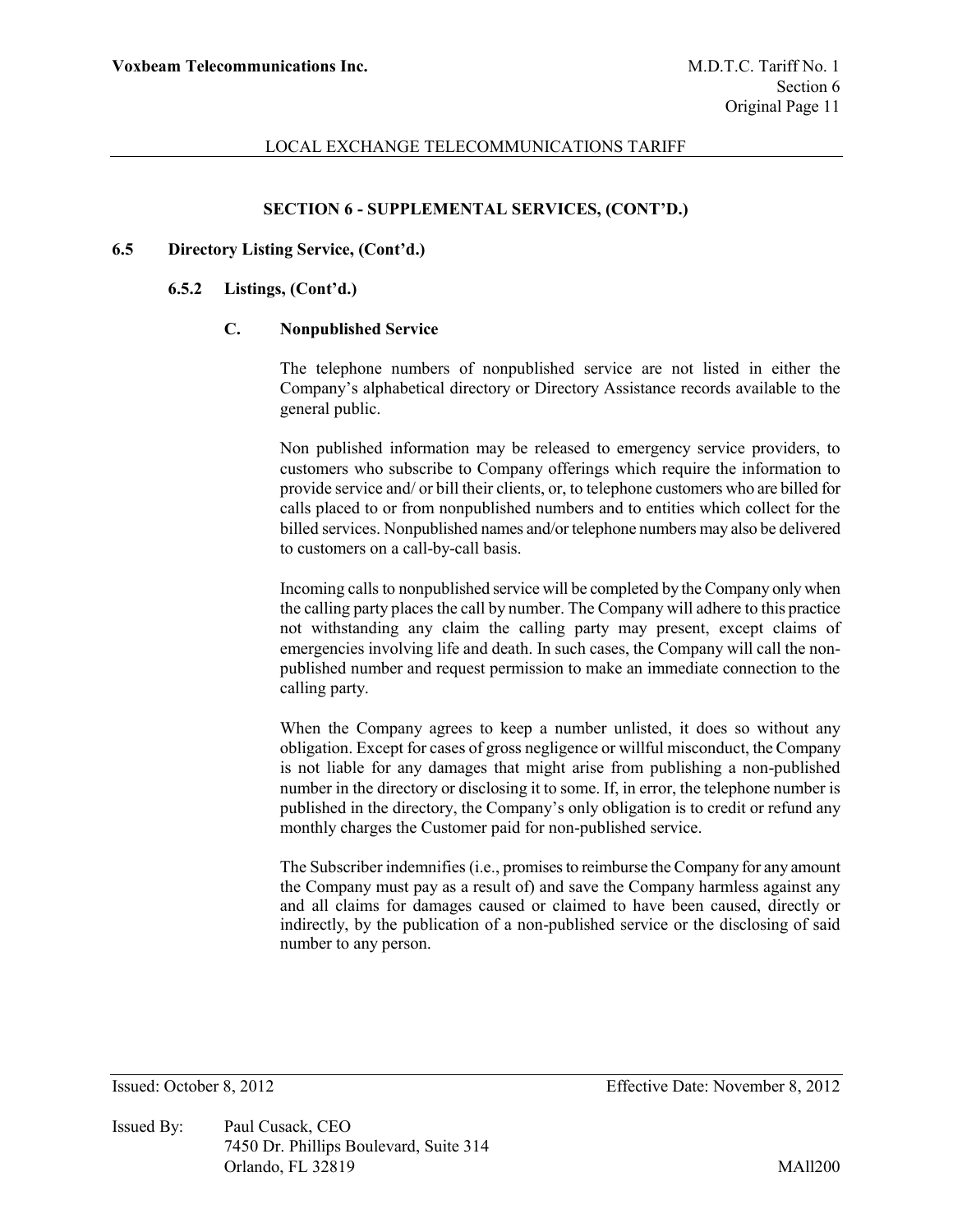### **SECTION 6 - SUPPLEMENTAL SERVICES, (CONT'D.)**

#### **6.5 Directory Listing Service, (Cont'd.)**

#### **6.5.2 Listings, (Cont'd.)**

## **C. Nonpublished Service**

The telephone numbers of nonpublished service are not listed in either the Company's alphabetical directory or Directory Assistance records available to the general public.

Non published information may be released to emergency service providers, to customers who subscribe to Company offerings which require the information to provide service and/ or bill their clients, or, to telephone customers who are billed for calls placed to or from nonpublished numbers and to entities which collect for the billed services. Nonpublished names and/or telephone numbers may also be delivered to customers on a call-by-call basis.

Incoming calls to nonpublished service will be completed by the Company only when the calling party places the call by number. The Company will adhere to this practice not withstanding any claim the calling party may present, except claims of emergencies involving life and death. In such cases, the Company will call the nonpublished number and request permission to make an immediate connection to the calling party.

When the Company agrees to keep a number unlisted, it does so without any obligation. Except for cases of gross negligence or willful misconduct, the Company is not liable for any damages that might arise from publishing a non-published number in the directory or disclosing it to some. If, in error, the telephone number is published in the directory, the Company's only obligation is to credit or refund any monthly charges the Customer paid for non-published service.

The Subscriber indemnifies (i.e., promises to reimburse the Company for any amount the Company must pay as a result of) and save the Company harmless against any and all claims for damages caused or claimed to have been caused, directly or indirectly, by the publication of a non-published service or the disclosing of said number to any person.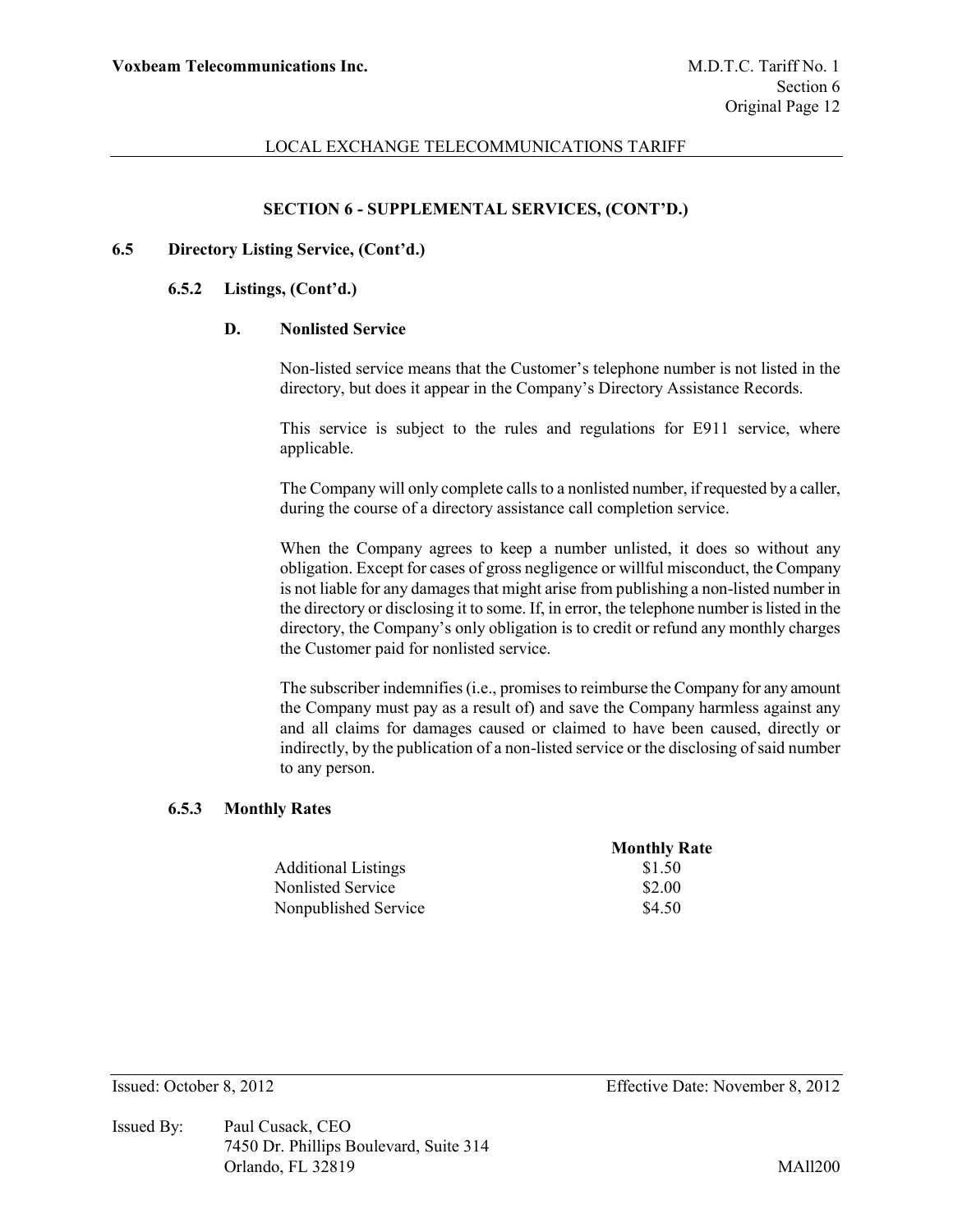### **SECTION 6 - SUPPLEMENTAL SERVICES, (CONT'D.)**

#### **6.5 Directory Listing Service, (Cont'd.)**

#### **6.5.2 Listings, (Cont'd.)**

#### **D. Nonlisted Service**

Non-listed service means that the Customer's telephone number is not listed in the directory, but does it appear in the Company's Directory Assistance Records.

This service is subject to the rules and regulations for E911 service, where applicable.

The Company will only complete calls to a nonlisted number, if requested by a caller, during the course of a directory assistance call completion service.

When the Company agrees to keep a number unlisted, it does so without any obligation. Except for cases of gross negligence or willful misconduct, the Company is not liable for any damages that might arise from publishing a non-listed number in the directory or disclosing it to some. If, in error, the telephone number is listed in the directory, the Company's only obligation is to credit or refund any monthly charges the Customer paid for nonlisted service.

The subscriber indemnifies (i.e., promises to reimburse the Company for any amount the Company must pay as a result of) and save the Company harmless against any and all claims for damages caused or claimed to have been caused, directly or indirectly, by the publication of a non-listed service or the disclosing of said number to any person.

## **6.5.3 Monthly Rates**

|                            | <b>Monthly Rate</b> |
|----------------------------|---------------------|
| <b>Additional Listings</b> | \$1.50              |
| Nonlisted Service          | \$2.00              |
| Nonpublished Service       | \$4.50              |

Issued By: Paul Cusack, CEO 7450 Dr. Phillips Boulevard, Suite 314 Orlando, FL 32819 MAll200

Issued: October 8, 2012 Effective Date: November 8, 2012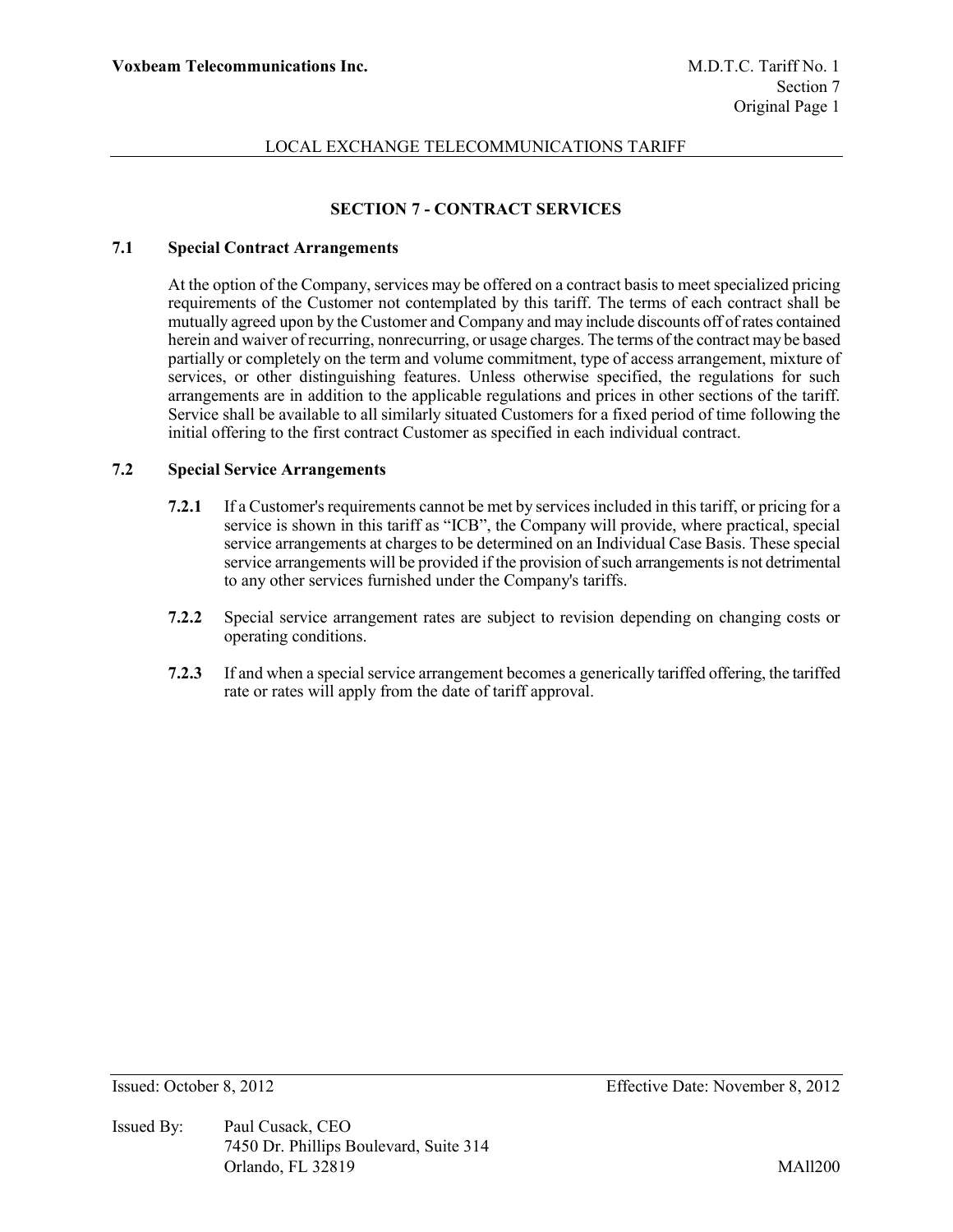# **SECTION 7 - CONTRACT SERVICES**

## **7.1 Special Contract Arrangements**

At the option of the Company, services may be offered on a contract basis to meet specialized pricing requirements of the Customer not contemplated by this tariff. The terms of each contract shall be mutually agreed upon by the Customer and Company and may include discounts off of rates contained herein and waiver of recurring, nonrecurring, or usage charges. The terms of the contract may be based partially or completely on the term and volume commitment, type of access arrangement, mixture of services, or other distinguishing features. Unless otherwise specified, the regulations for such arrangements are in addition to the applicable regulations and prices in other sections of the tariff. Service shall be available to all similarly situated Customers for a fixed period of time following the initial offering to the first contract Customer as specified in each individual contract.

### **7.2 Special Service Arrangements**

- **7.2.1** If a Customer's requirements cannot be met by services included in this tariff, or pricing for a service is shown in this tariff as "ICB", the Company will provide, where practical, special service arrangements at charges to be determined on an Individual Case Basis. These special service arrangements will be provided if the provision of such arrangements is not detrimental to any other services furnished under the Company's tariffs.
- **7.2.2** Special service arrangement rates are subject to revision depending on changing costs or operating conditions.
- **7.2.3** If and when a special service arrangement becomes a generically tariffed offering, the tariffed rate or rates will apply from the date of tariff approval.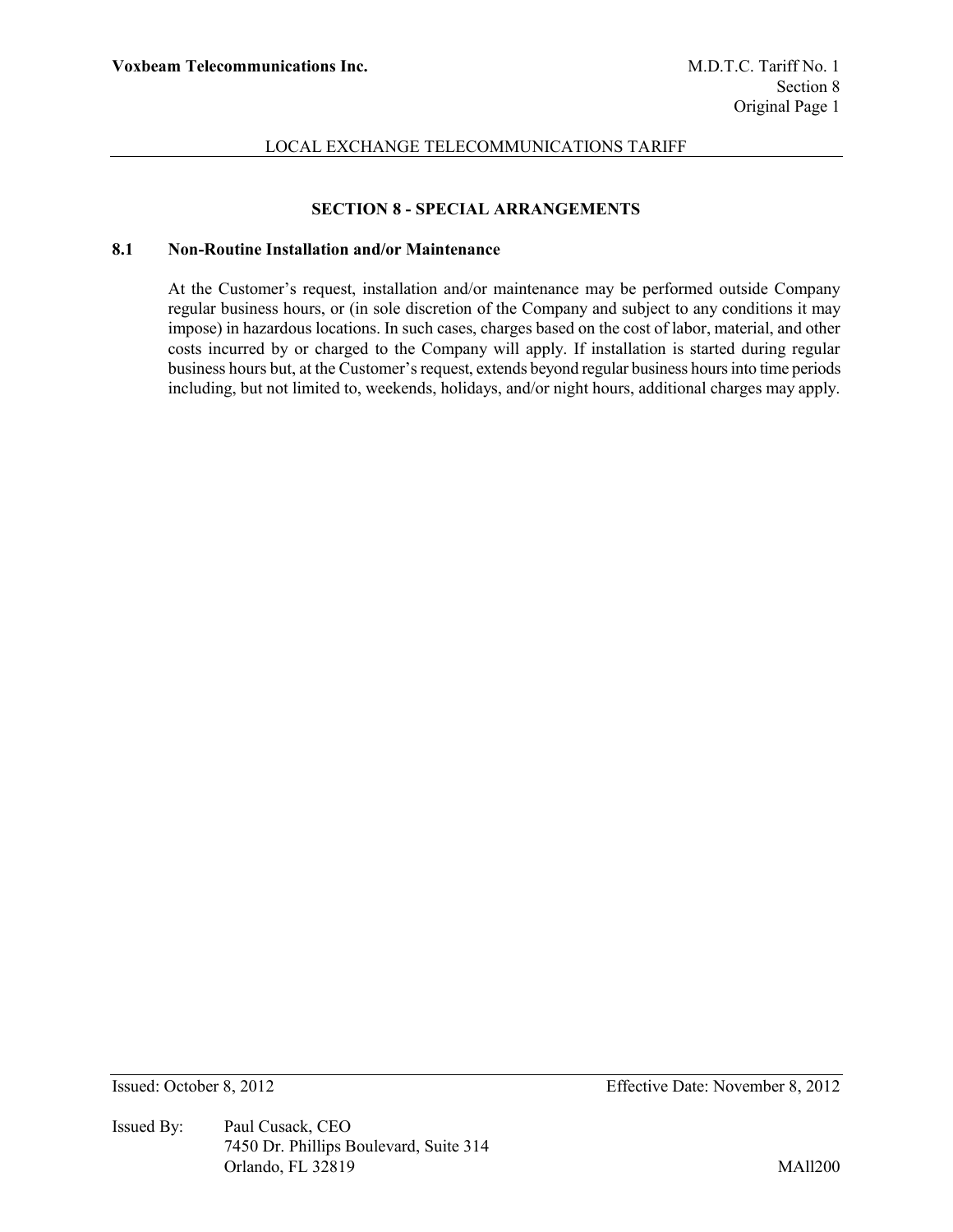# **SECTION 8 - SPECIAL ARRANGEMENTS**

# **8.1 Non-Routine Installation and/or Maintenance**

At the Customer's request, installation and/or maintenance may be performed outside Company regular business hours, or (in sole discretion of the Company and subject to any conditions it may impose) in hazardous locations. In such cases, charges based on the cost of labor, material, and other costs incurred by or charged to the Company will apply. If installation is started during regular business hours but, at the Customer's request, extends beyond regular business hours into time periods including, but not limited to, weekends, holidays, and/or night hours, additional charges may apply.